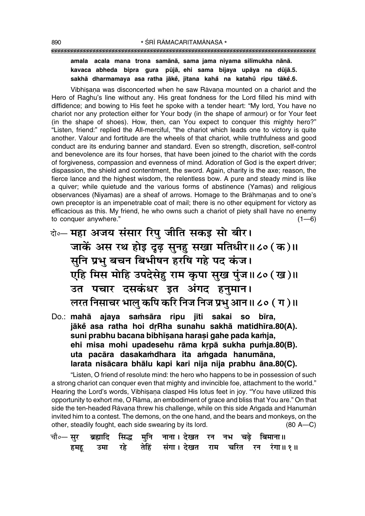#### """""""""""""""""""""""""""""""""""""""""""""""""""""""""""""""""""""""""""""""""""

#### **amala acala mana trona samånå, sama jama niyama sil∂mukha nånå.** kavaca abheda bipra gura pūjā, ehi sama bijaya upāya na dūjā.5. **sakhå dharmamaya asa ratha jåke°, j∂tana kaha° na katahu° ripu tåke° .6.**

Vibhīsana was disconcerted when he saw Rāvana mounted on a chariot and the Hero of Raghuís line without any. His great fondness for the Lord filled his mind with diffidence; and bowing to His feet he spoke with a tender heart: "My lord, You have no chariot nor any protection either for Your body (in the shape of armour) or for Your feet (in the shape of shoes). How, then, can You expect to conquer this mighty hero?" "Listen, friend:" replied the All-merciful, "the chariot which leads one to victory is quite another. Valour and fortitude are the wheels of that chariot, while truthfulness and good conduct are its enduring banner and standard. Even so strength, discretion, self-control and benevolence are its four horses, that have been joined to the chariot with the cords of forgiveness, compassion and evenness of mind. Adoration of God is the expert driver; dispassion, the shield and contentment, the sword. Again, charity is the axe; reason, the fierce lance and the highest wisdom, the relentless bow. A pure and steady mind is like a quiver; while quietude and the various forms of abstinence (Yamas) and religious observances (Niyamas) are a sheaf of arrows. Homage to the Brāhmanas and to one's own preceptor is an impenetrable coat of mail; there is no other equipment for victory as efficacious as this. My friend, he who owns such a chariot of piety shall have no enemy to conquer anywhere."  $(1-6)$ 

- दो**0 महा अजय संसार रिपु जीति सकइ सो बीर।** जाकें अस रथ होइ दूढ़ सुनहु सखा मतिधीर॥८० (क)॥ सूनि प्रभु बचन बिभीषन हरषि गहे पद कंज।  $\overline{u}$ हि मिस मोहि उपदेसेहु राम कृपा सुख पुंज॥८० (ख)॥ <u>उत पचार दसकंधर इत अंगद हुनुमान।</u> **लरत निसाचर भालु कपि करि निज निज प्रभु** आन॥ ८० ( ग )॥
- Do.: mahā ajaya samsāra ripu jīti sakai so bīra, **jāk** asa ratha hoi drRha sunahu sakhā matidhīra.80(A). **suni prabhu bacana bibh∂¶ana hara¶i gahe pada ka≈ja,** ehi misa mohi upadesehu rāma krpā sukha pumja.80(B). **uta pacåra dasaka≈dhara ita a≈gada hanumåna, larata nisåcara bhålu kapi kari nija nija prabhu åna.80(C).**

"Listen, O friend of resolute mind: the hero who happens to be in possession of such a strong chariot can conquer even that mighty and invincible foe, attachment to the world." Hearing the Lord's words, Vibhīsana clasped His lotus feet in joy. "You have utilized this opportunity to exhort me, O Rāma, an embodiment of grace and bliss that You are." On that side the ten-headed Rāvana threw his challenge, while on this side Angada and Hanumān invited him to a contest. The demons, on the one hand, and the bears and monkeys, on the other, steadily fought, each side swearing by its lord.  $(80 A-C)$ 

|  |  | चौ∘— सुर   ब्रह्मादि   सिद्ध   मुनि   नाना । देखत   रन   नभ   चढ़े   बिमाना॥ |  |  |
|--|--|------------------------------------------------------------------------------|--|--|
|  |  | हमहू उमा रहे तेहिं संगा।देखत राम चरित रन रंगा॥१॥                             |  |  |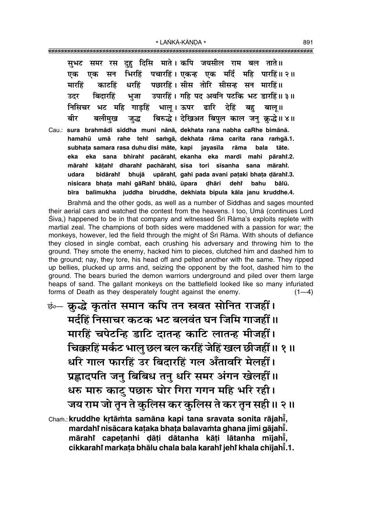रस दह दिसि माते। कपि जयसील राम बल ताते॥ सभट समर भिरहिं पचारहिं। एकन्ह एक मर्दि महि पारहिं॥ २॥ एक सन एक पछारहिं। सीस तोरि सीसन्ह सन मारहिं॥ धरहिं मारहिं काटहिं उपारहिं । गहि पद अवनि पटकि भट डारहिं॥ ३॥ बिदारहिं भजा उटर निसिचर भट महि गाडहिं भाल् । ऊपर ढारि देहिं बह बालु ॥ बिरुद्धे। देखिअत बिपुल काल जन् क्रुद्धे॥४॥ बीर बलीमख जद्ध Cau.: sura brahmādi siddha muni nānā, dekhata rana nabha caRhe bimānā. hamahū umā rahe tehr samgā, dekhata rāma carita rana ramgā.1. subhata samara rasa duhu disi māte, kapi javasīla rāma bala tāte. eka eka sana bhirahi pacārahi ekanha eka mardi mahi pārahi.2. mārahi kāṭahi dharahi pachārahi, sīsa tori sīsanha sana mārahi. udara bidārahi bhujā upārahi, gahi pada avani pataki bhata dārahi.3. nisicara bhata mahi qāRahi bhālū, ūpara dhāri dehr bahu bālū. balīmukha juddha biruddhe, dekhiata bipula kāla janu kruddhe.4. bīra

Brahma and the other gods, as well as a number of Siddhas and sages mounted their aerial cars and watched the contest from the heavens. I too, Uma (continues Lord Śiva,) happened to be in that company and witnessed Śrī Rāma's exploits replete with martial zeal. The champions of both sides were maddened with a passion for war; the monkeys, however, led the field through the might of Srī Rāma. With shouts of defiance they closed in single combat, each crushing his adversary and throwing him to the ground. They smote the enemy, hacked him to pieces, clutched him and dashed him to the ground; nay, they tore, his head off and pelted another with the same. They ripped up bellies, plucked up arms and, seizing the opponent by the foot, dashed him to the ground. The bears buried the demon warriors underground and piled over them large heaps of sand. The gallant monkeys on the battlefield looked like so many infuriated forms of Death as they desperately fought against the enemy.  $(1-4)$ 

छंं- क्रुद्धे कृतांत समान कपि तन स्त्रवत सोनित राजहीं। मर्दहिं निसाचर कटक भट बलवंत घन जिमि गाजहीं ॥ मारहिं चपेटन्हि डाटि दातन्ह काटि लातन्ह मीजहीं। चिक्करहिं मर्कट भालु छल बल करहिं जेहिं खल छीजहीं ॥ १॥ धरि गाल फारहिं उर बिदारहिं गल अँतावरि मेलहीं। प्रह्लादपति जनु बिबिध तनु धरि समर अंगन खेलहीं।। धरु मारु काटु पछारु घोर गिरा गगन महि भरि रही। जय राम जो तून ते कुलिस कर कुलिस ते कर तून सही ॥ २ ॥

Cham.: kruddhe krtāmta samāna kapi tana sravata sonita rājahī, mardahi nisācara kataka bhata balavamta ghana jimi gājahī. mārahi capetanhi dāti dātanha kāti lātanha mījahī, cikkarahi markata bhālu chala bala karahi jehi khala chījahī.1. 891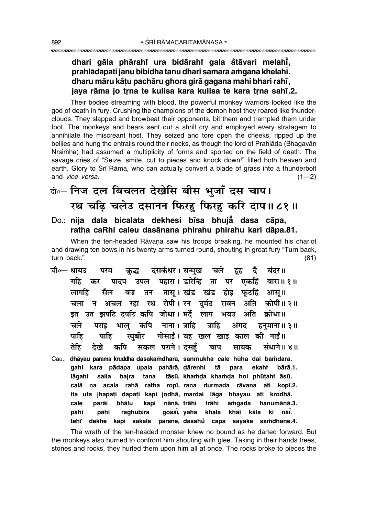## dhari gāla phārahi ura bidārahi gala åtāvari melahī, prahlādapati janu bibidha tanu dhari samara amgana khelahī. dharu māru kātu pachāru ghora girā gagana mahi bhari rahī, jaya rāma jo trna te kulisa kara kulisa te kara trna sahī.2.

Their bodies streaming with blood, the powerful monkey warriors looked like the aod of death in fury. Crushing the champions of the demon host they roared like thunderclouds. They slapped and browbeat their opponents, bit them and trampled them under foot. The monkeys and bears sent out a shrill cry and employed every stratagem to annihilate the miscreant host. They seized and tore open the cheeks, ripped up the bellies and hung the entrails round their necks, as though the lord of Prahlada (Bhagavan Nrsimha) had assumed a multiplicity of forms and sported on the field of death. The savage cries of "Seize, smite, cut to pieces and knock down!" filled both heaven and earth. Glory to Srī Rāma, who can actually convert a blade of grass into a thunderbolt and vice versa.  $(1-2)$ 

# वे०- निज दल बिचलत देखेसि बीस भूजाँ दस चाप। रथ चढ़ि चलेउ दसानन फिरहु फिरहु करि दाप॥८१॥

Do.: nija dala bicalata dekhesi bīsa bhujā dasa cāpa, ratha caRhi caleu dasānana phirahu phirahu kari dāpa.81.

When the ten-headed Rāvaṇa saw his troops breaking, he mounted his chariot and drawing ten bows in his twenty arms turned round, shouting in great fury "Turn back, turn back."  $(81)$ 

- चौ०— धायउ दसकंधर। सन्मुख चले है हह बंदर॥ परम क्रद्ध गहि पादप उपल पहारा। डारेन्हि ता पर एकहिं बारा॥१॥ कर तासू। खंड खंड होइ फूटहिं आसू॥ लागहिं सैल बज्र तन चला न अचल रहा रथ रोपी। रन दर्मद रावन अति कोपी॥२॥ इत उत झपटि दपटि कपि जोधा। मर्दै लाग भयउ अति क्रोधा॥ कपि नाना । त्राहि चले भाल पराड त्राहि अंगद हनुमाना ॥ ३ ॥ गोसाईं। यह खल खाइ काल की नाईं॥ पाहि पाहि रघबीर सकल पराने। दसहँ तेहिं टेखे कपि चाप सायक संधाने॥ ४॥
- Cau.: dhāyau parama kruddha dasakamdhara, sanmukha cale hūha dai bamdara. kara pādapa upala pahārā, dārenhi gahi tā para ekaht bārā.1. lāgaht saila bajra tana tāsū, khamda khamda hoi phūtahi āsū. na acala rahā ratha ropī, rana durmada rāvana ati kopī.2. calā ita uta jhapati dapati kapi jodhā, mardai lāga bhayau ati krodhā. parāi bhālu kapi nānā, trāhi trāhi amgada hanumānā.3. cale gosāĭ̃, yaha khala khāi kāla kī nāi. pāhi pāhi raghubīra teht dekhe kapi sakala parāne, dasahu cāpa sāyaka samdhāne.4.

The wrath of the ten-headed monster knew no bound as he darted forward. But the monkeys also hurried to confront him shouting with glee. Taking in their hands trees, stones and rocks, they hurled them upon him all at once. The rocks broke to pieces the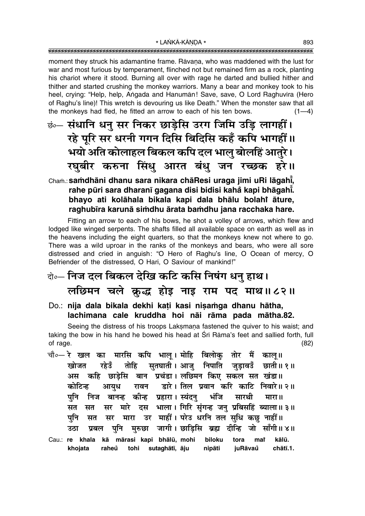moment they struck his adamantine frame. Ravana, who was maddened with the lust for war and most furious by temperament, flinched not but remained firm as a rock, planting his chariot where it stood. Burning all over with rage he darted and bullied hither and thither and started crushing the monkey warriors. Many a bear and monkey took to his heel, crying: "Help, help, Angada and Hanumān! Save, save, O Lord Raghuvīra (Hero of Raghu's line)! This wretch is devouring us like Death." When the monster saw that all the monkeys had fled, he fitted an arrow to each of his ten bows.  $(1-4)$ 

कं संधानि धनु सर निकर छाड़ेसि उरग जिमि उडि लागहीं। रहे पूरि सर धरनी गगन दिसि बिदिसि कहँ कपि भागहीं।। भयो अति कोलाहल बिकल कपि दल भालु बोलहिं आतुरे। रघुबीर करुना सिंधु आरत बंधु जन रच्छक हरे॥

## Cham.: samdhāni dhanu sara nikara chāResi uraga jimi uRi lāgahi, rahe pūri sara dharanī gagana disi bidisi kahå kapi bhāgahī. bhayo ati kolāhala bikala kapi dala bhālu bolahi āture, raghubīra karunā simdhu ārata bamdhu jana racchaka hare.

Fitting an arrow to each of his bows, he shot a volley of arrows, which flew and lodged like winged serpents. The shafts filled all available space on earth as well as in the heavens including the eight quarters, so that the monkeys knew not where to go. There was a wild uproar in the ranks of the monkeys and bears, who were all sore distressed and cried in anguish: "O Hero of Raghu's line, O Ocean of mercy, O Befriender of the distressed, O Hari, O Saviour of mankind!"

# केन्ट निज दल बिकल देखि कटि कसि निषंग धनु हाथ। लछिमन चले क्रुद्ध होइ नाइ राम पद माथ॥८२॥

Do.: nija dala bikala dekhi kati kasi nisamga dhanu hātha, lachimana cale kruddha hoi nāi rāma pada mātha.82.

Seeing the distress of his troops Laksmana fastened the quiver to his waist; and taking the bow in his hand he bowed his head at Srī Rāma's feet and sallied forth, full of rage.  $(82)$ 

- चौ∘— रे खल का मारसि कपि भाल। मोहि बिलोक तोर मैं काल ॥ सुतघाती । आजु निपाति जुड़ाव**उँ** खोजत रहेउँ तोहि छाती॥ १॥ कहि छाडेसि बान प्रचंडा।लछिमन किए सकल सत खंडा॥ अस डारे। तिल प्रवान करि काटि निवारे॥२॥ कोटिन्ह आयुध रावन भंजि निज बानन्ह कीन्ह प्रहारा। स्यंदन मारथी पनि मारा॥ मारे दस भाला। गिरि संगन्ह जन् प्रबिसहिं ब्याला॥ ३॥ सत मर सत मारा उर माहीं। परेउ धरनि तल सुधि कछ नाहीं॥ पनि सत सर मरुछा जागी। छाडिसि ब्रह्म दीन्हि जो साँगी॥ ४॥ पनि उठा प्रबल
- Cau.: re khala kā mārasi kapi bhālū, mohi biloku tora mar kālū. khojata raheů tohi sutaghātī, āju nipāti chātī.1. juRāvaů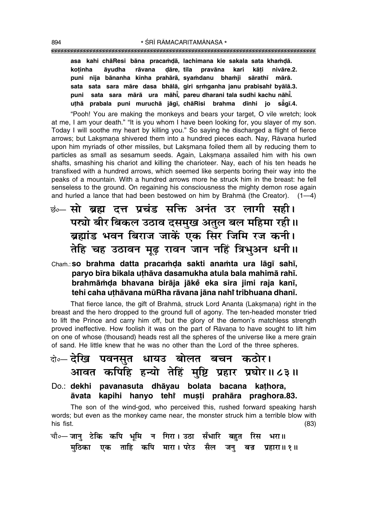"""""""""""""""""""""""""""""""""""""""""""""""""""""""""""""""""""""""""""""""""""

asa kahi chāResi bāna pracamdā, lachimana kie sakala sata khamdā. **ko¢inha åyudha råvana Œåre, tila pravåna kari kå¢i nivåre.2. puni nija bånanha k∂nha prahårå, sya≈danu bha≈ji sårath∂ mårå. sata sata sara måre dasa bhålå, giri sæ≈ganha janu prabisahiÚ byålå.3. puni sata sara mårå ura måh∂° , pareu dharani tala sudhi kachu nåh∂° . u¢hå prabala puni muruchå jåg∂, chåRisi brahma d∂nhi jo så° g∂.4.**

ìPooh! You are making the monkeys and bears your target, O vile wretch; look at me, I am your death." "It is you whom I have been looking for, you slayer of my son. Today I will soothe my heart by killing you." So saying he discharged a flight of fierce arrows; but Laksmana shivered them into a hundred pieces each. Nay, Rāvana hurled upon him myriads of other missiles, but Laksmana foiled them all by reducing them to particles as small as sesamum seeds. Again, Laksmana assailed him with his own shafts, smashing his chariot and killing the charioteer. Nay, each of his ten heads he transfixed with a hundred arrows, which seemed like serpents boring their way into the peaks of a mountain. With a hundred arrows more he struck him in the breast: he fell senseless to the ground. On regaining his consciousness the mighty demon rose again and hurled a lance that had been bestowed on him by Brahma (the Creator).  $(1-4)$ 

<u>ंक</u> सो ब्रह्म दत्त प्रचंड सक्ति अनंत उर लागी सही। पर्ख्यो बीर बिकल उठाव दसमुख अतुल बल महिमा रही ।। **ब्रह्मांड भवन बिराज जाकें एक सिर जिमि रज कनी।** <u>तेहि चह उठावन मुढ रावन जान नहिं त्रिभुअन धनी।</u>

## Cham.: so brahma datta pracamda sakti anamta ura lāgī sahī, **paryo b∂ra bikala u¢håva dasamukha atula bala mahimå rah∂. brahmå≈Œa bhavana biråja jåke° eka sira jimi raja kan∂, tehi caha u¢håvana mµuRha råvana jåna nahiÚ tribhuana dhan∂.**

That fierce lance, the gift of Brahma, struck Lord Ananta (Laksmana) right in the breast and the hero dropped to the ground full of agony. The ten-headed monster tried to lift the Prince and carry him off, but the glory of the demon's matchless strength proved ineffective. How foolish it was on the part of Rāvana to have sought to lift him on one of whose (thousand) heads rest all the spheres of the universe like a mere grain of sand. He little knew that he was no other than the Lord of the three spheres.

## दो**∘– देखि पवनसुत धायउ बोलत बचन कठोर।** <u>आवत कपिहि हन्यो तेहिं मुष्टि प्रहार प्रघोर॥८३॥</u>

Do.: **dekhi pavanasuta dhåyau bolata bacana ka¢hora, åvata kapihi hanyo tehiÚ mu¶¢i prahåra praghora.83.**

The son of the wind-god, who perceived this, rushed forward speaking harsh words; but even as the monkey came near, the monster struck him a terrible blow with his fist. (83)

चौ०— जानु टेकि कपि भूमि न गिरा। उठा सँभारि बहुत रिस **भरा**॥  $\overline{a}$ मठिका एक ताहि कपि मारा। परेउ सैल जन् बज्र प्रहारा॥ १॥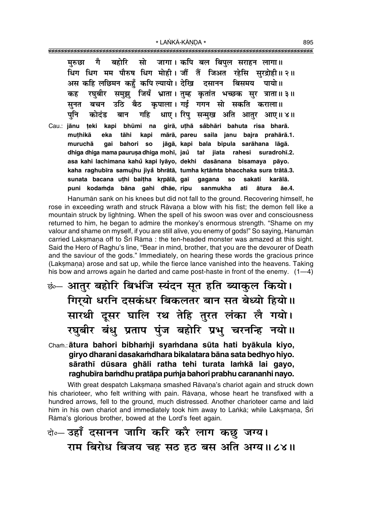गै बहोरि सो जागा। कपि बल बिपल सराहन लागा॥ मरुछा धिंग धिग मम पौरुष धिग मोही। जौं तैं जिअत रहेसि सुरद्रोही॥२॥ अस कहि लछिमन कहँ कपि ल्यायो। देखि दसानन बिसमय पायो ॥ रघुबीर समुझु जियँ भ्राता।तुम्ह कृतांत भच्छक सुर त्राता॥३॥ कह उठि बैठ कृपाला। गई गगन सो सकति कराला॥ बचन सनत धाए। रिपु सन्मुख अति आतुर आए॥४॥ गहि पनि कोदंड बान bhūmi na girā, uthā såbhāri bahuta risa bharā. Cau.: iānu teki kapi muthikā eka tāhi kapi mārā, pareu saila janu bajra prahārā.1. muruchā bahori jāgā, kapi bala bipula sarāhana lāgā. qai so dhiga dhiga mama paurusa dhiga mohī, jau tai jiata rahesi suradrohī.2. asa kahi lachimana kahů kapi lyāyo, dekhi dasānana bisamaya pāyo. kaha raghubīra samujhu jivå bhrātā, tumha krtāmta bhacchaka sura trātā.3. sunata bacana uthi baitha krpālā, gaī gagana **SO** sakati karālā puni kodamda bāna gahi dhāe, ripu sanmukha ati ātura āe.4.

Hanuman sank on his knees but did not fall to the ground. Recovering himself, he rose in exceeding wrath and struck Ravana a blow with his fist; the demon fell like a mountain struck by lightning. When the spell of his swoon was over and consciousness returned to him, he began to admire the monkey's enormous strength. "Shame on my valour and shame on myself, if you are still alive, you enemy of gods!" So saying, Hanumān carried Laksmana off to Sri Rāma: the ten-headed monster was amazed at this sight. Said the Hero of Raghu's line, "Bear in mind, brother, that you are the devourer of Death and the saviour of the gods." Immediately, on hearing these words the gracious prince (Laksmana) arose and sat up, while the fierce lance vanished into the heavens. Taking his bow and arrows again he darted and came post-haste in front of the enemy. (1-4)

ॐ आतुर बहोरि बिभंजि स्यंदन सूत हति ब्याकुल कियो। गिर्यो धरनि दसकंधर बिकलतर बान सत बेध्यो हियो ॥ सारथी दूसर घालि रथ तेहि तुरत लंका लै गयो। रघुबीर बंधु प्रताप पुंज बहोरि प्रभु चरनन्हि नयो।।

## Cham.: ātura bahori bibhamji syamdana sūta hati byākula kiyo, giryo dharani dasakamdhara bikalatara bāna sata bedhyo hiyo. sārathī dūsara ghāli ratha tehi turata lamkā lai gayo, raghubīra bamdhu pratāpa pumja bahori prabhu carananhi navo.

With great despatch Laksmana smashed Rāvana's chariot again and struck down his charioteer, who felt writhing with pain. Ravana, whose heart he transfixed with a hundred arrows, fell to the ground, much distressed. Another charioteer came and laid him in his own chariot and immediately took him away to Lanka; while Laksmana, Srī Rāma's glorious brother, bowed at the Lord's feet again.

# बे-उहाँ दसानन जागि करि करै लाग कछ जग्य। राम बिरोध बिजय चह सठ हठ बस अति अग्य॥८४॥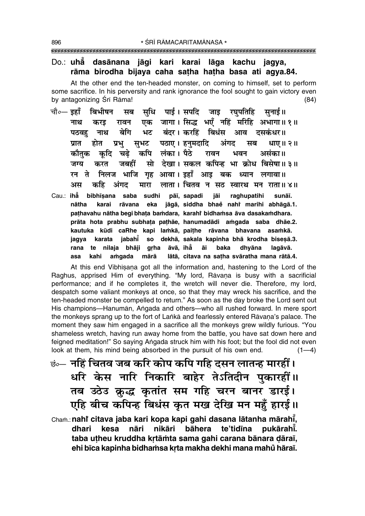## Do.: uhā dasānana jāgi kari karai lāga kachu jagya, rāma birodha bijaya caha satha hatha basa ati agya.84.

At the other end the ten-headed monster, on coming to himself, set to perform some sacrifice. In his perversity and rank ignorance the fool sought to gain victory even by antagonizing Srī Rāma!  $(84)$ 

- सधि पाई।सपदि जाड रघपतिहि चौ०— इहाँ बिभीषन सनाई॥ सब एक जागा। सिद्ध भएँ नहिं मरिहि अभागा॥१॥ नाथ रावन करड भट बंदर।करहिं बिधंस बेगि आव दसकंधर॥ नाथ पठवह सभट पठाए। हनमदादि प्रात प्रभ अंगत मब धाए॥ २॥ होत कपि लंका। पैठे कौतक कदि चढे रावन भवन असंका॥ जग्य जबर्ही सो देखा। सकल कपिन्ह भा क्रोध बिसेषा॥३॥ करत निलज भाजि गृह आवा। इहाँ आइ बक ध्यान लगावा॥ रन ते लाता। चितव न सठ स्वारथ मन राता॥४॥ कहि अंगद मारा अस
- Cau.: iha bibhīsana saba sudhi pāī, sapadi iāi raghupatihi sunāī. nātha karaj rāvana eka jāgā siddha bhae nahi marihi abhāgā.1. pathavahu nātha begi bhata bamdara, karahi bidhamsa āva dasakamdhara. prāta hota prabhu subhata pathāe, hanumadādi amgada saba dhāe.2. kautuka kūdi caRhe kapi lamkā, paithe rāvana bhavana asamkā. karata jabahī so dekhā, sakala kapinha bhā krodha bisesā.3. jagya nilaja bhāji grha āvā, ihā āi baka rana te dhyāna lagāvā. kahi amaada mārā lātā, citava na satha svāratha mana rātā.4. asa

At this end Vibhisana got all the information and, hastening to the Lord of the Raghus, apprised Him of everything. "My lord, Rāvana is busy with a sacrificial performance; and if he completes it, the wretch will never die. Therefore, my lord, despatch some valiant monkeys at once, so that they may wreck his sacrifice, and the ten-headed monster be compelled to return." As soon as the day broke the Lord sent out His champions—Hanumān, Angada and others—who all rushed forward. In mere sport the monkeys sprang up to the fort of Lanka and fearlessly entered Ravana's palace. The moment they saw him engaged in a sacrifice all the monkeys grew wildly furious. "You shameless wretch, having run away home from the battle, you have sat down here and feigned meditation!" So saying Angada struck him with his foot; but the fool did not even look at them, his mind being absorbed in the pursuit of his own end.  $(1-4)$ 

छं— नहिं चितव जब करि कोप कपि गहि दसन लातन्ह मारहीं। धरि केस नारि निकारि बाहेर तेऽतिदीन पुकारहीं॥ तब उठेउ क्रुद्ध कृतांत सम गहि चरन बानर डारई। एहि बीच कपिन्ह बिधंस कृत मख देखि मन महुँ हारई।। Cham.: nahi citava jaba kari kopa kapi gahi dasana lātanha mārahī, pukārahī. dhari kesa nāri nikāri bāhera te'tidīna taba utheu kruddha krtāmta sama gahi carana bānara dāraī, ehi bīca kapinha bidhamsa krta makha dekhi mana mahů hāraī.

896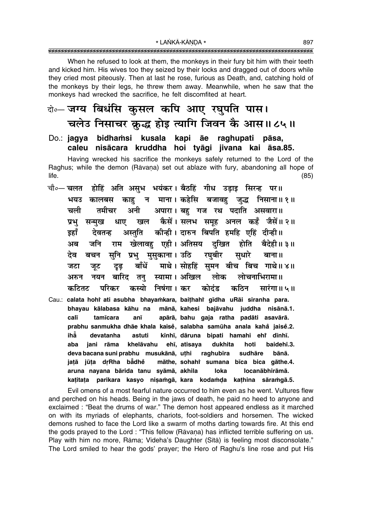When he refused to look at them, the monkeys in their fury bit him with their teeth and kicked him. His wives too they seized by their locks and dragged out of doors while they cried most piteously. Then at last he rose, furious as Death, and, catching hold of the monkeys by their legs, he threw them away. Meanwhile, when he saw that the monkeys had wrecked the sacrifice, he felt discomfited at heart.

## वे॰– जग्य बिधंसि कसल कपि आए रघपति पास। चलेउ निसाचर क्रुद्ध होइ त्यागि जिवन कै आस॥८५॥

### Do.: jagya bidhamsi kusala kapi āe raghupati pāsa, caleu nisācara kruddha hoi tyāgi jivana kai āsa.85.

Having wrecked his sacrifice the monkeys safely returned to the Lord of the Raghus; while the demon (Rāvana) set out ablaze with fury, abandoning all hope of life.  $(85)$ 

- चौ∘— चलत होहिं अति असुभ भयंकर। बैठहिं गीध उड़ाइ सिरन्ह पर॥ कालबस काहु न माना।।कहेसि बजावहु जुद्ध निसाना॥१॥ भयउ अपारा। बह गज रथ पदाति असवारा॥ चली तमीचर अनी सन्मख धाए खल कैसें।सलभ समह अनल कहँ जैसें॥२॥ प्रभ अस्तुति कीन्ही। दारुन बिपति हमहि एहिं दीन्ही।। इहाँ देवतन्न राम खेलावह एही।अतिसय दखित जनि होति अब बैदेही॥ ३॥ सनि प्रभु मसकाना। उठि रघबीर देव सुधारे बचन बाना ॥ माथे। सोहहिं समन बीच बिच गाथे॥४॥ बाँधें जटा जुट दुढ नयन बारिद तन् स्यामा। अखिल लोक लोचनाभिरामा॥ अरुन कटितट कस्यो निषंगा। कर कोदंड कठिन सारंगा॥ ५ ॥ परिकर
- Cau.: calata hohi ati asubha bhayamkara, baithahi gīdha uRāi siranha para. bhayau kālabasa kāhu na mānā, kahesi bajāvahu juddha nisānā.1. calī apārā, bahu gaja ratha padāti asavārā. tamīcara anī prabhu sanmukha dhāe khala kaisě, salabha samūha anala kahå jaisě.2. ihẳ kīnhī, dāruna bipati hamahi ehr dīnhī. devatanha astuti khelāvahu ehī, atisava dukhita hoti baidehī.3. aba jani rāma deva bacana suni prabhu musukānā, uthi raghubīra sudhāre bānā. jatā jūta drRha bādhe māthe, sohahi sumana bīca bica gāthe.4. aruna nayana bārida tanu syāmā, akhila loka locanābhirāmā. katitata parikara kasyo nisamgā, kara kodamda kathina sāramgā.5.

Evil omens of a most fearful nature occurred to him even as he went. Vultures flew and perched on his heads. Being in the jaws of death, he paid no heed to anyone and exclaimed : "Beat the drums of war." The demon host appeared endless as it marched on with its myriads of elephants, chariots, foot-soldiers and horsemen. The wicked demons rushed to face the Lord like a swarm of moths darting towards fire. At this end the gods prayed to the Lord: "This fellow (Ravana) has inflicted terrible suffering on us. Play with him no more, Rāma; Videha's Daughter (Sītā) is feeling most disconsolate." The Lord smiled to hear the gods' prayer; the Hero of Raghu's line rose and put His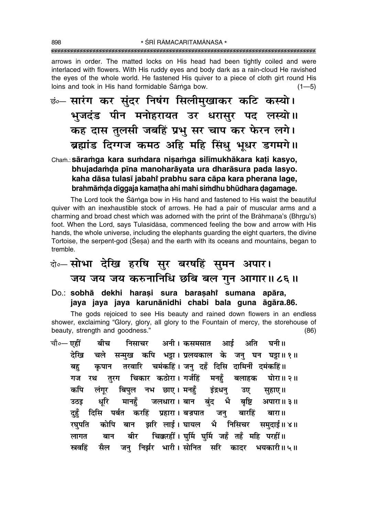arrows in order. The matted locks on His head had been tightly coiled and were interlaced with flowers. With His ruddy eyes and body dark as a rain-cloud He ravished the eyes of the whole world. He fastened His guiver to a piece of cloth girt round His loins and took in His hand formidable Sarnga bow.  $(1 - 5)$ 

छंं- सारंग कर सुंदर निषंग सिलीमुखाकर कटि कस्यो। भुजदंड पीन मनोहरायत उर धरासुर पद लस्यो।। कह दास तुलसी जबहिं प्रभु सर चाप कर फेरन लगे। ब्रह्मांड दिग्गज कमठ अहि महि सिंधु भूधर डगमगे।।

## Cham.: sāramga kara sumdara nisamga silīmukhākara kati kasyo, bhujadamda pīna manoharāyata ura dharāsura pada lasyo. kaha dāsa tulasī jabahi prabhu sara cāpa kara pherana lage, brahmāmda diggaja kamatha ahi mahi simdhu bhūdhara dagamage.

The Lord took the Sarnga bow in His hand and fastened to His waist the beautiful quiver with an inexhaustible stock of arrows. He had a pair of muscular arms and a charming and broad chest which was adorned with the print of the Brāhmana's (Bhrgu's) foot. When the Lord, says Tulasidasa, commenced feeling the bow and arrow with His hands, the whole universe, including the elephants guarding the eight quarters, the divine Tortoise, the serpent-god (Sesa) and the earth with its oceans and mountains, began to tremble.

# बे॰ सोभा देखि हरषि सुर बरषहिं सुमन अपार। जय जय जय करुनानिधि छबि बल गुन आगार॥८६॥

Do.: sobhā dekhi harasi sura barasahi sumana apāra, jaya jaya jaya karunānidhi chabi bala guna āgāra.86.

The gods rejoiced to see His beauty and rained down flowers in an endless shower, exclaiming "Glory, glory, all glory to the Fountain of mercy, the storehouse of beauty, strength and goodness."  $(86)$ 

चौ०— एहीं बीच निसाचर अनी। कसमसात आर्ड अति घनी ॥ देखि चले सन्मख कपि भड़ा। प्रलयकाल के जन घन घड़ा॥१॥ तरवारि चमंकहिं। जन् दहँ दिसि दामिनीं दमंकहिं॥ कपान बह तुरग चिकार कठोरा। गर्जहिं मनहँ बलाहक घोरा॥२॥ रथ गज लंगुर बिपुल नभ छाए। मनहँ इंद्रधन् कपि उए सहाए।। धरि मानहँ जलधारा। बान बंद भै बृष्टि अपारा॥३॥ उठड दिसि पर्बत करहिं प्रहारा।बजप्रपात दुहूँ जनु बारहिं बारा॥ झरि लाई। घायल भै निसिचर कोपि बान रघपति समदाई॥ ४॥ चिक्करहीं। घुर्मि घुर्मि जहँ तहँ महि परहीं॥ बीर लागत बान सैल जन् निर्झर भारी।सोनित सरि कादर भयकारी॥५॥ स्रवहिं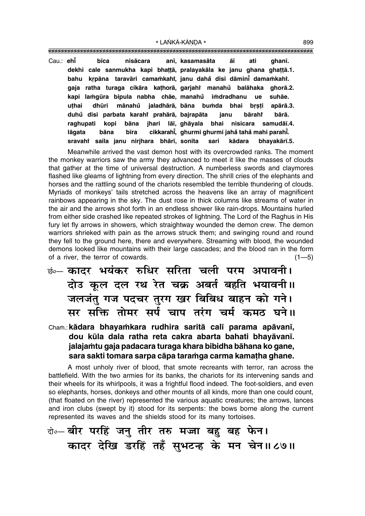| Cau.: ehi |        | bīca |                                                                      |  | nisācara anī, kasamasāta āī ati |  | ahanī.       |
|-----------|--------|------|----------------------------------------------------------------------|--|---------------------------------|--|--------------|
|           |        |      | dekhi cale sanmukha kapi bhattā, pralayakāla ke janu ghana ghattā.1. |  |                                 |  |              |
|           |        |      | bahu krpāna taravāri camamkahi, janu dahå disi dāminī damamkahi.     |  |                                 |  |              |
|           |        |      | gaja ratha turaga cikāra kathorā, garjahi manahů balāhaka ghorā.2.   |  |                                 |  |              |
|           |        |      | kapi lamgūra bipula nabha chāe, manahů imdradhanu ue suhāe.          |  |                                 |  |              |
|           | uthai  |      | dhūri mānahů jaladhārā, bāna bumda bhai bṛṣṭi apārā.3.               |  |                                 |  |              |
|           |        |      | duhů disi parbata karahi prahārā, bajrapāta janu bārahi              |  |                                 |  | bārā.        |
|           |        |      | raghupati kopi bāna jhari lāī, ghāyala bhai nisicara samudāī.4.      |  |                                 |  |              |
|           | lāɑata |      | bāna bīra cikkarahī, ghurmi ghurmi jahå tahå mahi parahī.            |  |                                 |  |              |
|           |        |      | sravahi saila janu nirjhara bhārī, sonita sari kādara                |  |                                 |  | bhayakārī.5. |

Meanwhile arrived the vast demon host with its overcrowded ranks. The moment the monkey warriors saw the army they advanced to meet it like the masses of clouds that gather at the time of universal destruction. A numberless swords and claymores flashed like gleams of lightning from every direction. The shrill cries of the elephants and horses and the rattling sound of the chariots resembled the terrible thundering of clouds. Myriads of monkeys' tails stretched across the heavens like an array of magnificent rainbows appearing in the sky. The dust rose in thick columns like streams of water in the air and the arrows shot forth in an endless shower like rain-drops. Mountains hurled from either side crashed like repeated strokes of lightning. The Lord of the Raghus in His fury let fly arrows in showers, which straightway wounded the demon crew. The demon warriors shrieked with pain as the arrows struck them; and swinging round and round they fell to the ground here, there and everywhere. Streaming with blood, the wounded demons looked like mountains with their large cascades; and the blood ran in the form of a river, the terror of cowards.  $(1-5)$ 

**छं⊶ कादर भयंकर रुधिर सरिता चली परम अपावनी।** दोउ कूल दल रथ रेत चक्र अबर्त बहति भयावनी ।। जलजंतु गज पदचर तुरग खर बिबिध बाहन को गने। मर सक्ति तोमर सर्प चाप तरंग चर्म कमठ घने॥

## Cha≈.:**kådara bhaya≈kara rudhira saritå cal∂ parama apåvan∂, dou kµula dala ratha reta cakra abarta bahati bhayåvan∂. jalaja≈tu gaja padacara turaga khara bibidha båhana ko gane, sara sakti tomara sarpa cåpa tara≈ga carma kama¢ha ghane.**

A most unholy river of blood, that smote recreants with terror, ran across the battlefield. With the two armies for its banks, the chariots for its intervening sands and their wheels for its whirlpools, it was a frightful flood indeed. The foot-soldiers, and even so elephants, horses, donkeys and other mounts of all kinds, more than one could count, (that floated on the river) represented the various aquatic creatures; the arrows, lances and iron clubs (swept by it) stood for its serpents: the bows borne along the current represented its waves and the shields stood for its many tortoises.

# दो**०– बीर परहिं जनु तीर तरु मज्जा बहु बह फेन। कादर देखि डरहिं तहँ सुभटन्ह के मन चेन॥८७॥**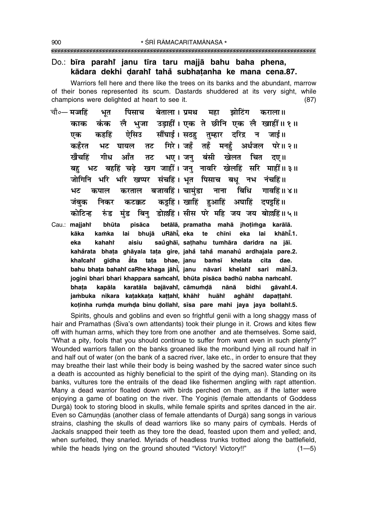#### Do.: bīra parahi janu tīra taru majjā bahu baha phena, kādara dekhi darahi tahå subhatanha ke mana cena.87.

Warriors fell here and there like the trees on its banks and the abundant, marrow of their bones represented its scum. Dastards shuddered at its very sight, while champions were delighted at heart to see it.  $(87)$ 

- चौ०— मज्जहिं बेताला । प्रमथ झोटिंग पिसाच महा कराला ॥ भत लै भजा उड़ाहीं। एक ते छीनि एक लै खाहीं॥१॥ काक कंक सौंघाई। सठह़ तुम्हार दरिद्र न जाई॥ ऐसिउ एक कहहिं कहँरत गिरे। जहँ तहँ मनहँ अर्धजल परे॥ २॥ भट घायल तट भए। जनु बंसी खेलत चित खैंचहिं गीध ऑंत तट दए ॥ बह भट बहहिं चढे खग जाहीं। जन नावरि खेलहिं सरि माहीं॥३॥ जोगिनि भरि भरि खप्पर संचहिं। भूत पिसाच बधु नभ नंचहिं॥ बजावहिं । चामंडा बिधि नाना गावहिं॥ ४॥ भट कपाल करताल कड़हिं। खाहिं हुआहिं अघाहिं दपइहिं॥ जंबक निकर कटक्कट बिन् डोल्लहिं। सीस परे महि जय जय बोल्लहिं॥५॥ कोटिन्ह रुंड मुंड
- pisāca betālā, pramatha mahā jhotimga karālā. Cau.: majjahř bhūta bhujā uRāhi, eka kāka te eka khāhī.1. kamka lai chīni lai saughāi, sathahu tumhāra daridra na jāi. eka kahaht aisiu kahårata bhata ghāyala tata gire, jahå tahå manahů ardhajala pare.2. khaicahi gīdha āta tata bhae, janu bamsī khelata cita dae. bahu bhata bahahi caRhe khaga jāhi, janu nāvari khelahi sari māhi.3. jogini bhari bhari khappara samcahi, bhūta pisāca badhū nabha namcahi. bhata kapāla karatāla bajāvahi, cāmumdā nānā bidhi qāvahi.4. jambuka nikara katakkata kattahi, khāhi dapattahi. huāht aghāhr koținha rumda mumda binu dollahi, sisa pare mahi jaya jaya bollahi.5.

Spirits, ghouls and goblins and even so frightful genii with a long shaggy mass of hair and Pramathas (Siva's own attendants) took their plunge in it. Crows and kites flew off with human arms, which they tore from one another and ate themselves. Some said, "What a pity, fools that you should continue to suffer from want even in such plenty?" Wounded warriors fallen on the banks groaned like the moribund lying all round half in and half out of water (on the bank of a sacred river, lake etc., in order to ensure that they may breathe their last while their body is being washed by the sacred water since such a death is accounted as highly beneficial to the spirit of the dying man). Standing on its banks, vultures tore the entrails of the dead like fishermen angling with rapt attention. Many a dead warrior floated down with birds perched on them, as if the latter were enjoying a game of boating on the river. The Yoginis (female attendants of Goddess Durgā) took to storing blood in skulls, while female spirits and sprites danced in the air. Even so Cāmundās (another class of female attendants of Durgā) sang songs in various strains, clashing the skulls of dead warriors like so many pairs of cymbals. Herds of Jackals snapped their teeth as they tore the dead, feasted upon them and yelled; and, when surfeited, they snarled. Myriads of headless trunks trotted along the battlefield, while the heads lying on the ground shouted "Victory! Victory!!"  $(1 - 5)$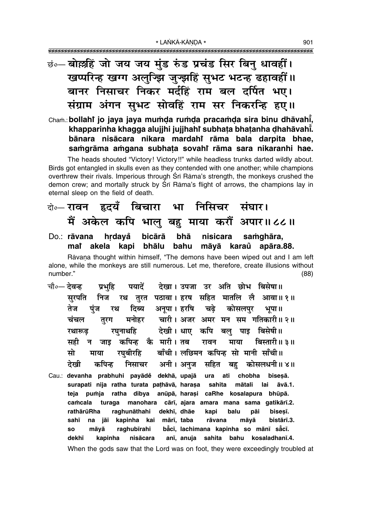<u>छं॰– बोर्ल्लहिं जो जय जय मुंड रुंड प्रचंड सिर बिनु धावहीं।</u> खप्परिन्ह खग्ग अलुज्झि जुज्झहिं सुभट भटन्ह ढहावहीं॥ बानर निसाचर निकर मर्दहिं राम बल दर्पित भए। संग्राम अंगन सुभट सोवहिं राम सर निकरन्हि हुए।।

Cham.: bollahi jo jaya jaya mumda rumda pracamda sira binu dhāvahi, khapparinha khaqqa alujihi jujihahi subhata bhatanha dhahāvahi. bānara nisācara nikara mardahi rāma bala darpita bhae, samgrāma amgana subhata sovahi rāma sara nikaranhi hae.

The heads shouted "Victory! Victory!!" while headless trunks darted wildly about. Birds got entangled in skulls even as they contended with one another; while champions overthrew their rivals. Imperious through Srī Rāma's strength, the monkeys crushed the demon crew; and mortally struck by Sri Rama's flight of arrows, the champions lay in eternal sleep on the field of death.

# के⊶ रावन हृदयँ बिचारा भा निसिचर संघार। मैं अकेल कपि भालू बह माया करौं अपार॥८८॥

bicārā hrdayå bhā nisicara Do.: rāvana samghāra, mai akela kapi bhālu bahu māyā karaŭ apāra.88.

Rāvana thought within himself, "The demons have been wiped out and I am left alone, while the monkeys are still numerous. Let me, therefore, create illusions without number."  $(88)$ 

- चौ०— देवन्ह पयादें देखा। उपजा उर अति छोभ बिसेषा॥ प्रभहि रथ तरत पठावा। हरष सहित मातलि लै सरपति निज आवा॥ १॥ अनपा । हरषि तेज पंज रथ दिब्य चढे कोसलपुर भपा ॥ मनोहर वारी। अजर अमर मन सम गतिकारी॥ २॥ तूरग चंचल देखी। धाए कपि बल् पाइ बिसेषी॥ रघनाथहि रथारूढ जाड़ कपिन्ह कै मारी। तब रावन माया बिस्तारी॥ ३॥ सही न बाँची। लछिमन कपिन्ह सो मानी साँची॥ रघबीरहि मो माया देखी निसाचर अनी। अनज सहित बह कोसलधनी॥४॥ कपिन्ह
- Cau.: devanha prabhuhi payādě dekhā, upajā ati chobha bisesā. ura surapati nija ratha turata pathāvā, haraṣa sahita mātali lai āvā.1. teja pumja ratha dibya anūpā, harasi caRhe kosalapura bhūpā. camcala turaga manohara cārī, ajara amara mana sama gatikārī.2. rathārūRha raghunāthahi dekhī, dhāe kapi balu pāi bisesī. mārī, taba sahī na jāi kapinha kai rāvana māyā bistārī.3. bằcī, lachimana kapinha so mānī sắcī. **SO** raghubīrahi māyā anī, anuja bahu kosaladhanī.4. dekhī kapinha nisācara sahita When the gods saw that the Lord was on foot, they were exceedingly troubled at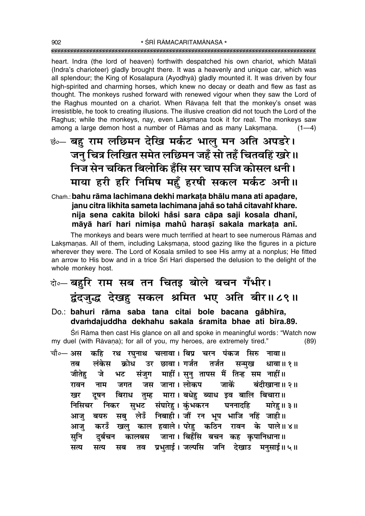heart. Indra (the lord of heaven) forthwith despatched his own chariot, which Mātali (Indra's charioteer) gladly brought there. It was a heavenly and unique car, which was all splendour; the King of Kosalapura (Ayodhya) gladly mounted it. It was driven by four high-spirited and charming horses, which knew no decay or death and flew as fast as thought. The monkeys rushed forward with renewed vigour when they saw the Lord of the Raghus mounted on a chariot. When Ravana felt that the monkey's onset was irresistible, he took to creating illusions. The illusive creation did not touch the Lord of the Raghus; while the monkeys, nay, even Laksmana took it for real. The monkeys saw among a large demon host a number of Rāmas and as many Laksmana.  $(1-4)$ 

## <u>ं :-</u> बहु राम लछिमन देखि मर्कट भालु मन अति अपडरे। जन चित्र लिखित समेत लछिमन जहँ सो तहँ चितवहिं खरे।। निज सेन चकित बिलोकि हँसि सर चाप सजि कोसल धनी। माया हरी हरि निमिष महँ हरषी सकल मर्कट अनी।।

Cham.: bahu rāma lachimana dekhi markata bhālu mana ati apadare, janu citra likhita sameta lachimana jahå so tahå citavahi khare. nija sena cakita biloki håsi sara cāpa saji kosala dhanī, māyā harī hari nimisa mahu harasī sakala markata anī.

The monkeys and bears were much terrified at heart to see numerous Rāmas and Laksmanas. All of them, including Laksmana, stood gazing like the figures in a picture wherever they were. The Lord of Kosala smiled to see His army at a nonplus; He fitted an arrow to His bow and in a trice Sri Hari dispersed the delusion to the delight of the whole monkey host.

## बे-बहुरि राम सब तन चितड़ बोले बचन गँभीर। द्वंदजुद्ध देखहु सकल श्रमित भए अति बीर॥८९॥

Do.: bahuri rāma saba tana citai bole bacana gåbhīra, dvamdajuddha dekhahu sakala śramita bhae ati bīra.89.

Śrī Rāma then cast His glance on all and spoke in meaningful words: "Watch now my duel (with Rāvaṇa); for all of you, my heroes, are extremely tired."  $(89)$ 

कहि रथ रघुनाथ चलावा। बिप्र चरन पंकज सिरु नावा॥ चौ०— अस क्रोध उर छावा।गर्जत तर्जत सन्मुख तब लंकेस धावा ॥ १ ॥ संजुग माहीं। सुनु तापस मैं तिन्ह सम नाहीं॥ जीतेह जे भट जस जाना। लोकप जाकें जगत बंदीखाना॥ २॥ रावन नाम बिराध तुम्ह मारा। बधेहु ब्याध इव बालि बिचारा॥ खर दुषन निकर सुभट संघारेहु।कुंभकरन घननादहि मारेहु॥३॥ निसिचर सबु लेउँ निबाही। जौं रन भूप भाजि नहिं जाही॥ आजु बयरु करडँ खलु काल हवाले। परेहु कठिन रावन के पाले॥४॥ आज् कालबस जाना। बिहँसि बचन कह कृपानिधाना॥ सनि दर्बचन तव प्रभुताई। जल्पसि जनि देखाउ मनुसाई॥५॥ सत्य सत्य सब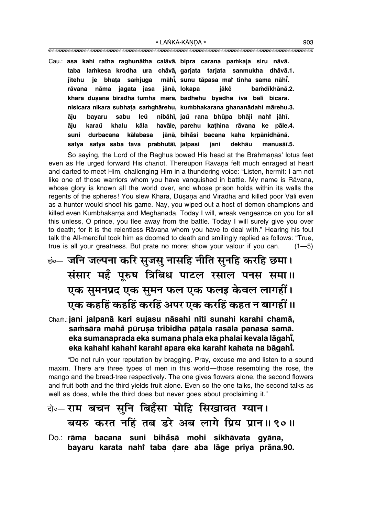Cau.: asa kahi ratha raghunātha calāvā, bipra carana pamkaja siru nāvā. taba lamkesa krodha ura chāvā, garjata tarjata sanmukha dhāvā.1. māhi, sunu tāpasa mai tinha sama nāhi. je bhata samjuga jītehu nāma jagata jasa jānā, lokapa jākě bamdīkhānā.2. rāvana khara dūsana birādha tumha mārā, badhehu byādha iva bāli bicārā. nisicara nikara subhata samghārehu, kumbhakarana ghananādahi mārehu.3. nibāhī, jaŭ rana bhūpa bhāji naht jāhī. sabu leů āiu bavaru karaů kāla havāle, parehu kathina rāvana ke pāle.4. āju khalu jānā, bihåsi bacana kaha krpānidhānā. durbacana kālabasa suni satya satya saba tava prabhutāi, jalpasi dekhāu jani manusāī.5.

So saying, the Lord of the Raghus bowed His head at the Brāhmanas' lotus feet even as He urged forward His chariot. Thereupon Rāvana felt much enraged at heart and darted to meet Him, challenging Him in a thundering voice: "Listen, hermit: I am not like one of those warriors whom you have vanguished in battle. My name is Rāvana, whose glory is known all the world over, and whose prison holds within its walls the regents of the spheres! You slew Khara, Dūsana and Virādha and killed poor Vāli even as a hunter would shoot his game. Nay, you wiped out a host of demon champions and killed even Kumbhakarna and Meghanāda. Today I will, wreak vengeance on you for all this unless, O prince, you flee away from the battle. Today I will surely give you over to death; for it is the relentless Ravana whom you have to deal with." Hearing his foul talk the All-merciful took him as doomed to death and smilingly replied as follows: "True, true is all your greatness. But prate no more; show your valour if you can.  $(1 - 5)$ 

# छं— जनि जल्पना करि सुजसु नासहि नीति सुनहि करहि छमा। संसार महँ पुरुष त्रिबिध पाटल रसाल पनस समा॥ एक सुमनप्रद एक सुमन फल एक फलइ केवल लागहीं। एक कहहिं कहहिं करहिं अपर एक करहिं कहत न बागहीं ॥

Cham.: jani jalpanā kari sujasu nāsahi nīti sunahi karahi chamā, samsāra mahā pūrusa tribidha pātala rasāla panasa samā. eka sumanaprada eka sumana phala eka phalai kevala lāgahī, eka kahahi kahahi karahi apara eka karahi kahata na bāgahi.

"Do not ruin your reputation by bragging. Pray, excuse me and listen to a sound maxim. There are three types of men in this world—those resembling the rose, the mango and the bread-tree respectively. The one gives flowers alone, the second flowers and fruit both and the third yields fruit alone. Even so the one talks, the second talks as well as does, while the third does but never goes about proclaiming it."

# बे॰- राम बचन सुनि बिहँसा मोहि सिखावत ग्यान। बयरु करत नहिं तब डरे अब लागे प्रिय प्रान॥ ९०॥

Do.: rāma bacana suni bihasā mohi sikhāvata gyāna, bayaru karata nahi taba dare aba lāge priya prāna.90.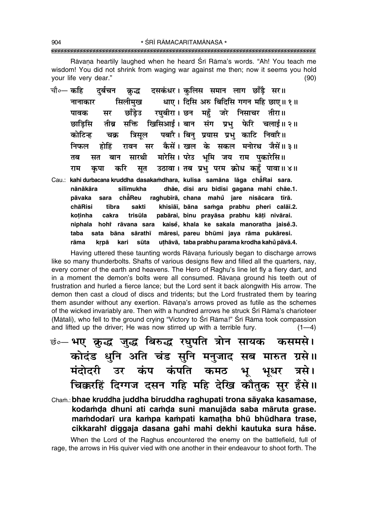\* ŚRĪ RĀMACARITAMĀNASA \* 

Rāvana heartily laughed when he heard Śrī Rāma's words. "Ah! You teach me wisdom! You did not shrink from waging war against me then; now it seems you hold vour life very dear."  $(90)$ 

- क्रद्ध दसकंधर। कलिस समान लाग छाँडै सर॥ चौ०— कहि दर्बचन धाए। दिसि अरु बिदिसि गगन महि छाए॥ १॥ सिलीमख नानाकार रघुबीरा। छन महँ जरे निसाचर तीरा॥ सर छाँडेउ पावक तीब्र सक्ति खिसिआई।बान संग प्रभ फेरि चलाई॥२॥ छाडिसि पबारै। बिन प्रयास प्रभ काटि निवारै॥ कोटिन्ह चक्र त्रिसल सर कैसें। खल के सकल मनोरथ जैसें॥३॥ निफल होहिं रावन सारथी मारेसि। परेउ भूमि जय राम पकारेसि॥ बान तब सत करि उठावा। तब प्रभु परम क्रोध कहँ पावा॥४॥ राम कपा सुत
- Cau.: kahi durbacana kruddha dasakamdhara, kulisa samāna lāga chāRai sara. nānākāra silīmukha dhãe, disi aru bidisi gagana mahi chãe.1. pāvaka chẳReu raghubīrā, chana mahů jare nisācara tīrā. sara chāRisi tībra sakti khisiāi, bāna samga prabhu pheri calāi.2. pabārai, binu pravāsa prabhu kāti nivārai. kotinha cakra trisūla niphala hohi rāvana sara kaise, khala ke sakala manoratha jaise.3. sata bāna sārathī māresi, pareu bhūmi jaya rāma pukāresi. taba uthāvā, taba prabhu parama krodha kahů pāvā.4. rāma krpā kari sūta

Having uttered these taunting words Rāvana furiously began to discharge arrows like so many thunderbolts. Shafts of various designs flew and filled all the quarters, nay, every corner of the earth and heavens. The Hero of Raghu's line let fly a fiery dart, and in a moment the demon's bolts were all consumed. Ravana ground his teeth out of frustration and hurled a fierce lance; but the Lord sent it back alongwith His arrow. The demon then cast a cloud of discs and tridents; but the Lord frustrated them by tearing them asunder without any exertion. Ravana's arrows proved as futile as the schemes of the wicked invariably are. Then with a hundred arrows he struck Srī Rāma's charioteer (Mātali), who fell to the ground crying "Victory to Śrī Rāma!" Śrī Rāma took compassion and lifted up the driver; He was now stirred up with a terrible fury.  $(1-4)$ 

छं∘– भए क्लुद्ध जुद्ध बिरुद्ध रघुपति त्रोन सायक कसमसे। कोदंड धुनि अति चंड सुनि मनुजाद सब मारुत ग्रसे।। मंदोदरी उर कंप कंपति कमठ भू भूधर त्रसे। चिक्करहिं दिग्गज दसन गहि महि देखि कौतुक सुर हँसे ।।

Cham.: bhae kruddha juddha biruddha raghupati trona sāyaka kasamase, kodamda dhuni ati camda suni manujāda saba māruta grase. mamdodarī ura kampa kampati kamatha bhū bhūdhara trase, cikkarahi diggaja dasana gahi mahi dekhi kautuka sura hăse.

When the Lord of the Raghus encountered the enemy on the battlefield, full of rage, the arrows in His quiver vied with one another in their endeavour to shoot forth. The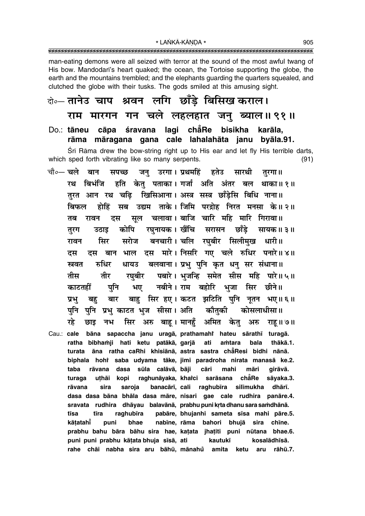\* LANKĀ-KĀNDA \*  $\frac{1}{1}$ 

man-eating demons were all seized with terror at the sound of the most awful twang of His bow. Mandodari's heart quaked; the ocean, the Tortoise supporting the globe, the earth and the mountains trembled; and the elephants quarding the quarters squealed, and clutched the globe with their tusks. The gods smiled at this amusing sight.

# बेन्नलानेउ चाप श्रवन लगि छाँड़े बिसिख कराल। राम मारगन गन चले लहलहात जनु ब्याल॥ ९१॥

Do.: tāneu cāpa śravana lagi chẳRe bisikha karāla. rāma māragana gana cale lahalahāta janu byāla.91.

Śrī Rāma drew the bow-string right up to His ear and let fly His terrible darts. which sped forth vibrating like so many serpents.  $(91)$ 

- चौ∘— चले बान सपच्छ जन उरगा।प्रथमहिं हतेउ सारथी तरगा ॥ हति केत पताका।गर्जा अति अंतर बल रथ बिभंजि थाका॥ १॥ तरत आन रथ चढि खिसिआना। अस्त्र सस्त्र छाँडेसि बिधि नाना॥ होहिं सब उद्यम ताके।जिमि परद्रोह निरत मनसा के॥२॥ बिफल सुल चलावा। बाजि चारि महि मारि गिरावा॥ तब रावन दस रघनायक। खैंचि सरासन छाँडे कोपि सायक॥ ३॥ तरग उठाड सरोज बनचारी। चलि रघबीर सिलीमुख धारी॥ सिर रावन दस बान भाल दस मारे।निसरि गए चले रुधिर पनारे॥४॥ दस बलवाना। प्रभु पुनि कृत धनु सर संधाना॥ स्रवत रुधिर धायउ रघबीर पबारे। भजन्हि समेत सीस महि पारे॥५॥ तीर तीस नबीने। राम बहोरि भुजा सिर छीने॥ काटतहीं पनि भए बाह सिर हए। कटत झटिति पुनि नृतन भए॥६॥ प्रभ बह बार पनि पनि प्रभ काटत भज सीसा। अति कौतकी कोसलाधीसा ॥ सिर अरु बाह। मानहँ अमित केत अरु ग्द्रे छाड नभ राह ॥ ७॥ Cau.: cale bāna sapaccha janu uragā, prathamahî hateu sārathī turagā. ratha bibhamji hati ketu patākā, garjā ati amtara bala thākā.1. turata āna ratha caRhi khisiānā, astra sastra chāResi bidhi nānā. biphala hohi saba udyama tāke, jimi paradroha nirata manasā ke.2. cāri māri taba rāvana dasa sūla calāvā, bāji mahi girāvā. uthāi kopi raghunāyaka, kharci chẵRe turaga sarāsana sāyaka.3. banacārī, cali rāvana sira saroja raghubīra silīmukha dhārī.
	- dasa dasa bāna bhāla dasa māre, nisari gae cale rudhira panāre.4. sravata rudhira dhāyau balavānā, prabhu puni krta dhanu sara samdhānā. pabāre, bhujanhi sameta sīsa mahi pāre.5. tīsa tīra raghubīra kātatahī puni bhae nabīne, rāma bahori bhujā sira chīne. prabhu bahu bāra bāhu sira hae, katata jhatiti puni nūtana bhae.6. puni puni prabhu kātata bhuja sīsā, ati kautukī kosalādhīsā. rahe chāi nabha sira aru bāhū, mānahů amita ketu aru rāhū.7.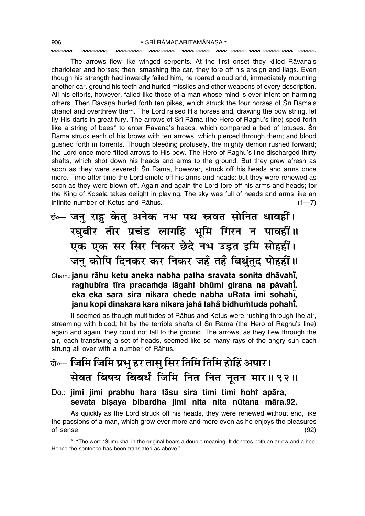The arrows flew like winged serpents. At the first onset they killed Rāvana's charioteer and horses; then, smashing the car, they tore off his ensign and flags. Even though his strength had inwardly failed him, he roared aloud and, immediately mounting another car, ground his teeth and hurled missiles and other weapons of every description. All his efforts, however, failed like those of a man whose mind is ever intent on harming others. Then Rāvana hurled forth ten pikes, which struck the four horses of Śrī Rāma's chariot and overthrew them. The Lord raised His horses and, drawing the bow string, let fly His darts in great fury. The arrows of Śrī Rāma (the Hero of Raghu's line) sped forth like a string of bees\* to enter Rāvana's heads, which compared a bed of lotuses. Śrī Råma struck each of his brows with ten arrows, which pierced through them; and blood gushed forth in torrents. Though bleeding profusely, the mighty demon rushed forward; the Lord once more fitted arrows to His bow. The Hero of Raghu's line discharged thirty shafts, which shot down his heads and arms to the ground. But they grew afresh as soon as they were severed; Śrī Rāma, however, struck off his heads and arms once more. Time after time the Lord smote off his arms and heads; but they were renewed as soon as they were blown off. Again and again the Lord tore off his arms and heads; for the King of Kosala takes delight in playing. The sky was full of heads and arms like an infinite number of Ketus and Rāhus. (1–7)

 $\vec{v}$ ं– जन् राह केत् अनेक नभ पथ स्रवत सोनित धावहीं। *र*घुबीर तीर प्रचंड लागहिं भूमि गिरन न पावहीं।। **एक एक सर सिर निकर छेदे नभ उड़त इमि सोहहीं।** जन कोपि दिनकर कर निकर जहँ तहँ बिधुंतुद पोहहीं ॥

Chaṁ.: **janu rāhu ketu aneka nabha patha sravata sonita dhāvahi̇̃, raghub∂ra t∂ra praca≈Œa lågahiÚ bhµumi girana na påvah∂° . eka eka sara sira nikara chede nabha uRata imi sohah∂° , janu kopi dinakara kara nikara jaha° taha° bidhu≈tuda pohah∂° .**

It seemed as though multitudes of Råhus and Ketus were rushing through the air, streaming with blood; hit by the terrible shafts of Śrī Rāma (the Hero of Raghu's line) again and again, they could not fall to the ground. The arrows, as they flew through the air, each transfixing a set of heads, seemed like so many rays of the angry sun each strung all over with a number of Råhus.

# दो**0— जिमि जिमि प्रभु हर तासु सिर तिमि तिमि होहिं अपार।** सेवत बिषय बिबर्ध जिमि नित नित नूतन मार॥ ९२॥

Do.: **jimi jimi prabhu hara tåsu sira timi timi hohiÚ apåra,** sevata bisaya bibardha jimi nita nita nūtana māra.92.

As quickly as the Lord struck off his heads, they were renewed without end, like the passions of a man, which grow ever more and more even as he enjoys the pleasures of sense. (92)

<sup>\* &</sup>quot;The word 'Śilīmukha' in the original bears a double meaning. It denotes both an arrow and a bee. Hence the sentence has been translated as above."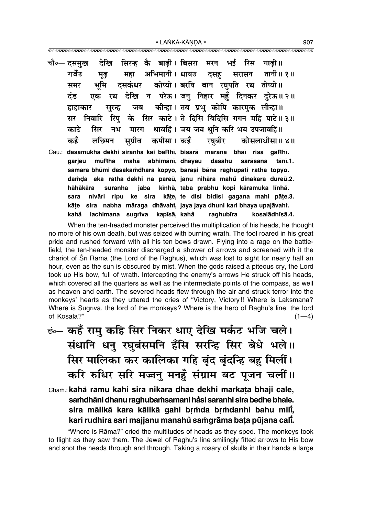|     |  | चौ०— दसमुख    देखि   सिरन्ह   कै   बाढ़ी। बिसरा   मरन   भई   रिस   गाढ़ी॥ |  |                                                                         |
|-----|--|---------------------------------------------------------------------------|--|-------------------------------------------------------------------------|
|     |  |                                                                           |  | गर्जेउ मूढ़ महा अभिमानी।धायउ दसहु सरासन तानी॥१॥                         |
| समर |  | भूमि दसकंधर कोप्यो।बरषि बान रघुपति रथ तोप्यो॥                             |  |                                                                         |
|     |  |                                                                           |  | दंड एक रथ देखि न परेऊ।जनु निहार महुँ दिनकर दुरेऊ॥२॥                     |
|     |  | हाहाकार सुरन्ह जब कीन्हा।तब प्रभु कोपि कारमुक लीन्हा॥                     |  |                                                                         |
|     |  |                                                                           |  | सर निवारि रिपु के सिर काटे। ते दिसि बिदिसि गगन महि पाटे॥३॥              |
|     |  | काटे सिर नभ मारग धावहिं। जय जय धुनि करि भय उपजावहिं॥                      |  |                                                                         |
|     |  |                                                                           |  | कहँ लछिमन सुग्रीव कपीसा। कहँ रघुबीर कोसलाधीसा॥ ४॥                       |
|     |  |                                                                           |  | Cau.: dasamukha dekhi siranha kai bāRhī, bisarā marana bhaī risa gāRhī. |
|     |  |                                                                           |  | garjeu mūRha mahā abhimānī, dhāyau dasahu sarāsana tānī.1.              |
|     |  |                                                                           |  |                                                                         |

samara bhūmi dasakamdhara kopyo, barasi bāna raghupati ratha topyo. damda eka ratha dekhi na pareū, janu nihāra mahů dinakara dureū.2. hāhākāra suranha jaba kīnhā, taba prabhu kopi kāramuka līnhā. nivāri ripu ke sira kāte, te disi bidisi gagana mahi pāte.3. sara kāte sira nabha māraga dhāvahi, jaya jaya dhuni kari bhaya upajāvahi. kahå lachimana sugrīva kapīsā, kahå raghubīra kosalādhīsā.4.

When the ten-headed monster perceived the multiplication of his heads, he thought no more of his own death, but was seized with burning wrath. The fool roared in his great pride and rushed forward with all his ten bows drawn. Flying into a rage on the battlefield, the ten-headed monster discharged a shower of arrows and screened with it the chariot of Sri Rama (the Lord of the Raghus), which was lost to sight for nearly half an hour, even as the sun is obscured by mist. When the gods raised a piteous cry, the Lord took up His bow, full of wrath. Intercepting the enemy's arrows He struck off his heads, which covered all the quarters as well as the intermediate points of the compass, as well as heaven and earth. The severed heads flew through the air and struck terror into the monkeys' hearts as they uttered the cries of "Victory, Victory!! Where is Laksmana? Where is Sugriva, the lord of the monkeys? Where is the hero of Raghu's line, the lord of Kosala?"  $(1-4)$ 

- कं- कहँ रामु कहि सिर निकर धाए देखि मर्कट भजि चले। संधानि धनु रघुबंसमनि हँसि सरन्हि सिर बेधे भले॥ सिर मालिका कर कालिका गहि बुंद बुंदन्हि बहु मिलीं। करि रुधिर सरि मजन् मनहुँ संग्राम बट पूजन चलीं॥
- Cham.: kahå rāmu kahi sira nikara dhāe dekhi markata bhaji cale, samdhāni dhanu raghubamsamani håsi saranhi sira bedhe bhale. sira mālikā kara kālikā gahi brmda brmdanhi bahu mili, kari rudhira sari majjanu manahů samgrāma bata pūjana cali.

"Where is Rāma?" cried the multitudes of heads as they sped. The monkeys took to flight as they saw them. The Jewel of Raghu's line smilingly fitted arrows to His bow and shot the heads through and through. Taking a rosary of skulls in their hands a large

907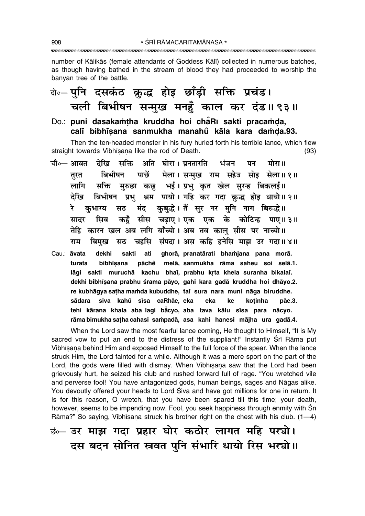\* ŚRĪ RĀMACARITAMĀNASA \* 

number of Kālikās (female attendants of Goddess Kālī) collected in numerous batches, as though having bathed in the stream of blood they had proceeded to worship the banyan tree of the battle.

# बे॰-पुनि दसकंठ क्रुद्ध होइ छाँड़ी सक्ति प्रचंड। चली बिभीषन सन्मुख मनहुँ काल कर दंड॥९३॥

Do.: puni dasakamtha kruddha hoi chẳRī sakti pracamda, calī bibhīsana sanmukha manahů kāla kara damda.93.

Then the ten-headed monster in his fury hurled forth his terrible lance, which flew straight towards Vibhisana like the rod of Death.  $(93)$ 

सक्ति अति घोरा। प्रनतारति चौ∘— आवत देखि भंजन पन मोरा॥ पाछें मेला। सन्मख राम सहेउ सोइ सेला॥१॥ बिभीषन तरत मुरुछा कछ भई। प्रभु कृत खेल सुरन्ह बिकलई॥ लागि सक्ति बिभीषन प्रभु श्रम पायो। गहि कर गदा क्रुद्ध होइ धायो॥ २॥ देखि कुबुद्धे। तैं सुर नर मुनि नाग बिरुद्धे॥ रे कुभाग्य सठ मंद कहँ सीस चढ़ाए। एक एक के कोटिन्ह पाए॥३॥ सिव सादर तेहि कारन खल अब लगि बाँच्यो। अब तव काल सीस पर नाच्यो॥ बिमख सठ चहसि संपदा। अस कहि हनेसि माझ उर गदा॥४॥ राम Cau.: āvata dekhi sakti ghorā, pranatārati bhamjana pana morā. ati turata bibhīsana pāchẻ melā, sanmukha rāma saheu soi selā.1. lāgi sakti muruchā kachu bhaī, prabhu krta khela suranha bikalaī. dekhi bibhīsana prabhu śrama pāyo, gahi kara gadā kruddha hoi dhāyo.2. re kubhāgya satha mamda kubuddhe, tai sura nara muni nāga biruddhe. siva kahů sīsa caRhāe, eka sādara eka ke kotinha pāe.3. tehi kārana khala aba lagi bằcyo, aba tava kālu sīsa para nācyo. rāma bimukha satha cahasi sampadā, asa kahi hanesi mājha ura gadā.4.

When the Lord saw the most fearful lance coming, He thought to Himself, "It is My sacred vow to put an end to the distress of the suppliant!" Instantly Sri Rama put Vibhisana behind Him and exposed Himself to the full force of the spear. When the lance struck Him, the Lord fainted for a while. Although it was a mere sport on the part of the Lord, the gods were filled with dismay. When Vibhisana saw that the Lord had been grievously hurt, he seized his club and rushed forward full of rage. "You wretched vile and perverse fool! You have antagonized gods, human beings, sages and Nāgas alike. You devoutly offered your heads to Lord Siva and have got millions for one in return. It is for this reason, O wretch, that you have been spared till this time; your death, however, seems to be impending now. Fool, you seek happiness through enmity with Srī Rāma?" So saying, Vibhīsana struck his brother right on the chest with his club. (1-4)

**छं** उर माझ गदा प्रहार घोर कठोर लागत महि पर्खा। दस बदन सोनित स्त्रवत पुनि संभारि धायो रिस भरयो।।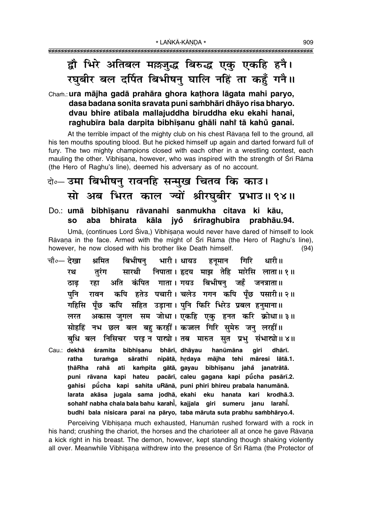# द्वौ भिरे अतिबल म**छजुद्ध बिरुद्ध एक् एकहि हनै**। **⁄ घबीर बल दर्पित बिभीषन् घालि नहिं ता कहँ गनै।।**

## Cha≈.:**ura måjha gadå prahåra ghora ka¢hora lågata mahi paryo, dasa badana sonita sravata puni sa≈bhåri dhåyo risa bharyo. dvau bhire atibala mallajuddha biruddha eku ekahi hanai, raghub∂ra bala darpita bibh∂¶anu ghåli nahiÚ tå kahu° ganai.**

At the terrible impact of the mighty club on his chest Rāvana fell to the ground, all his ten mouths spouting blood. But he picked himself up again and darted forward full of fury. The two mighty champions closed with each other in a wrestling contest, each mauling the other. Vibhīṣaṇa, however, who was inspired with the strength of Śrī Rāma (the Hero of Raghuís line), deemed his adversary as of no account.

# दो**∘– उमा बिभीषन् रावनहि सन्मुख चितव कि काउ।** सो अब भिरत काल ज्यों श्रीरघुबीर प्रभाउ॥ ९४॥

### Do.: **umå bibh∂¶anu råvanahi sanmukha citava ki kåu, so aba bhirata kåla jyo° ‹r∂raghub∂ra prabhåu.94.**

Umã, (continues Lord Śiva,) Vibhīsana would never have dared of himself to look Rāvaņa in the face. Armed with the might of Śrī Rāma (the Hero of Raghu's line), however, he now closed with his brother like Death himself. (94)

- <sub>.चौ०</sub>— देखा श्रमित बिभीषनु भारी । धायउ हनृमान गिरि धारी ॥ **रथ तुरंग सारथी निपाता।** हृदय माझ तेहि मारेसि लाता॥१॥ <u>ठाढ रहा अति कंपित गाता।</u> गयउ बिभीषन् जहँ जनत्राता॥ पनि रावन कपि हतेउ पचारी।**चलेउ गगन कपि पँछ पसारी॥२॥** गहिसि पूँछ कपि सहित उड़ाना।**पुनि फिरि भिरेउ प्रबल हनुमाना**॥ लरत अकास जगल सम जोधा। एकहि एक हनत करि क्रोधा॥३॥ सोहहिं नभ छल बल बह**ुकरहीं । कज्जल गिरि समेरु जन लरहीं** ॥ बधि बल निसिचर परइन पास्त्रो।तब मारुत सत प्रभ संभा**स्त्रो॥४॥**
- Cau.: dekhā śramita bibhīsanu bhārī, dhāyau hanūmāna giri dhārī. ratha turamga sārathī nipātā, hrdaya mājha tehi māresi lātā.1. **¢håRha rahå ati ka≈pita gåtå, gayau bibh∂¶anu jaha° janatråtå. puni råvana kapi hateu pacår∂, caleu gagana kapi pµu° cha pasår∂.2. gahisi pµu° cha kapi sahita uRånå, puni phiri bhireu prabala hanumånå. larata akåsa jugala sama jodhå, ekahi eku hanata kari krodhå.3. sohahiÚ nabha chala bala bahu karah∂° , kajjala giri sumeru janu larah∂° . budhi bala nisicara parai na påryo, taba måruta suta prabhu sa≈bhåryo.4.**

Perceiving Vibhīsana much exhausted, Hanumān rushed forward with a rock in his hand; crushing the chariot, the horses and the charioteer all at once he gave Rāvana a kick right in his breast. The demon, however, kept standing though shaking violently all over. Meanwhile Vibhīsana withdrew into the presence of Śrī Rāma (the Protector of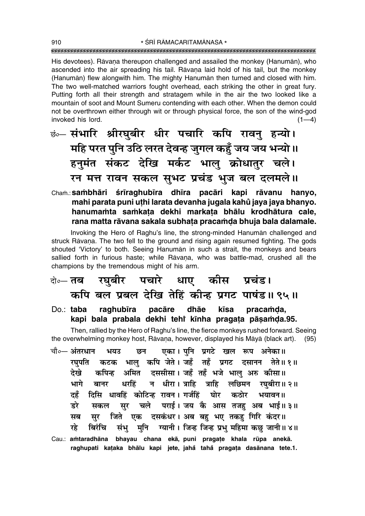His devotees). Rāvana thereupon challenged and assailed the monkey (Hanumān), who ascended into the air spreading his tail. Ravana laid hold of his tail, but the monkey (Hanumān) flew alongwith him. The mighty Hanumān then turned and closed with him. The two well-matched warriors fought overhead, each striking the other in great fury. Putting forth all their strength and stratagem while in the air the two looked like a mountain of soot and Mount Sumeru contending with each other. When the demon could not be overthrown either through wit or through physical force, the son of the wind-god invoked his lord.  $(1-4)$ 

छं— संभारि श्रीरघुबीर धीर पचारि कपि रावनु हन्यो। महि परत पुनि उठि लरत देवन्ह जुगल कहुँ जय जय भन्यो ॥ हनमंत संकट देखि मर्कट भालू क्रोधातुर चले। रन मत्त रावन सकल सुभट प्रचंड भुज बल दलमले॥

Cham.: sambhāri śrīraghubīra dhīra pacāri kapi rāvanu hanyo, mahi parata puni uthi larata devanha jugala kahů jaya jaya bhanyo. hanumamta samkata dekhi markata bhālu krodhātura cale, rana matta rāvana sakala subhata pracamda bhuja bala dalamale.

Invoking the Hero of Raghu's line, the strong-minded Hanuman challenged and struck Rāvana. The two fell to the ground and rising again resumed fighting. The gods shouted 'Victory' to both. Seeing Hanuman in such a strait, the monkeys and bears sallied forth in furious haste; while Rāvana, who was battle-mad, crushed all the champions by the tremendous might of his arm.

- रघुबीर पचारे धाए कीस प्रचंड। दो∘— **तब** कपि बल प्रबल देखि तेहिं कीन्ह प्रगट पाषंड॥९५॥
- Do.: taba raghubīra pacāre dhāe kīsa pracamda. kapi bala prabala dekhi tehi kinha pragata pāsamda.95.

Then, rallied by the Hero of Raghu's line, the fierce monkeys rushed forward. Seeing the overwhelming monkey host, Rāvaṇa, however, displayed his Māyā (black art).  $(95)$ 

- एका। पनि प्रगटे खल रूप अनेका॥ चौ०- अंतरधान भयउ छन भाल कपि जेते। जहँ तहँ प्रगट दसानन तेते॥१॥ रघपति कटक अमित दससीसा। जहँ तहँ भजे भाल अरु कीसा॥ देखे कपिन्ह न धीरा। त्राहि त्राहि लछिमन रघुबीरा॥ २॥ भागे धरहिं बानर दिसि धावहिं कोटिन्ह रावन। गर्जहिं घोर कठोर भयावन॥ दहँ चले पराई। जय कै आस तजह अब भाई॥३॥ डरे सूर सकल जिते एक दसकंधर। अब बह भए तकह गिरि कंदर॥ मब सर संभु मनि ग्यानी । जिन्ह जिन्ह प्रभु महिमा कछ जानी ॥ ४ ॥ रहे बिरंचि
- Cau.: amtaradhāna bhayau chana ekā, puni pragațe khala rūpa anekā. raghupati kațaka bhālu kapi jete, jahå tahå pragața dasānana tete.1.

910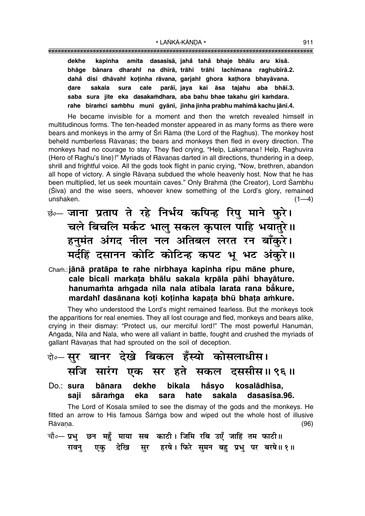amita dasasīsā, jahå tahå bhaje bhālu aru kīsā. dekhe kapinha bhāge bānara dharahi na dhīrā, trāhi trāhi lachimana raghubīrā.2. dahå disi dhāvahî kotinha rāvana, garjahî ghora kathora bhayāvana. parāī, jaya kai āsa tajahu aba bhāī.3. dare sakala sura cale saba sura jite eka dasakamdhara, aba bahu bhae takahu qiri kamdara. rahe biramci sambhu muni gyānī, jinha jinha prabhu mahimā kachu jānī.4.

He became invisible for a moment and then the wretch revealed himself in multitudinous forms. The ten-headed monster appeared in as many forms as there were bears and monkeys in the army of Sri Rama (the Lord of the Raghus). The monkey host beheld numberless Rāvanas; the bears and monkeys then fled in every direction. The monkeys had no courage to stay. They fled crying, "Help, Laksmana! Help, Raghuvīra (Hero of Raghu's line)!" Myriads of Rāvanas darted in all directions, thundering in a deep. shrill and frightful voice. All the gods took flight in panic crying, "Now, brethren, abandon all hope of victory. A single Rāvana subdued the whole heavenly host. Now that he has been multiplied, let us seek mountain caves." Only Brahmā (the Creator), Lord Śambhu (Siva) and the wise seers, whoever knew something of the Lord's glory, remained unshaken.  $(1-4)$ 

<u>छं जाना प्रताप ते रहे निर्भय कपिन्ह रिपु माने फुरे।</u> चले बिचलि मर्कट भालु सकल कृपाल पाहि भयातुरे ॥ हनुमंत अंगद नील नल अतिबल लरत रन बाँकुरे। मर्दहिं दसानन कोटि कोटिन्ह कपट भू भट अंकुरे।।

Cham.: jānā pratāpa te rahe nirbhaya kapinha ripu māne phure, cale bicali markata bhālu sakala krpāla pāhi bhayāture. hanumamta amgada nīla nala atibala larata rana bākure, mardahi dasānana koți koținha kapața bhū bhața amkure.

They who understood the Lord's might remained fearless. But the monkeys took the apparitions for real enemies. They all lost courage and fled, monkeys and bears alike, crying in their dismay: "Protect us, our merciful lord!" The most powerful Hanuman, Angada, Nila and Nala, who were all valiant in battle, fought and crushed the myriads of gallant Rāvaņas that had sprouted on the soil of deception.

#### बेन्सुर बानर देखे बिकल हँस्यो कोसलाधीस। सजि सारंग एक सर हते सकल दससीस॥९६॥ dekhe bikala håsyo kosalādhīsa. Do.: sura bānara sakala saii sāramga eka sara hate dasasīsa.96. The Lord of Kosala smiled to see the dismay of the gods and the monkeys. He fitted an arrow to His famous Sarnga bow and wiped out the whole host of illusive Rāvana.  $(96)$

चौ०— प्रभु छन महुँ माया सब काटी। जिमि रबि उएँ जाहिं तम फाटी॥ रावन् एक् देखि सुर हरषे। फिरे सुमन बहु प्रभु पर बरषे॥१॥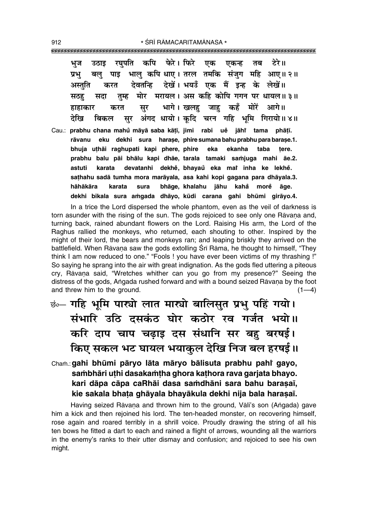कपि फेरे। फिरे टेरे ॥ रघपति एक एकन्ह तब भज उठाड भाल कपि धाए। तरल तमकि संजग महि आए॥२॥ प्रभ बल पाइ देवतन्हि देखें। भयउँ एक मैं इन्ह के लेखें॥ अस्तति करत तम्ह मोर मरायल। अस कहि कोपि गगन पर धायल॥ ३॥ सठह सदा भागे। खलह जाह कहँ मोरें आगे॥ सुर हाहाकार करत अंगद धायो। कुदि चरन गहि भूमि गिरायो॥४॥ देखि बिकल सर Cau.: prabhu chana mahů māyā saba kātī, jimi rabi uě jāhř tama phātī. eku dekhi sura harase, phire sumana bahu prabhu para barase.1. rāvanu bhuja uthāi raghupati kapi phere, phire ekanha taba eka tere. prabhu balu pāi bhālu kapi dhāe, tarala tamaki samjuga mahi āe.2. astuti karata devatanhi dekhě, bhayaů eka mař inha ke lekhě. sathahu sadā tumha mora marāyala, asa kahi kopi gagana para dhāyala.3. bhāge, khalahu jāhu kahå morė āge. hāhākāra karata sura dekhi bikala sura amgada dhāyo, kūdi carana gahi bhūmi girāyo.4.

In a trice the Lord dispersed the whole phantom, even as the veil of darkness is torn asunder with the rising of the sun. The gods rejoiced to see only one Ravana and, turning back, rained abundant flowers on the Lord. Raising His arm, the Lord of the Raghus rallied the monkeys, who returned, each shouting to other. Inspired by the might of their lord, the bears and monkeys ran; and leaping briskly they arrived on the battlefield. When Rāvana saw the gods extolling Srī Rāma, he thought to himself, "They think I am now reduced to one." "Fools ! you have ever been victims of my thrashing !" So saying he sprang into the air with great indignation. As the gods fled uttering a piteous cry, Rāvana said, "Wretches whither can you go from my presence?" Seeing the distress of the gods, Angada rushed forward and with a bound seized Rāvana by the foot and threw him to the ground.  $(1-4)$ 

# छं - गहि भूमि पार्त्यो लात मार्त्यो बालिसुत प्रभु पहिं गयो। संभारि उठि दसकंठ घोर कठोर रव गर्जत भयो।। करि दाप चाप चढ़ाइ दस संधानि सर बहु बरषई। किए सकल भट घायल भयाकुल देखि निज बल हरषई॥

Cham.: gahi bhūmi pāryo lāta māryo bālisuta prabhu pahř gayo, sambhāri uthi dasakamtha ghora kathora rava garjata bhayo. kari dāpa cāpa caRhāi dasa samdhāni sara bahu baraṣaī, kie sakala bhata ghāyala bhayākula dekhi nija bala harasaī.

Having seized Rāvana and thrown him to the ground, Vāli's son (Angada) gave him a kick and then rejoined his lord. The ten-headed monster, on recovering himself, rose again and roared terribly in a shrill voice. Proudly drawing the string of all his ten bows he fitted a dart to each and rained a flight of arrows, wounding all the warriors in the enemy's ranks to their utter dismay and confusion; and rejoiced to see his own might.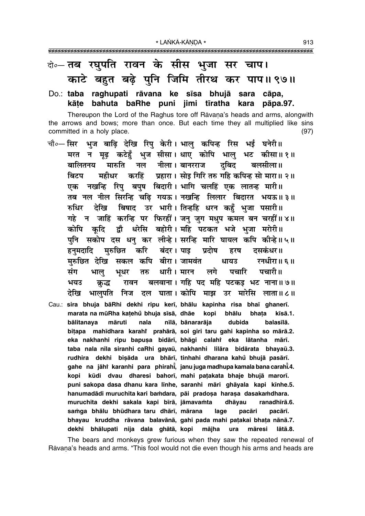## के-तब रघुपति रावन के सीस भुजा सर चाप। काटे बहुत बढ़े पुनि जिमि तीरथ कर पाप॥९७॥

#### Do.: taba raghupati rāvana ke sīsa bhujā sara cāpa, kāte bahuta baRhe puni jimi tīratha kara pāpa.97.

Thereupon the Lord of the Raghus tore off Ravana's heads and arms, alongwith the arrows and bows; more than once. But each time they all multiplied like sins committed in a holy place.  $(97)$ 

- चौ०—सिर भुज बाढ़ि देखि रिपु केरी। भालु कपिन्ह रिस भई घनेरी॥ मरत न मूढ़ कटेहुँ भुज सीसा। धाए कोपि भालु भट कीसा॥१॥ बालितनय मारुति नल नीला।बानरराज दबिद बलसीला॥ बिटप महीधर करहिं प्रहारा। सोड गिरि तरु गहि कपिन्ह सो मारा॥ २॥ एक नखन्हि रिपु बपुष बिदारी। भागि चलहिं एक लातन्ह मारी॥ तब नल नील सिरन्हि चढि गयऊ। नखन्हि लिलार बिदारत भयऊ॥३॥ रुधिर देखि बिषाद उर भारी। तिन्हहि धरन कहँ भुजा पसारी॥ गहे न जाहिं करन्हि पर फिरहीं। जन् जुग मधुप कमल बन चरहीं॥४॥ कोपि कदि द्वौ धरेसि बहोरी। महि पटकत भजे भजा मरोरी॥ पुनि सकोप दस धनु कर लीन्हे। सरन्हि मारि घायल कपि कीन्हे॥५॥ हनुमदादि मुरुछित करि बंदर।पाइ प्रदोष दसकंधर॥ हरष मरुछित देखि सकल कपि बीरा। जामवंत रनधीरा॥ ६ ॥ धायउ तरु धारी । मारन लगे पचारि पचारी॥ संग भाल भुधर रावन बलवाना । गहि पद महि पटकइ भट नाना ॥ ७ ॥ भयउ क्रद्ध भालपति निज दल घाता।कोपि माझ उर मारेसि लाता॥८॥ देखि
- Cau.: sira bhuja bāRhi dekhi ripu kerī, bhālu kapinha risa bhaī ghanerī. marata na mūRha katehů bhuja sīsā, dhāe kopi bhālu bhata kīsā.1. nīlā, bānararāja bālitanava māruti nala dubida balasīlā. bițapa mahīdhara karahî prahārā, soi giri taru gahi kapinha so mārā.2. eka nakhanhi ripu bapuşa bidārī, bhāgi calahi eka lātanha mārī. taba nala nīla siranhi caRhi gayaū, nakhanhi lilāra bidārata bhayaū.3. rudhira dekhi bişāda ura bhārī, tinhahi dharana kahů bhujā pasārī. gahe na jāhi karanhi para phirahi, janu juga madhupa kamala bana carahi.4. kopi kūdi dvau dharesi bahorī, mahi patakata bhaje bhujā marorī. puni sakopa dasa dhanu kara līnhe, saranhi māri ghāyala kapi kīnhe.5. hanumadādi muruchita kari bamdara, pāi pradosa harasa dasakamdhara. muruchita dekhi sakala kapi bīrā, jāmavamta dhāyau ranadhīrā.6. samga bhālu bhūdhara taru dhārī, mārana lage pacāri pacārī. bhayau kruddha rāvana balavānā, gahi pada mahi patakai bhata nānā.7. dekhi bhālupati nija dala ghātā, kopi mājha māresi lātā.8. ura

The bears and monkeys grew furious when they saw the repeated renewal of Rāvana's heads and arms. "This fool would not die even though his arms and heads are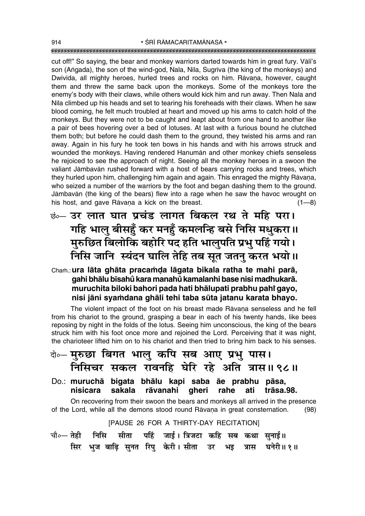cut off!" So saying, the bear and monkey warriors darted towards him in great fury. Vāli's son (Angada), the son of the wind-god, Nala, Nīla, Sugrīva (the king of the monkeys) and Dwivida, all mighty heroes, hurled trees and rocks on him. Råvana, however, caught them and threw the same back upon the monkeys. Some of the monkeys tore the enemyís body with their claws, while others would kick him and run away. Then Nala and Nīla climbed up his heads and set to tearing his foreheads with their claws. When he saw blood coming, he felt much troubled at heart and moved up his arms to catch hold of the monkeys. But they were not to be caught and leapt about from one hand to another like a pair of bees hovering over a bed of lotuses. At last with a furious bound he clutched them both; but before he could dash them to the ground, they twisted his arms and ran away. Again in his fury he took ten bows in his hands and with his arrows struck and wounded the monkeys. Having rendered Hanumån and other monkey chiefs senseless he rejoiced to see the approach of night. Seeing all the monkey heroes in a swoon the valiant Jåmbavån rushed forward with a host of bears carrying rocks and trees, which they hurled upon him, challenging him again and again. This enraged the mighty Rāvana, who seized a number of the warriors by the foot and began dashing them to the ground. Jåmbavån (the king of the bears) flew into a rage when he saw the havoc wrought on his host, and gave Rāvana a kick on the breast.  $(1-8)$ 

 $\vec{v}_{0}$ — उर लात घात प्रचंड लागत बिकल रथ ते महि परा। <u>गहि भालु बीसहँ</u> कर मनहँ कमलन्हि बसे निसि मधुकरा॥ <u>मु</u>रुछित बिलोकि बहोरि पद हति भालुपति प्रभु पहिं गयो। <u>निसि जानि स्यंदन घालि तेहि तब सूत जतनु करत भयो।</u>

Cham.: **ura lāta ghāta pracamda lāgata bikala ratha te mahi parā, gahi bhålu b∂sahu° kara manahu° kamalanhi base nisi madhukarå. muruchita biloki bahori pada hati bhålupati prabhu pahiÚ gayo,** nisi jāni syamdana ghāli tehi taba sūta jatanu karata bhayo.

The violent impact of the foot on his breast made Rāvana senseless and he fell from his chariot to the ground, grasping a bear in each of his twenty hands, like bees reposing by night in the folds of the lotus. Seeing him unconscious, the king of the bears struck him with his foot once more and rejoined the Lord. Perceiving that it was night, the charioteer lifted him on to his chariot and then tried to bring him back to his senses.

बे**०– मरुछा बिगत भालु कपि सब आए प्रभु पास। निसिचर सकल रावनहि घेरि रहे अति त्रास॥९८॥** 

Do.: **muruchå bigata bhålu kapi saba åe prabhu påsa, nisicara sakala råvanahi gheri rahe ati tråsa.98.**

On recovering from their swoon the bears and monkeys all arrived in the presence of the Lord, while all the demons stood round Rāvana in great consternation. (98)

[PAUSE 26 FOR A THIRTY-DAY RECITATION]

चौ०— तेही निसि सीता पहिं जाई । त्रिजटा कहि सब कथा सुनाई॥ **सिर भुज बाढि सुनत रिपु केरी। सीता उर भइ त्रास घनेरी॥१॥**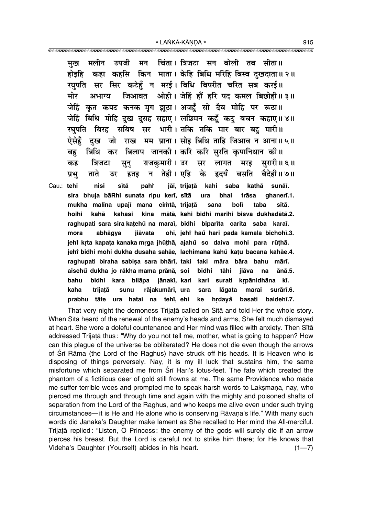मलीन उपजी चिंता । त्रिजटा सन बोली तब सीता॥ मन मख कहा कहसि किन माता। केहि बिधि मरिहि बिस्व दखदाता॥२॥ होडहि रघपति सर सिर कटेहँ न मरई। बिधि बिपरीत चरित सब करई॥ जिआवत ओही। जेहिं हौं हरि पद कमल बिछोही॥ ३॥ मोर अभाग्य कृत कपट कनक मृग झुठा। अजहँ सो दैव मोहि पर रूठा॥ जेहिं जेहिं बिधि मोहि दुख दुसह सहाए। लछिमन कहुँ कटु बचन कहाए॥४॥ रघपति बिरह सबिष सर भारी।तकि तकि मार बार बह मारी॥ दख जो राख मम प्राना। सोड़ बिधि ताहि जिआव न आना॥५॥ ऐसेहँ बिधि कर बिलाप जानकी। करि करि सरति कपानिधान की॥ बह राजकमारी । उर सर सरारी॥६॥ त्रिजटा लागत कह सन मरड तेही। एहि ताते के बसति बैदेही॥ ७॥ प्रभ हतड न हृदयँ उर

Cau.: tehī nisi sītā paht jāī, trijatā kahi saba kathā sunāī. trāsa sira bhuja bāRhi sunata ripu kerī, sītā ura bhai ghaneri.1. mukha malīna upajī mana cimtā, trijatā bolī taba sītā. sana kina mātā, kehi bidhi marihi bisva dukhadātā.2. hoihi kahā kahasi raghupati sara sira katehů na marai, bidhi biparita carita saba karai. ohī, jehř haů hari pada kamala bichohī.3. mora abhāgya jiāvata jehi krta kapata kanaka mrga jhūthā, ajahu so daiva mohi para rūthā. jehi bidhi mohi dukha dusaha sahāe, lachimana kahů kațu bacana kahāe.4. raghupati biraha sabişa sara bhārī, taki taki māra bāra bahu mārī. aisehů dukha jo rākha mama prānā, soi bidhi tāhi jiāva ānā.5. na bahu bidhi kara bilāpa jānakī, kari kari surati krpānidhāna kī. kaha trijatā rājakumārī, ura surārī.6. sunu lāgata marai sara prabhu tāte ura hatai na tehī, ehi ke hrdayå basati baidehī.7.

That very night the demoness Trijatā called on Sītā and told Her the whole story. When Sita heard of the renewal of the enemy's heads and arms, She felt much dismayed at heart. She wore a doleful countenance and Her mind was filled with anxiety. Then Sītā addressed Trijatā thus: "Why do you not tell me, mother, what is going to happen? How can this plaque of the universe be obliterated? He does not die even though the arrows of Sri Rama (the Lord of the Raghus) have struck off his heads. It is Heaven who is disposing of things perversely. Nay, it is my ill luck that sustains him, the same misfortune which separated me from Sri Hari's lotus-feet. The fate which created the phantom of a fictitious deer of gold still frowns at me. The same Providence who made me suffer terrible woes and prompted me to speak harsh words to Laksmana, nay, who pierced me through and through time and again with the mighty and poisoned shafts of separation from the Lord of the Raghus, and who keeps me alive even under such trying circumstances—it is He and He alone who is conserving Rāvaṇa's life." With many such words did Janaka's Daughter make lament as She recalled to Her mind the All-merciful. Trijață replied: "Listen, O Princess: the enemy of the gods will surely die if an arrow pierces his breast. But the Lord is careful not to strike him there; for He knows that Videha's Daughter (Yourself) abides in his heart.  $(1 - 7)$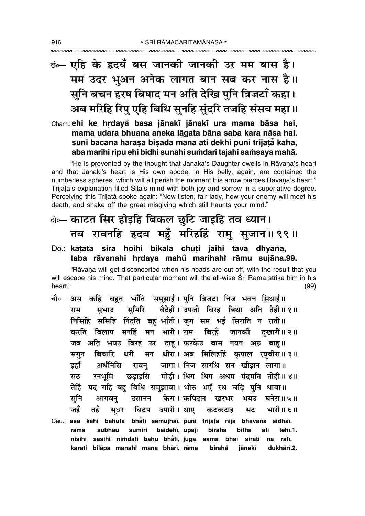# <u>कं— एहि के हृदयँ बस जानकी जानकी उर मम बास है।</u> मम उदर भुअन अनेक लागत बान सब कर नास है।। सुनि बचन हरष बिषाद मन अति देखि पुनि त्रिजटाँ कहा। अब मरिहि रिपु एहि बिधि सुनहि सुंदरि तजहि संसय महा।।

Cham.: ehi ke hrdayå basa jānakī jānakī ura mama bāsa hai, mama udara bhuana aneka lāgata bāna saba kara nāsa hai. suni bacana harasa bisāda mana ati dekhi puni trijatā kahā, aba marihi ripu ehi bidhi sunahi sumdari tajahi samsaya mahā.

"He is prevented by the thought that Janaka's Daughter dwells in Rāvana's heart and that Jānakī's heart is His own abode; in His belly, again, are contained the numberless spheres, which will all perish the moment His arrow pierces Rāvana's heart." Trijatā's explanation filled Sītā's mind with both joy and sorrow in a superlative degree. Perceiving this Trijata spoke again: "Now listen, fair lady, how your enemy will meet his death, and shake off the great misgiving which still haunts your mind."

## बेन काटत सिर होइहि बिकल छुटि जाइहि तव ध्यान। तब रावनहि हृदय महुँ मरिहहिं रामु सुजान॥९९॥

## Do.: kātata sira hoihi bikala chuti jāihi tava dhyāna, taba rāvanahi hrdaya mahů marihahi rāmu sujāna.99.

"Rāvana will get disconcerted when his heads are cut off, with the result that you will escape his mind. That particular moment will the all-wise Srī Rāma strike him in his heart."  $(99)$ 

चौ०— अस कहि बहुत भाँति समुझाई। पुनि त्रिजटा निज भवन सिधाई॥ सुमिरि बैदेही। उपजी बिरह बिथा अति तेही॥१॥ सभाउ राम निसिहि ससिहि निंदति बह भाँती। जुग सम भई सिराति न राती॥ करति बिलाप मनहिं मन भारी। राम बिरहँ जानकी दखारी॥ २॥ जब अति भयउ बिरह उर दाह। फरकेउ बाम नयन अरु बाह॥ सगन बिचारि धरी मन धीरा। अब मिलिहर्हि कपाल रघबीरा॥३॥ इहाँ रावनु जागा। निज सारथि सन खीझन लागा॥ अर्धनिसि छड़ाइसि मोही। धिग धिग अधम मंदमति तोही॥४॥ रनभमि सठ तेहिं पद गहि बहु बिधि समुझावा। भोरु भएँ रथ चढि पनि धावा॥ सूनि केरा। कपिदल खरभर घनेरा॥ ५॥ आगवन् दसानन भयउ बिटप उपारी। धाए जहँ तहँ भुधर कटकटाइ भट भारी॥६॥ Cau.: asa kahi bahuta bhati samujhāī, puni trijatā nija bhavana sidhāī. subhāu sumiri baidehī, upajī biraha bithā rāma ati tehī.1. nisihi sasihi nimdati bahu bhatī, juga sama bhaī sirāti na rātī. karati bilāpa manahi mana bhārī, rāma birahå jānakī dukhārī.2.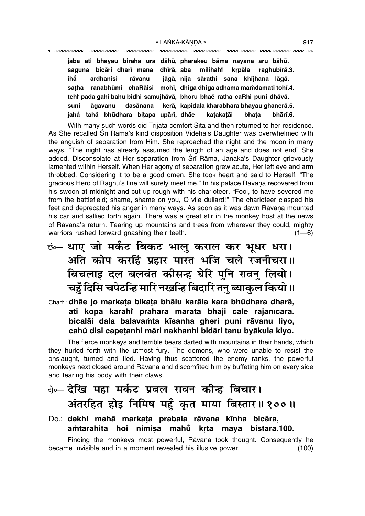|      |           | jaba ati bhayau biraha ura dāhū, pharakeu bāma nayana aru bāhū. |  |  |  |       |                                                                         |
|------|-----------|-----------------------------------------------------------------|--|--|--|-------|-------------------------------------------------------------------------|
|      |           |                                                                 |  |  |  |       | saguna bicāri dharī mana dhīrā, aba milihahi krpāla raghubīrā.3.        |
| ihẳ  | ardhanisi | rāvanu                                                          |  |  |  |       | jāgā, nija sārathi sana khījhana lāgā.                                  |
|      |           |                                                                 |  |  |  |       | satha ranabhūmi chaRāisi mohī, dhiga dhiga adhama mamdamati tohī.4.     |
|      |           |                                                                 |  |  |  |       | tehî pada gahi bahu bidhi samujhāvā, bhoru bhaĕ ratha caRhi puni dhāvā. |
| suni |           |                                                                 |  |  |  |       | āgavanu dasānana kerā, kapidala kharabhara bhayau ghanerā.5.            |
|      |           | jahå tahå bhūdhara bitapa upārī, dhāe katakatāj                 |  |  |  | bhata | bhārī.6.                                                                |

With many such words did Trijatā comfort Sītā and then returned to her residence. As She recalled Śrī Rāma's kind disposition Videha's Daughter was overwhelmed with the anguish of separation from Him. She reproached the night and the moon in many ways. "The night has already assumed the length of an age and does not end" She added. Disconsolate at Her separation from Śrī Rāma, Janaka's Daughter grievously lamented within Herself. When Her agony of separation grew acute, Her left eye and arm throbbed. Considering it to be a good omen, She took heart and said to Herself, "The gracious Hero of Raghu's line will surely meet me." In his palace Rāvana recovered from his swoon at midnight and cut up rough with his charioteer, "Fool, to have severed me from the battlefield; shame, shame on you, O vile dullard!î The charioteer clasped his feet and deprecated his anger in many ways. As soon as it was dawn Rāvana mounted his car and sallied forth again. There was a great stir in the monkey host at the news of Rāvana's return. Tearing up mountains and trees from wherever they could, mighty warriors rushed forward gnashing their teeth.  $(1-6)$ 

ङं⊙— **धाए जो मर्कट बिकट भालु कराल कर भूधर धरा।** <u>अति कोप करहिं प्रहार मारत भजि चले रजनीचरा॥</u> **बिचलाइ दल बलवंत कीसन्ह घेरि पुनि रावनु लियो।** <u>चहुँ</u> दिसि चपेटन्हि मारि नखन्हि बिदारि तनु ब्याकुल कियो ॥

Cha≈.:**dhåe jo marka¢a bika¢a bhålu karåla kara bhµudhara dharå, ati kopa karahiÚ prahåra mårata bhaji cale rajan∂carå.** bicalāi dala balavamta kīsanha gheri puni rāvanu liyo, **cahu° disi cape¢anhi måri nakhanhi bidåri tanu byåkula kiyo.**

The fierce monkeys and terrible bears darted with mountains in their hands, which they hurled forth with the utmost fury. The demons, who were unable to resist the onslaught, turned and fled. Having thus scattered the enemy ranks, the powerful monkeys next closed around Rāvana and discomfited him by buffeting him on every side and tearing his body with their claws.

## बे**०– देखि महा मर्कट प्रबल रावन कीन्ह बिचार।** अंतरहित होइ निमिष महुँ कृत माया बिस्तार॥१००॥

#### Do.: **dekhi mahå marka¢a prabala råvana k∂nha bicåra, a≈tarahita hoi nimi¶a mahu° kæta måyå biståra.100.**

Finding the monkeys most powerful, Rāvana took thought. Consequently he became invisible and in a moment revealed his illusive power. (100)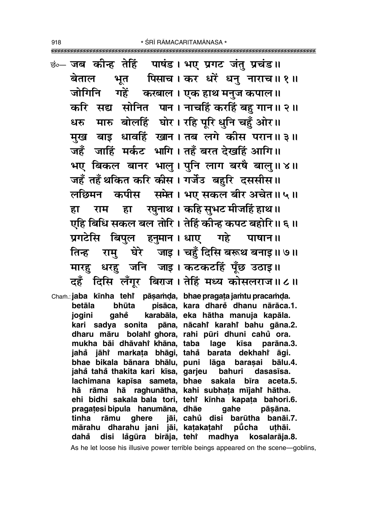<u>छं— जब कीन्ह तेहिं पाषंड। भए प्रगट जंतु प्रचंड॥</u> बेताल भूत पिसाच। कर धरें धनु नाराच॥ १॥ जोगिनि गहें करबाल। एक हाथ मनुज कपाल॥ करि सद्य सोनित पान। नाचहिं करहिं बहु गान॥ २॥ धरु मारु बोलहिं घोर। रहि पूरि धुनि चहँ ओर॥ मख बाड़ धावहिं खान। तब लगे कीस परान॥ ३॥ जहँ जाहिं मर्कट भागि। तहँ बरत देखहिं आगि॥ भए बिकल बानर भालु। पुनि लाग बरषै बालु॥४॥ जहँ तहँ थकित करि कीस। गर्जेउ बहुरि दससीस॥ लछिमन कपीस समेत। भए सकल बीर अचेत॥५॥ राम हा रघुनाथ। कहि सुभट मीजहिं हाथ॥ हा एहि बिधि सकल बल तोरि। तेहिं कीन्ह कपट बहोरि॥ ६॥ प्रगटेसि बिपुल हनुमान। धाए गहे पाषान॥ तिन्ह रामु घेरे जाइ। चहुँ दिसि बरूथ बनाइ॥ ७॥ मारह़ धरह़ जनि जाइ। कटकटहिं पूँछ उठाइ॥ दहँ दिसि लँगूर बिराज। तेहिं मध्य कोसलराज॥८॥ Cham.: jaba kīnha tehi pāsamda, bhae pragata jamtu pracamda. pisāca, kara dhare dhanu nārāca.1. betāla bhūta karabāla, eka hātha manuja kapāla. ioaini aahe kari sadya sonita pāna, nācahi karahi bahu gāna.2. dharu māru bolahi ghora, rahi pūri dhuni cahů ora. mukha bāi dhāvahi khāna, taba lage kīsa parāna.3. jahå jāhi markata bhāgi, tahå barata dekhahi āgi. bhae bikala bānara bhālu, puni lāga barasai bālu.4. jahå tahå thakita kari kīsa, garjeu bahuri dasasīsa. lachimana kapīsa sameta, bhae sakala bīra aceta.5. hā rāma hā raghunātha, kahi subhata mījahi hātha. ehi bidhi sakala bala tori, tehi kinha kapata bahori.6. pragatesi bipula hanumāna, dhāe qahe pāsāna. tinha rāmu ghere jāi, cahů disi barūtha banāi.7. mārahu dharahu jani jāi, katakatahi pūcha uthāi. disi lågūra birāja, tehi madhya kosalarāja.8. dahå

As he let loose his illusive power terrible beings appeared on the scene-goblins,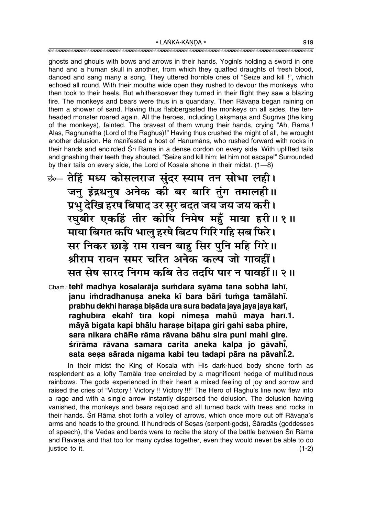ghosts and ghouls with bows and arrows in their hands. Yoginis holding a sword in one hand and a human skull in another, from which they quaffed draughts of fresh blood, danced and sang many a song. They uttered horrible cries of "Seize and kill !", which echoed all round. With their mouths wide open they rushed to devour the monkeys, who then took to their heels. But whithersoever they turned in their flight they saw a blazing fire. The monkeys and bears were thus in a quandary. Then Ravana began raining on them a shower of sand. Having thus flabbergasted the monkeys on all sides, the tenheaded monster roared again. All the heroes, including Laksmana and Sugriva (the king of the monkeys), fainted. The bravest of them wrung their hands, crying "Ah, Rāma! Alas, Raghunātha (Lord of the Raghus)!" Having thus crushed the might of all, he wrought another delusion. He manifested a host of Hanumans, who rushed forward with rocks in their hands and encircled Śrī Rāma in a dense cordon on every side. With uplifted tails and gnashing their teeth they shouted, "Seize and kill him; let him not escape!" Surrounded by their tails on every side, the Lord of Kosala shone in their midst. (1-8)

<u>छं तेहिं मध्य कोसलराज सुंदर स्याम तन सोभा लही।</u> जनु इंद्रधनुष अनेक को बर बारि तुंग तमालही॥ प्रभु देखि हरष बिषाद उर सुर बदत जय जय जय करी। रघुबीर एकहिं तीर कोपि निमेष महुँ माया हरी॥१॥ माया बिगत कपि भालु हरषे बिटप गिरि गहि सब फिरे। सर निकर छाड़े राम रावन बाहु सिर पुनि महि गिरे।। श्रीराम रावन समर चरित अनेक कल्प जो गावहीं। सत सेष सारद निगम कबि तेउ तदपि पार न पावहीं ॥ २ ॥

Cham.: tehi madhya kosalarāja sumdara syāma tana sobhā lahī, janu imdradhanusa aneka kī bara bāri tumga tamālahī. prabhu dekhi harasa bisāda ura sura badata jaya jaya jaya karī, raghubīra ekahi tīra kopi nimesa mahu māyā harī.1. māyā bigata kapi bhālu harase bitapa giri gahi saba phire, sara nikara chāRe rāma rāvana bāhu sira puni mahi gire. śrīrāma rāvana samara carita aneka kalpa jo gāvahi, sata sesa sārada nigama kabi teu tadapi pāra na pāvahī.2.

In their midst the King of Kosala with His dark-hued body shone forth as resplendent as a lofty Tamala tree encircled by a magnificent hedge of multitudinous rainbows. The gods experienced in their heart a mixed feeling of joy and sorrow and raised the cries of "Victory! Victory!! Victory!!!" The Hero of Raghu's line now flew into a rage and with a single arrow instantly dispersed the delusion. The delusion having vanished, the monkeys and bears rejoiced and all turned back with trees and rocks in their hands. Śrī Rāma shot forth a volley of arrows, which once more cut off Rāvana's arms and heads to the ground. If hundreds of Sesas (serpent-gods), Saradas (goddesses of speech), the Vedas and bards were to recite the story of the battle between Sri Rama and Rāvana and that too for many cycles together, even they would never be able to do justice to it.  $(1-2)$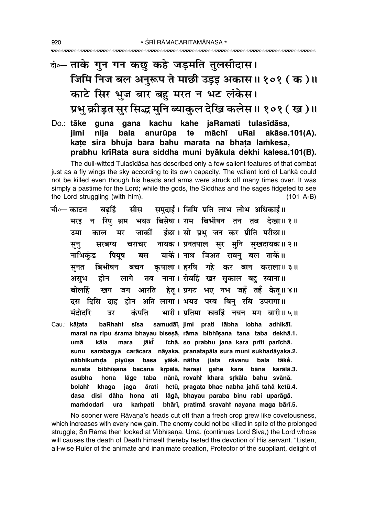# के- ताके गुन गन कछ कहे जड़मति तुलसीदास। जिमि निज बल अनुरूप ते माछी उड़इ अकास॥ १०१ (क)॥ काटे सिर भुज बार बहु मरत न भट लंकेस। प्रभु क्रीड़त सुर सिद्ध मुनि ब्याकुल देखि कलेस॥ १०१ ( ख )॥

Do.: tāke guna gana kachu kahe jaRamati tulasīdāsa, bala anurūpa māchī iimi nija te uRai akāsa.101(A). kāte sira bhuja bāra bahu marata na bhata lamkesa, prabhu krīRata sura siddha muni byākula dekhi kalesa.101(B).

The dull-witted Tulasīdāsa has described only a few salient features of that combat just as a fly wings the sky according to its own capacity. The valiant lord of Lanka could not be killed even though his heads and arms were struck off many times over. It was simply a pastime for the Lord; while the gods, the Siddhas and the sages fidgeted to see  $(101 A-B)$ the Lord struggling (with him).

- मीस समदाई। जिमि प्रति लाभ लोभ अधिकाई॥ चौ∘— काटत बढहिं भयउ बिसेषा। राम बिभीषन तन तब देखा॥१॥ मरइ न रिपु श्रम ईछा। सो प्रभु जन कर प्रीति परीछा॥ उमा जाकीं काल मर नायक। प्रनतपाल सुर मुनि सुखदायक॥२॥ सून् सरबग्य चराचर याकें। नाथ जिअत रावन बल ताकें॥ नाभिकंड पियष बस सूनत बिभीषन कपाला। हरषि गहे कर बान कराला॥३॥ बचन तब नाना। रोवहिं खर सुकाल बह स्वाना॥ असभ होन लागे हेतु । प्रगट भए नभ जहँ तहँ केतु ॥ ४ ॥ आरति बोलहिं खग जग दस दिसि दाह होन अति लागा। भयउ परब बिन् रबि उपरागा॥ भारी। प्रतिमा स्त्रवहिं नयन मग बारी॥५॥ मंदोदरि कंपति उर baRhaht samudāī, jimi prati lābha lobha adhikāī. Cau.: kātata sīsa marai na ripu śrama bhayau biseșā, rāma bibhīșana tana taba dekhā.1. umā kāla mara iākī īchā, so prabhu jana kara prīti parīchā. sunu sarabagya carācara nāyaka, pranatapāla sura muni sukhadāyaka.2. yākě, nātha nābhikumda piyūsa basa jiata rāvanu bala tāke. bibhīsana bacana krpālā, harasi gahe kara bāna karālā.3. sunata
	- nānā, rovahi khara srkāla bahu svānā. asubha lāge taba hona hetū, pragața bhae nabha jahă tahă ketū.4. bolahi khaga ārati jaga dāha hona ati lāgā, bhayau paraba binu rabi uparāgā. dasa disi mamdodari ura kampati bhārī, pratimā sravahi nayana maga bārī.5.

No sooner were Rāvana's heads cut off than a fresh crop grew like covetousness, which increases with every new gain. The enemy could not be killed in spite of the prolonged struggle; Śrī Rāma then looked at Vibhīsana. Umā, (continues Lord Śiva,) the Lord whose will causes the death of Death himself thereby tested the devotion of His servant. "Listen, all-wise Ruler of the animate and inanimate creation, Protector of the suppliant, delight of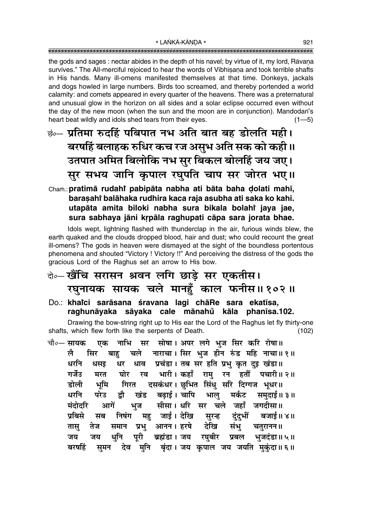the gods and sages : nectar abides in the depth of his navel; by virtue of it, my lord, Rāvana survives." The All-merciful rejoiced to hear the words of Vibhisana and took terrible shafts in His hands. Many ill-omens manifested themselves at that time. Donkeys, jackals and dogs howled in large numbers. Birds too screamed, and thereby portended a world calamity: and comets appeared in every quarter of the heavens. There was a preternatural and unusual glow in the horizon on all sides and a solar eclipse occurred even without the day of the new moon (when the sun and the moon are in conjunction). Mandodari's heart beat wildly and idols shed tears from their eyes.  $(1 - 5)$ 

छं— प्रतिमा रुदहिं पबिपात नभ अति बात बह डोलति मही। बरषहिं बलाहक रुधिर कच रज असुभ अति सक को कही ॥ उतपात अमित बिलोकि नभ सुर बिकल बोलहिं जय जए। सुर सभय जानि कृपाल रघुपति चाप सर जोरत भए।।

## Cham.: pratimā rudahi pabipāta nabha ati bāta baha dolati mahī, barasahi balahaka rudhira kaca raja asubha ati saka ko kahi. utapāta amita biloki nabha sura bikala bolahi jaya jae, sura sabhaya jāni krpāla raghupati cāpa sara jorata bhae.

Idols wept, lightning flashed with thunderclap in the air, furious winds blew, the earth quaked and the clouds dropped blood, hair and dust; who could recount the great ill-omens? The gods in heaven were dismayed at the sight of the boundless portentous phenomena and shouted "Victory ! Victory !!" And perceiving the distress of the gods the gracious Lord of the Raghus set an arrow to His bow.

## केन्-खैंचि सरासन श्रवन लगि छाड़े सर एकतीस। रघुनायक सायक चले मानहूँ काल फनीस॥१०२॥

Do.: khaici sarāsana śravana lagi chāRe sara ekatīsa, raghunāyaka sāyaka cale mānahů kāla phanīsa.102.

Drawing the bow-string right up to His ear the Lord of the Raghus let fly thirty-one shafts, which flew forth like the serpents of Death.  $(102)$ 

नाभि सर सोषा। अपर लगे भूज सिर करि रोषा॥ चौ∘— सायक एक चले नाराचा। सिर भुज होन रुंड महि नाचा॥१॥ सिर ले बाह धाव प्रचंडा। तब सर हति प्रभु कृत दुइ खंडा॥ धरनि धसड धर गर्जेउ घोर रव भारी। कहाँ राम रन हतौँ पचारी॥२॥ मरत गिरत दसकंधर। छुभित सिंधु सरि दिग्गज भूधर॥ डोली भमि बढाई। चापि भाल धरनि परेउ द्रौ खंड मर्कट समदाई॥ ३॥ सीसा। धरि सर चले जहाँ जगदीसा॥ मंदोदरि आगें भुज महु जाई। देखि सुरन्ह दुंदुभीं बजाई॥४॥ निषंग प्रबिसे सब संभु चतुरानन॥ प्रभु आनन । हरषे देखि तेज समान तास् पुरी ब्रह्मंडा। जय रघुबीर प्रबल भुजदंडा॥५॥ धनि जय जय समन देव मुनि बृंदा। जय कृपाल जय जयति मुकुंदा॥६॥ बरषहिं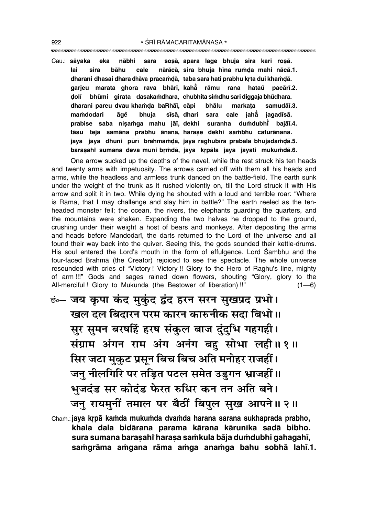\* ŚRĪ RĀMACARITAMĀNASA \* 

sara soșā, apara lage bhuja sira kari roșā. Cau.: sāyaka eka nābhi nārācā, sira bhuja hīna rumda mahi nācā.1. bāhu cale lai sira dharani dhasai dhara dhāya pracamdā, taba sara hati prabhu krta dui khamdā. garjeu marata ghora rava bhārī, kahā rāmu rana hataŭ pacārī.2. dolī bhūmi qirata dasakamdhara, chubhita simdhu sari diqqaja bhūdhara. markata dharani pareu dvau khamda baRhāī, cāpi bhālu samudāī.3. mamdodari āgě bhuja sīsā, dhari sara cale jahẵ jagadīsā. suranha dumdubhi bajāī.4. prabise saba nisamga mahu jāī, dekhi tāsu teja samāna prabhu ānana harase dekhi sambhu caturānana. jaya jaya dhuni pūrī brahmamdā, jaya raghubīra prabala bhujadamdā.5. barasahi sumana deva muni brmdā, jaya krpāla jaya jayati mukumdā.6.

One arrow sucked up the depths of the navel, while the rest struck his ten heads and twenty arms with impetuosity. The arrows carried off with them all his heads and arms, while the headless and armless trunk danced on the battle-field. The earth sunk under the weight of the trunk as it rushed violently on, till the Lord struck it with His arrow and split it in two. While dying he shouted with a loud and terrible roar: "Where is Rāma, that I may challenge and slay him in battle?" The earth reeled as the tenheaded monster fell; the ocean, the rivers, the elephants quarding the quarters, and the mountains were shaken. Expanding the two halves he dropped to the ground, crushing under their weight a host of bears and monkeys. After depositing the arms and heads before Mandodari, the darts returned to the Lord of the universe and all found their way back into the quiver. Seeing this, the gods sounded their kettle-drums. His soul entered the Lord's mouth in the form of effulgence. Lord Sambhu and the four-faced Brahma (the Creator) rejoiced to see the spectacle. The whole universe resounded with cries of "Victory! Victory!! Glory to the Hero of Raghu's line, mighty of arm!!!" Gods and sages rained down flowers, shouting "Glory, glory to the All-merciful! Glory to Mukunda (the Bestower of liberation) !!"  $(1-6)$ 

- <u>ं :- जय कृपा कंद मुकुंद द्वंद हरन सरन सुखप्रद प्रभो।</u> खल दल बिदारन परम कारन कारुनीक सदा बिभो॥ सुर सुमन बरषहिं हरष संकुल बाज दुंदुभि गहगही। संग्राम अंगन राम अंग अनंग बह सोभा लही।। १॥ सिर जटा मुकुट प्रसून बिच बिच अति मनोहर राजहीं। जन् नीलगिरि पर तड़ित पटल समेत उड़गन भ्राजहीं।। भुजदंड सर कोदंड फेरत रुधिर कन तन अति बने। जन् रायमुनीं तमाल पर बैठीं बिपुल सुख आपने ॥ २ ॥
- Cham.: jaya krpā kamda mukumda dvamda harana sarana sukhaprada prabho, khala dala bidārana parama kārana kārunīka sadā bibho. sura sumana barasahi harasa samkula bāja dumdubhi gahagahī, samgrāma amgana rāma amga anamga bahu sobhā lahī.1.

922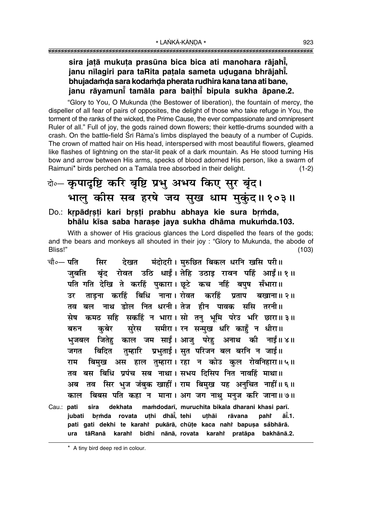## sira jatā mukuta prasūna bica bica ati manohara rājahī, janu nīlagiri para taRita patala sameta udugana bhrājahī. bhujadamda sara kodamda pherata rudhira kana tana ati bane, janu rāyamuni tamāla para baithi bipula sukha āpane.2.

"Glory to You, O Mukunda (the Bestower of liberation), the fountain of mercy, the dispeller of all fear of pairs of opposites, the delight of those who take refuge in You, the torment of the ranks of the wicked, the Prime Cause, the ever compassionate and omnipresent Ruler of all." Full of joy, the gods rained down flowers; their kettle-drums sounded with a crash. On the battle-field Srī Rāma's limbs displayed the beauty of a number of Cupids. The crown of matted hair on His head, interspersed with most beautiful flowers, gleamed like flashes of lightning on the star-lit peak of a dark mountain. As He stood turning His bow and arrow between His arms, specks of blood adorned His person, like a swarm of Raimuni\* birds perched on a Tamala tree absorbed in their delight.  $(1-2)$ 

# बे- कृपादृष्टि करि बृष्टि प्रभु अभय किए सुर बृंद। भालु कीस सब हरषे जय सुख धाम मुकुंद॥१०३॥

Do.: krpādrsti kari brsti prabhu abhaya kie sura brmda, bhālu kīsa saba harase java sukha dhāma mukumda.103.

With a shower of His gracious glances the Lord dispelled the fears of the gods; and the bears and monkeys all shouted in their joy : "Glory to Mukunda, the abode of Bliss!"  $(103)$ 

- चौ∘— पति मंदोदरी। मरुछित बिकल धरनि खसि परी॥ सिर देखत बंद रोवत उठि धाईं। तेहि उठाइ रावन पहिं आईं॥ १॥ जबति पति गति देखि ते करहिं पुकारा। छूटे कच नहिं बपुष सँभारा॥ ताडना करहिं बिधि नाना। रोवत करहिं प्रताप बखाना॥ २॥ उर तव बल नाथ डोल नित धरनी। तेज हीन पावक ससि तरनी॥ कमठ सहि सकहिं न भारा। सो तन् भूमि परेउ भरि छारा॥३॥ सेष सुरेस समीरा। रन सन्मुख धरि काहुँ न धीरा॥ कबेर बरुन भुजबल जितेहु काल जम साईं। आजु परेहु अनाथ की नाईं॥४॥ तुम्हारि प्रभुताई । सुत परिजन बल बरनि न जाई ॥ बिदित जगत बिमुख अस हाल तुम्हारा। रहा न कोउ कुल रोवनिहारा॥५॥ राम तव बस बिधि प्रपंच सब नाथा। सभय दिसिप नित नावहिं माथा॥ तव सिर भुज जंबुक खाहीं। राम बिमुख यह अनुचित नाहीं॥६॥ अब बिबस पति कहा न माना। अग जग नाथु मनुज करि जाना॥ ७॥ काल Cau.: pati sira dekhata mamdodarī, muruchita bikala dharani khasi parī. rovata uthi dhāi, tehi jubati brṁda uthāi rāvana paht āĭ.1. pati gati dekhi te karahi pukārā, chūțe kaca nahi bapușa såbhārā.
	- bidhi nānā, rovata karahi pratāpa bakhānā.2. ura tāRanā karahi

\* A tiny bird deep red in colour.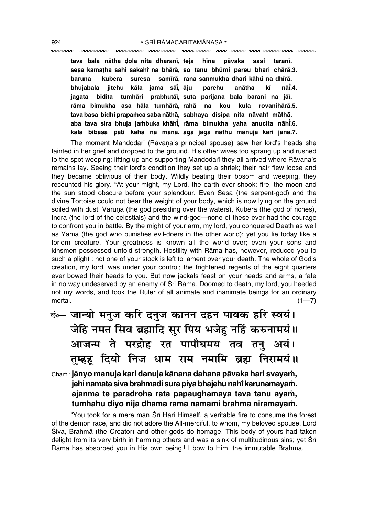**tava bala nåtha Œola nita dharan∂, teja h∂na påvaka sasi taran∂. se¶a kama¢ha sahi sakahiÚ na bhårå, so tanu bhµumi pareu bhari chårå.3. baruna kubera suresa sam∂rå, rana sanmukha dhari kåhu° na dh∂rå. bhujabala jitehu kåla jama så∂° , åju parehu anåtha k∂ nå∂° .4. jagata bidita tumhåri prabhutå∂, suta parijana bala barani na jå∂. råma bimukha asa håla tumhårå, rahå na kou kula rovanihårå.5.** tava basa bidhi prapaṁca saba nāthā, sabhaya disipa nita nāvahi māthā. **aba tava sira bhuja ja≈buka khåh∂° , råma bimukha yaha anucita nåh∂° .6. kåla bibasa pati kahå na månå, aga jaga nåthu manuja kari jånå.7.**

The moment Mandodarī (Rāvana's principal spouse) saw her lord's heads she fainted in her grief and dropped to the ground. His other wives too sprang up and rushed to the spot weeping; lifting up and supporting Mandodarī they all arrived where Rāvana's remains lay. Seeing their lord's condition they set up a shriek; their hair flew loose and they became oblivious of their body. Wildly beating their bosom and weeping, they recounted his glory. "At your might, my Lord, the earth ever shook; fire, the moon and the sun stood obscure before your splendour. Even Sesa (the serpent-god) and the divine Tortoise could not bear the weight of your body, which is now lying on the ground soiled with dust. Varuna (the god presiding over the waters), Kubera (the god of riches), Indra (the lord of the celestials) and the wind-god-none of these ever had the courage to confront you in battle. By the might of your arm, my lord, you conquered Death as well as Yama (the god who punishes evil-doers in the other world); yet you lie today like a forlorn creature. Your greatness is known all the world over; even your sons and kinsmen possessed untold strength. Hostility with Råma has, however, reduced you to such a plight : not one of your stock is left to lament over your death. The whole of Godís creation, my lord, was under your control; the frightened regents of the eight quarters ever bowed their heads to you. But now jackals feast on your heads and arms, a fate in no way undeserved by an enemy of Śrī Rāma. Doomed to death, my lord, you heeded not my words, and took the Ruler of all animate and inanimate beings for an ordinary mortal.  $(1-7)$ 

|  | छं⊶ जान्यो मनुज करि दनुज कानन दहन पावक हरि स्वयं।    |  |  |  |
|--|------------------------------------------------------|--|--|--|
|  | जेहि नमत सिव ब्रह्मादि सुर पिय भजेहु नहिं करुनामयं ॥ |  |  |  |
|  | आजन्म ते परद्रोह रत पापौघमय तव तनु अयं।              |  |  |  |
|  | तुम्हहू दियो निज धाम राम नमामि ब्रह्म निरामयं।।      |  |  |  |

Chaṁ.: **jānyo manuja kari danuja kānana dahana pāvaka hari svayam,** jehi namata siva brahmādi sura piya bhajehu nahì karunāmayaṁ. **åjanma te paradroha rata påpaughamaya tava tanu aya≈,** tumhahū diyo nija dhāma rāma namāmi brahma nirāmayam.

"You took for a mere man Śrī Hari Himself, a veritable fire to consume the forest of the demon race, and did not adore the All-merciful, to whom, my beloved spouse, Lord Siva, Brahmā (the Creator) and other gods do homage. This body of yours had taken delight from its very birth in harming others and was a sink of multitudinous sins; yet Śrī Råma has absorbed you in His own being ! I bow to Him, the immutable Brahma.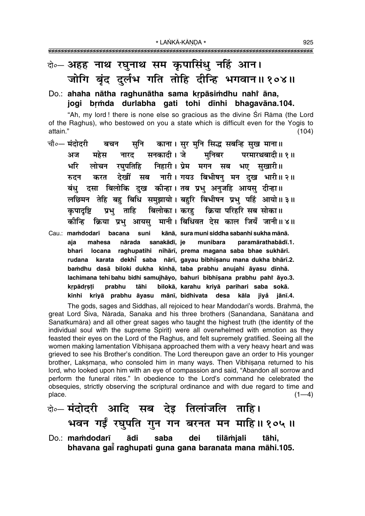## बे-अहह नाथ रघुनाथ सम कृपासिंधु नहिं आन। जोगि बुंद दर्लभ गति तोहि दीन्हि भगवान॥१०४॥

#### Do.: ahaha nātha raghunātha sama krpāsimdhu nahi āna, jogi brmda durlabha gati tohi dinhi bhagavāna.104.

"Ah, my lord! there is none else so gracious as the divine Srī Rāma (the Lord of the Raghus), who bestowed on you a state which is difficult even for the Yogis to attain."  $(104)$ 

- चौ०— **मंदोदरी** सुनि काना। सुर मुनि सिद्ध सबन्हि सुख माना॥ बचन महेस सनकादी। जे मनिबर परमारथबादी॥१॥ अज नारट लोचन रघुपतिहि निहारी।प्रेम मगन सब भए सुखारी॥ र्भार देखीं सब नारी। गयउ बिभीषन् मन दख भारी॥ २॥ रुटन करत बंधु दसा बिलोकि दुख कीन्हा।तब प्रभु अनुजहि आयसु दीन्हा॥ लछिमन तेहि बहु बिधि समुझायो। बहुरि बिभीषन प्रभु पहिं आयो॥३॥ बिलोका। करह क्रिया परिहरि सब सोका॥ कपादष्टि प्रभ ताहि कोन्हि क्रिया प्रभ आयस मानी। बिधिवत देस काल जियँ जानी॥४॥
- Cau.: mamdodarī bacana suni kānā, sura muni siddha sabanhi sukha mānā. mahesa nārada sanakādī, je aja munibara paramārathabādī.1. locana raghupatihi nihārī, prema magana saba bhae sukhārī. bhari karata dekhi saba nārī, gayau bibhīṣanu mana dukha bhārī.2. rudana bamdhu dasā biloki dukha kīnhā, taba prabhu anujahi āyasu dīnhā. lachimana tehi bahu bidhi samujhāyo, bahuri bibhīṣana prabhu pahi āyo.3. prabhu tāhi bilokā, karahu kriyā parihari saba sokā. krpādrsti kīnhi kriyā prabhu āyasu mānī, bidhivata desa kāla jivå iānī.4.

The gods, sages and Siddhas, all rejoiced to hear Mandodari's words. Brahma, the great Lord Śiva, Nārada, Sanaka and his three brothers (Sanandana, Sanātana and Sanatkumāra) and all other great sages who taught the highest truth (the identity of the individual soul with the supreme Spirit) were all overwhelmed with emotion as they feasted their eyes on the Lord of the Raghus, and felt supremely gratified. Seeing all the women making lamentation Vibhisana approached them with a very heavy heart and was grieved to see his Brother's condition. The Lord thereupon gave an order to His younger brother, Laksmana, who consoled him in many ways. Then Vibhisana returned to his lord, who looked upon him with an eye of compassion and said, "Abandon all sorrow and perform the funeral rites." In obedience to the Lord's command he celebrated the obsequies, strictly observing the scriptural ordinance and with due regard to time and place.  $(1-4)$ 

वे∘– मंदोदरी आदि सब देइ तिलांजलि ताहि। भवन गईं रघुपति गुन गन बरनत मन माहि॥१०५॥ Do.: mamdodarī ādi saba dei tilāmjali tāhi. bhavana gai raghupati guna gana baranata mana māhi.105.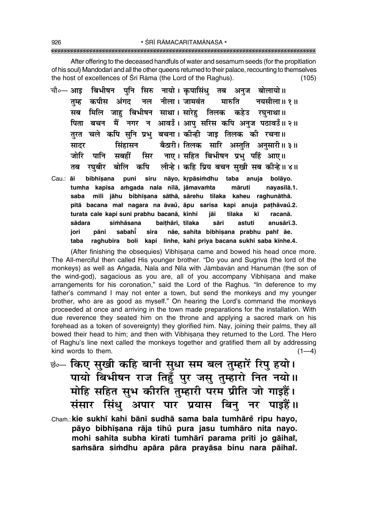After offering to the deceased handfuls of water and sesamum seeds (for the propitiation of his soul) Mandodari and all the other queens returned to their palace, recounting to themselves the host of excellences of Sri Rama (the Lord of the Raghus).  $(105)$ 

- चौ०— आइ बिभीषन पनि सिरु नायो। कपासिंध तब अनज बोलायो॥ तम्ह कपीस अंगद नल नीला । जामवंत मारुति नयसीला॥ १॥ सब मिलि जाह बिभीषन साथा। सारेह तिलक कहेउ रघनाथा॥ पिता बचन मैं नगर न आवडँ। आप सरिस कपि अनज पठावडँ॥ २॥ तुरत चले कपि सुनि प्रभु बचना। कीन्ही जाइ तिलक की रचना॥ बैठारी। तिलक सारि अस्तुति अनुसारी॥३॥ सिंहासन सादर सिर नाए। सहित बिभीषन प्रभु पहिं आए॥ जोरि पानि सबहीं तब रघुबीर बोलि कपि लीन्हे। कहि प्रिय बचन सुखी सब कीन्हे॥४॥
- puni siru nāyo, krpāsimdhu taba anuja bolāyo. Cau.: ai bibhīsana tumha kapīsa amgada nala nīlā, jāmavamta māruti navasīlā.1. mili jāhu bibhīsana sāthā, sārehu tilaka kaheu raghunāthā. saba pitā bacana mai nagara na āvaŭ, āpu sarisa kapi anuja pațhāvaŭ.2. turata cale kapi suni prabhu bacanā, kīnhī jāi tilaka kī racanā. baițhārī, tilaka sādara simhāsana sāri astuti anusārī.3. iori pāni sabahi sira nãe, sahita bibhīsana prabhu pahr āe. taba raghubīra boli kapi līnhe, kahi priya bacana sukhī saba kīnhe.4.

(After finishing the obsequies) Vibhisana came and bowed his head once more. The All-merciful then called His younger brother. "Do you and Sugriva (the lord of the monkeys) as well as Angada, Nala and Nīla with Jāmbayān and Hanumān (the son of the wind-god), sagacious as you are, all of you accompany Vibhisana and make arrangements for his coronation," said the Lord of the Raghus. "In deference to my father's command I may not enter a town, but send the monkeys and my younger brother, who are as good as myself." On hearing the Lord's command the monkeys proceeded at once and arriving in the town made preparations for the installation. With due reverence they seated him on the throne and applying a sacred mark on his forehead as a token of sovereignty) they glorified him. Nay, joining their palms, they all bowed their head to him; and then with Vibhisana they returned to the Lord. The Hero of Raghu's line next called the monkeys together and gratified them all by addressing kind words to them.  $(1-4)$ 

- छं किए सुखी कहि बानी सुधा सम बल तुम्हारें रिपु हयो। पायो बिभीषन राज तिहुँ पुर जसु तुम्हारो नित नयो।। मोहि सहित सुभ कीरति तुम्हारी परम प्रीति जो गाइहैं। संसार सिंधु अपार पार प्रयास बिनु नर पाइहैं॥
- Cham.: kie sukhī kahi bānī sudhā sama bala tumhāre ripu hayo, pāyo bibhīsana rāja tihů pura jasu tumhāro nita nayo. mohi sahita subha kīrati tumhārī parama prīti jo gāihai, samsāra simdhu apāra pāra prayāsa binu nara pāihai.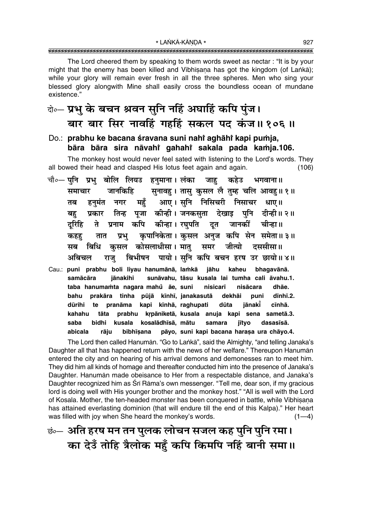The Lord cheered them by speaking to them words sweet as nectar: "It is by your might that the enemy has been killed and Vibhisana has got the kingdom (of Lanka); while your glory will remain ever fresh in all the three spheres. Men who sing your blessed glory alongwith Mine shall easily cross the boundless ocean of mundane existence."

# वे॰ प्रभु के बचन श्रवन सुनि नहिं अघाहिं कपि पुंज। बार बार सिर नावहिं गहहिं सकल पद कंज॥१०६॥

### Do.: prabhu ke bacana śravana suni nahi aghāhi kapi pumja, bāra bāra sira nāvahi gahahi sakala pada kamja.106.

The monkey host would never feel sated with listening to the Lord's words. They all bowed their head and clasped His lotus feet again and again.  $(106)$ 

- चौ०— पुनि प्रभु बोलि लियउ हनुमाना । लंका कहेउ भगवाना॥ जाह सुनावहु । तासु कुसल लै तुम्ह चलि आवहु॥१॥ जानकिहि समाचार महँ आए।सुनि निसिचरी निसाचर धाए॥ नगर तब हनमंत प्रकार तिन्ह पूजा कीन्ही।जनकसूता देखाइ पुनि दीन्ही॥२॥ बह प्रनाम कपि कीन्हा। रघपति जानकीं दत चीन्हा॥ दरिहि ते कपानिकेता। कसल अनज कपि सेन समेता॥३॥ प्रभ तात कहह कसल कोसलाधीसा। मात समर जीत्यो दससीसा॥ बिधि सब बिभीषन पायो। सनि कपि बचन हरष उर छायो॥४॥ अबिचल राज
- Cau.: puni prabhu boli liyau hanumānā, lamkā jāhu kaheu bhaqavānā. sunāvahu, tāsu kusala lai tumha cali āvahu.1. samācāra jānakihi taba hanumamta nagara mahů āe, suni nisicarī nisācara dhāe. prakāra tinha pūjā kīnhī, janakasutā dekhāi dīnhī.2. bahu puni dūrihi kapi kīnhā, raghupati jānakī cīnhā. te pranāma dūta kahahu tāta prabhu krpāniketā, kusala anuja kapi sena sametā.3. saba kosalādhīsā, mātu bidhi kusala samara jītvo dasasīsā. pāyo, suni kapi bacana harașa ura chāyo.4. abicala rāju bibhīsana

The Lord then called Hanumān. "Go to Lankā", said the Almighty, "and telling Janaka's Daughter all that has happened return with the news of her welfare." Thereupon Hanuman entered the city and on hearing of his arrival demons and demonesses ran to meet him. They did him all kinds of homage and thereafter conducted him into the presence of Janaka's Daughter. Hanuman made obeisance to Her from a respectable distance, and Janaka's Daughter recognized him as Śrī Rāma's own messenger. "Tell me, dear son, if my gracious lord is doing well with His younger brother and the monkey host." "All is well with the Lord of Kosala. Mother, the ten-headed monster has been conquered in battle, while Vibhisana has attained everlasting dominion (that will endure till the end of this Kalpa)." Her heart was filled with joy when She heard the monkey's words.  $(1-4)$ 

<u>छंन्स अति हरष मन तन पु</u>लक लोचन सजल कह पुनि पुनि रमा। का देउँ तोहि त्रैलोक महँ कपि किमपि नहिं बानी समा॥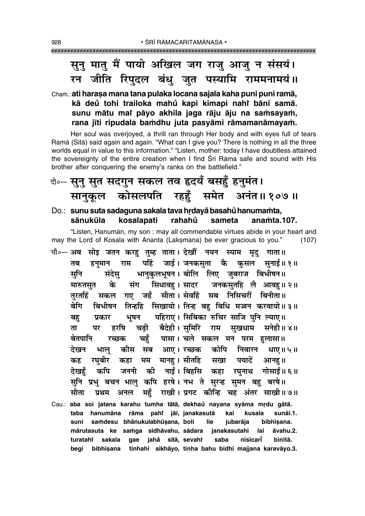## सूनु मातु मैं पायो अखिल जग राजु आजु न संसयं। रन जीति रिपुदल बंधु जुत पस्यामि राममनामयं ॥

## Cham.: ati harasa mana tana pulaka locana sajala kaha puni puni ramā, kā deů tohi trailoka mahů kapi kimapi nahř bānī samā. sunu mātu mai pāyo akhila jaga rāju āju na samsayam, rana jīti ripudala bamdhu juta pasyāmi rāmamanāmayam.

Her soul was overjoyed, a thrill ran through Her body and with eyes full of tears Ramā (Sītā) said again and again. "What can I give you? There is nothing in all the three worlds equal in value to this information." "Listen, mother: today I have doubtless attained the sovereignty of the entire creation when I find Sri Rama safe and sound with His brother after conquering the enemy's ranks on the battlefield."

# वे∘– सूनु सुत सदगुन सकल तव हृदयँ बसहुँ हुनुमंत। सानुकूल कोसलपति रहहुँ समेत अनंत॥१०७॥

#### Do.: sunu suta sadaguna sakala tava hrdayå basahů hanumamta, sānukūla kosalapati rahahů sameta anamta.107.

"Listen, Hanumān, my son : may all commendable virtues abide in your heart and may the Lord of Kosala with Ananta (Laksmana) be ever gracious to you."  $(107)$ 

- चौ०— अब सोइ जतन करह तुम्ह ताता। देखौं नयन स्याम मृद गाता॥ पहिं जाई। जनकसता कै कसल सनाई॥१॥ तब राम हनमान सूनि भानुकुलभूषन । बोलि लिए जुबराज बिभीषन॥ संदेस सिधावह। सादर जनकसतहि लै आवह॥२॥ के संग मारुतसत सकल गए जहँ सीता।सेवहिं सब निसिचरीं बिनीता॥ तरतहिं बिभीषन तिन्हहि सिखायो। तिन्ह बहु बिधि मज्जन करवायो॥३॥ बेगि पहिराए। सिबिका रुचिर साजि पनि ल्याए॥ बह प्रकार भूषन हरषि बैदेही। समिरि राम सखधाम सनेही॥४॥ चढी ता पर पासा। चले सकल मन परम हलासा॥ बेतपानि चहँ रच्छक सब आए। रच्छक निवारन देखन भाल कीस कोपि धाए॥५॥ रघबीर मम मानह । सीतहि पयादें कहा सखा आनह।। कह की नाईं। बिहसि कपि कहा देखहॅ जननी गोसाईं॥ ६ ॥ रघनाथ सुनि प्रभु बचन भालु कपि हरषे। नभ ते सुरन्ह सुमन बहु बरषे॥ महँ राखी। प्रगट कीन्हि चह अंतर साखी॥७॥ प्रथम सीता अनल Cau.: aba soi jatana karahu tumha tātā, dekhaŭ nayana syāma mrdu gātā.
- rāma pahi jāī, janakasutā taba hanumāna kai kusala sunāī.1. samdesu bhānukulabhūsana, boli jubarāja bibhīsana. suni lie mārutasuta ke samga sidhāvahu, sādara janakasutahi lai āvahu.2. sakala gae jahå sītā, sevahi turatahî saba nisicari binītā. bibhīsana tinhahi sikhāyo, tinha bahu bidhi majjana karavāyo.3. beai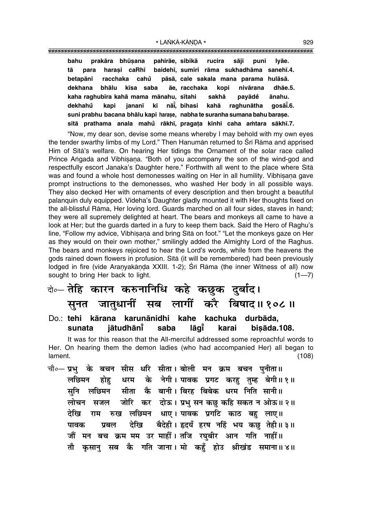|            |                                                                            | bahu prakāra bhūsana pahirāe, sibikā rucira sāji puni lyāe.        |  |  |  |
|------------|----------------------------------------------------------------------------|--------------------------------------------------------------------|--|--|--|
|            |                                                                            |                                                                    |  |  |  |
| tā<br>para |                                                                            | harasi caRhī baidehī, sumiri rāma sukhadhāma sanehī.4.             |  |  |  |
|            |                                                                            | betapāni racchaka cahů pāsā, cale sakala mana parama hulāsā.       |  |  |  |
|            |                                                                            | dekhana bhālu kīsa saba āe racchaka kopi nivārana dhāe.5.          |  |  |  |
|            |                                                                            | kaha raghubīra kahā mama mānahu, sītahi sakhā payādě ānahu.        |  |  |  |
|            |                                                                            | dekhahů kapi jananī kī nāi̇̃, bihasi kahā raghunātha gosāi̇̃.6.    |  |  |  |
|            | suni prabhu bacana bhālu kapi harase, nabha te suranha sumana bahu barase. |                                                                    |  |  |  |
|            |                                                                            | sītā prathama anala mahů rākhī, pragața kīnhi caha amtara sākhī.7. |  |  |  |

"Now, my dear son, devise some means whereby I may behold with my own eyes the tender swarthy limbs of my Lord." Then Hanumān returned to Śrī Rāma and apprised Him of Sītā's welfare. On hearing Her tidings the Ornament of the solar race called Prince Angada and Vibhīsana. "Both of you accompany the son of the wind-god and respectfully escort Janaka's Daughter here." Forthwith all went to the place where Sītā was and found a whole host demonesses waiting on Her in all humility. Vibhīsana gave prompt instructions to the demonesses, who washed Her body in all possible ways. They also decked Her with ornaments of every description and then brought a beautiful palanquin duly equipped. Videhaís Daughter gladly mounted it with Her thoughts fixed on the all-blissful Råma, Her loving lord. Guards marched on all four sides, staves in hand; they were all supremely delighted at heart. The bears and monkeys all came to have a look at Her; but the guards darted in a fury to keep them back. Said the Hero of Raghu's line, "Follow my advice, Vibhīṣaṇa and bring Sītā on foot." "Let the monkeys gaze on Her as they would on their own mother," smilingly added the Almighty Lord of the Raghus. The bears and monkeys rejoiced to hear the Lordís words, while from the heavens the gods rained down flowers in profusion. Sītā (it will be remembered) had been previously lodged in fire (vide Aranyakānda XXIII. 1-2); Srī Rāma (the inner Witness of all) now sought to bring Her back to light.  $(1-7)$ 

## दो०— **तेहि कारन करुनानिधि कहे कछुक दुर्बाद।** सूनत जातुधानीं सब लागीं करै बिषाद॥१०८॥

#### Do.: **tehi kårana karunånidhi kahe kachuka durbåda, sunata jåtudhån∂° saba låg∂° karai bi¶åda.108.**

It was for this reason that the All-merciful addressed some reproachful words to Her. On hearing them the demon ladies (who had accompanied Her) all began to lament. (108)

चौ०– प्रभु के बचन सीस धरि सीता। बोली मन क्रम बचन पुनीता॥ लछिमन होह धरम के नेगी।**पावक प्रगट करह तम्ह बेगी॥१॥** सुनि लछिमन सीता कै बानी।।बिरह बिबेक धरम निति सानी॥ लोचन सजल जोरि कर दोऊ। प्रभु सन**कछु कहि सकत न ओऊ॥ २**॥ देखि राम रुख लछिमन धाए। पावक प्रगटि काठ बहु लाए॥ **पावक प्रबल देखि बैदेही**। हृदयँ हरष नहिं भय कछ तेही॥३॥ <u>जौं मन बच क्रम मम उर माहीं। तजि रघबीर आन गति नाहीं॥</u> तौ कुसान् सब कै गति जाना। मो कहँ होउ श्रीखंड समाना॥४॥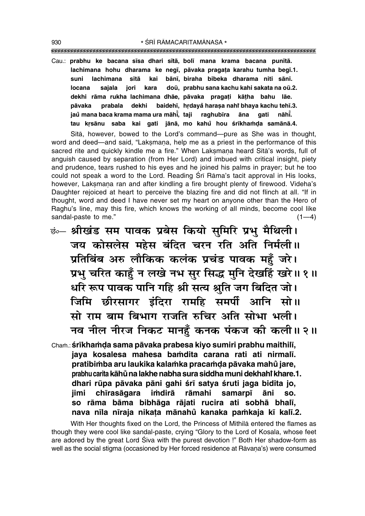""""""""""""""""""""""""""""""""""""""""""""""""""""""""""""""""""""""""""""""""""" 930 \* SRĪ RĀMACARITAMĀNASA \*

Cau.: **prabhu ke bacana s∂sa dhari s∂tå, bol∂ mana krama bacana pun∂tå. lachimana hohu dharama ke neg∂, påvaka praga¢a karahu tumha beg∂.1. suni lachimana s∂tå kai bån∂, biraha bibeka dharama niti sån∂.** locana sajala jori kara doū, prabhu sana kachu kahi sakata na oū.2. **dekhi råma rukha lachimana dhåe, påvaka praga¢i kå¢ha bahu låe.** pāvaka prabala dekhi baidehī, hṛdayå haraṣa nahi<sup>∙</sup>bhaya kachu tehī.3. **jau° mana baca krama mama ura måh∂° , taji raghub∂ra åna gati nåh∂° .** tau krsānu saba kai gati jānā, mo kahů hou śrīkhamda samānā.4.

Sītā, however, bowed to the Lord's command—pure as She was in thought, word and deed—and said, "Laksmana, help me as a priest in the performance of this sacred rite and quickly kindle me a fire." When Lakṣmaṇa heard Sītā's words, full of anguish caused by separation (from Her Lord) and imbued with critical insight, piety and prudence, tears rushed to his eyes and he joined his palms in prayer; but he too could not speak a word to the Lord. Reading Śrī Rāma's tacit approval in His looks, however, Laksmana ran and after kindling a fire brought plenty of firewood. Videha's Daughter rejoiced at heart to perceive the blazing fire and did not flinch at all. "If in thought, word and deed I have never set my heart on anyone other than the Hero of Raghuís line, may this fire, which knows the working of all minds, become cool like sandal-paste to me."  $(1-4)$ 

- $\vec{v}$  श्रीखंड सम पावक प्रबेस कियो सुमिरि प्रभु मैथिली। जय कोसलेस महेस बंदित चरन रति अति निर्मली ।। प्रतिबिंब अरु लौकिक कलंक प्रचंड पावक महुँ जरे। प्रभ चरित काहूँ न लखे नभ सुर सिद्ध मुनि देखहिं खरे ॥ १ ॥ र्धारे रूप पावक पानि गहि श्री सत्य श्रुति जग बिदित जो। **जिमि छीरसागर इंदिरा रामहि समर्पी आनि सो।।** सो राम बाम बिभाग राजति रुचिर अति सोभा भली। नव नील नीरज निकट मानहुँ कनक पंकज की कली॥२॥
- Cham.: **śrīkhamda sama pāvaka prabesa kiyo sumiri prabhu maithilī, jaya kosalesa mahesa ba≈dita carana rati ati nirmal∂. pratibi≈ba aru laukika kala≈ka praca≈Œa påvaka mahu° jare, prabhu carita kåhu° na lakhe nabha sura siddha muni dekhahiÚ khare.1.** dhari rūpa pāvaka pāni gahi śrī satya śruti jaga bidita jo, **jimi ch∂rasågara i≈dirå råmahi samarp∂ åni so. so råma båma bibhåga råjati rucira ati sobhå bhal∂, nava n∂la n∂raja nika¢a månahu° kanaka pa≈kaja k∂ kal∂.2.**

With Her thoughts fixed on the Lord, the Princess of Mithilå entered the flames as though they were cool like sandal-paste, crying "Glory to the Lord of Kosala, whose feet are adored by the great Lord Siva with the purest devotion !" Both Her shadow-form as well as the social stigma (occasioned by Her forced residence at Rāvana's) were consumed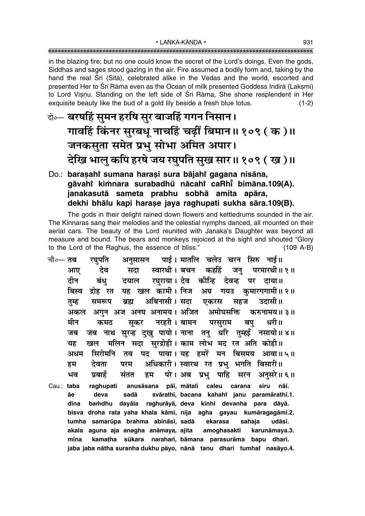in the blazing fire; but no one could know the secret of the Lord's doings. Even the gods, Siddhas and sages stood gazing in the air. Fire assumed a bodily form and, taking by the hand the real Srī (Sītā), celebrated alike in the Vedas and the world, escorted and presented Her to Śrī Rāma even as the Ocean of milk presented Goddess Indirā (Lakṣmī) to Lord Visnu. Standing on the left side of Srī Rāma, She shone resplendent in Her exquisite beauty like the bud of a gold lily beside a fresh blue lotus.  $(1-2)$ 

- केन्चरषहिं सुमन हरषि सुर बाजहिं गगन निसान। गावहिं किंनर सुरबधु नाचहिं चढ़ीं बिमान॥१०९ ( क )॥ जनकसुता समेत प्रभु सोभा अमित अपार। देखि भालु कपि हरषे जय रघुपति सुख सार॥ १०९ ( ख )॥
- Do.: barasahi sumana harasi sura bājahi gagana nisāna, gāvahi kimnara surabadhū nācahi caRhi bimāna.109(A). janakasutā sameta prabhu sobhā amita apāra, dekhi bhālu kapi harase jaya raghupati sukha sāra.109(B).

The gods in their delight rained down flowers and kettledrums sounded in the air. The Kinnaras sang their melodies and the celestial nymphs danced, all mounted on their aerial cars. The beauty of the Lord reunited with Janaka's Daughter was beyond all measure and bound. The bears and monkeys rejoiced at the sight and shouted "Glory to the Lord of the Raghus, the essence of bliss."  $(109 A-B)$ 

पाई। मातलि चलेउ चरन सिरु नाई॥ चौ०— **तब** रघुपति अनसासन स्वारथी। बचन कहहिं देव परमारथी॥ १॥ आए सदा जन् रघुराया। देव कीन्हि देवन्ह दीन बंध दयाल पर दाया ॥ बिस्व द्रोह रत यह खल कामी। निज अघ गयउ कुमारगगामी॥२॥ अबिनासी। सदा तुम्ह समरूप ब्रह्म एकरस सहज उदासी।। अकल अगुन अज अनघ अनामय। अजित अमोघसक्ति करुनामय॥३॥ मीन कमठ नरहरी । बामन परसराम बप धरी॥ सकर जब नाथ सुरन्ह दुखु पायो। नाना तनु धरि तुम्हइँ नसायो॥४॥ जब खल मलिन सदा सुरद्रोही। काम लोभ मद रत अति कोही॥ यह पावा। यह हमरें मन बिसमय आवा॥५॥ अधम सिरोमनि तव पट अधिकारी। स्वारथ रत प्रभु भगति बिसारी॥ देवता परम हम परे। अब प्रभु पाहि ਮਕ प्रबाहॅ संतत हम सरन अनुसरे॥ ६॥ raghupati Cau.: taba anusāsana pāī, mātali caleu carana siru nāī. āe deva sadā svārathī, bacana kahahi janu paramārathī.1. bamdhu dayāla raghurāyā, deva kīnhi devanha para dāyā. dīna bisva droha rata yaha khala kāmī, nija agha gayau kumāragagāmī.2. tumha samarūpa brahma abināsī, sadā ekarasa sahaia udāsī. akala aguna aja anagha anāmaya, ajita amoghasakti karunāmaya.3. mīna kamatha sūkara naraharī, bāmana parasurāma bapu dharī. jaba jaba nātha suranha dukhu pāyo, nānā tanu dhari tumhai nasāyo.4.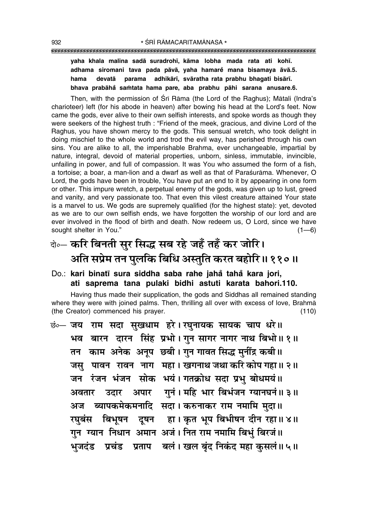## **yaha khala malina sadå suradroh∂, kåma lobha mada rata ati koh∂. adhama siromani tava pada påvå, yaha hamare° mana bisamaya åvå.5. hama devatå parama adhikår∂, svåratha rata prabhu bhagati bisår∂.**

**bhava prabåha° sa≈tata hama pare, aba prabhu påhi sarana anusare.6.**

Then, with the permission of Śrī Rāma (the Lord of the Raghus); Mātali (Indra's charioteer) left (for his abode in heaven) after bowing his head at the Lord's feet. Now came the gods, ever alive to their own selfish interests, and spoke words as though they were seekers of the highest truth : "Friend of the meek, gracious, and divine Lord of the Raghus, you have shown mercy to the gods. This sensual wretch, who took delight in doing mischief to the whole world and trod the evil way, has perished through his own sins. You are alike to all, the imperishable Brahma, ever unchangeable, impartial by nature, integral, devoid of material properties, unborn, sinless, immutable, invincible, unfailing in power, and full of compassion. It was You who assumed the form of a fish, a tortoise; a boar, a man-lion and a dwarf as well as that of Parasurama. Whenever, O Lord, the gods have been in trouble, You have put an end to it by appearing in one form or other. This impure wretch, a perpetual enemy of the gods, was given up to lust, greed and vanity, and very passionate too. That even this vilest creature attained Your state is a marvel to us. We gods are supremely qualified (for the highest state): yet, devoted as we are to our own selfish ends, we have forgotten the worship of our lord and are ever involved in the flood of birth and death. Now redeem us, O Lord, since we have sought shelter in You." (1—6)

# दो**०– करि बिनती सुर सिद्ध सब रहे जहँ तहँ कर जोरि।** <u>अति सप्रेम तन पु</u>लकि बिधि अस्तुति करत बहोरि॥ ११०॥

#### Do.: **kari binat∂ sura siddha saba rahe jaha° taha° kara jori, ati saprema tana pulaki bidhi astuti karata bahori.110.**

Having thus made their supplication, the gods and Siddhas all remained standing where they were with joined palms. Then, thrilling all over with excess of love, Brahmå (the Creator) commenced his prayer. (110)

**छं०— जय** राम सदा सुखधाम हरे। रघुनायक सायक चाप धरे॥ **भव बारन दारन सिंह प्रभो। गुन सागर नागर नाथ बिभो॥ १॥** तन काम अनेक अनूप छबी। गुन गावत सिद्ध मुनींद्र कबी ।। जसु पावन रावन नाग महा। खगनाथ जथा करि कोप गहा॥ २॥ जन रंजन भंजन सोक भयं। गतक्रोध सदा प्रभु बोधमयं ।। **अवतार उदार अपार गुनं। महि भार बिभंजन ग्यानघनं॥ ३॥** अज व्यापकमेकमनादि सदा। करुनाकर राम नमामि मुदा॥ **रघुबंस बिभूषन दूषन हा। कृत भूप बिभीषन दीन रहा॥ ४॥** गुन ग्यान निधान अमान अजं। नित राम नमामि बिभुं बिरजं॥ <u>भुजदंड प्रचंड प्रताप बलं। खल बृंद निकंद महा कुसलं॥ ५॥</u>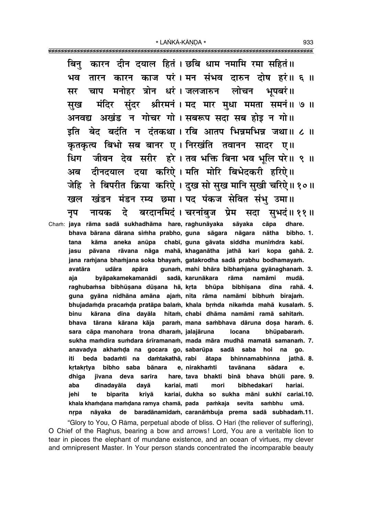कारन दीन दयाल हितं। छबि धाम नमामि रमा सहितं॥ बिन तारन कारन काज परं। मन संभव दारुन दोष हरं॥ ६ ॥ ਮਰ चाप मनोहर त्रोन धरं।जलजारुन लोचन भपबरं॥ मर मंदिर सुंदर श्रीरमनं । मद मार मुधा ममता समनं ॥ ७ ॥ सख अनवद्य अखंड न गोचर गो। सबरूप सदा सब होइ न गो॥ इति बेद बदंति न दंतकथा। रबि आतप भिन्नमभिन्न जथा॥ ८ ॥ कृतकृत्य बिभो सब बानर ए। निरखंति तवानन सादर ए॥ धिग जीवन देव सरीर हरे। तव भक्ति बिना भव भूलि परे॥ ९ ॥ दीनदयाल दया करिऐ। मति मोरि बिभेदकरी हरिऐ॥ अब जेहि ते बिपरीत क्रिया करिऐ। दुख सो सुख मानि सुखी चरिऐ॥१०॥ खंडन मंडन रम्य छमा। पद पंकज सेवित संभु उमा॥ खल दे बरदानमिदं । चरनांबज प्रेम सदा सभदं॥ ११॥ नायक नप Cham: jaya rāma sadā sukhadhāma hare, raghunāyaka sāvaka cāpa dhare. bhava bārana dārana simha prabho, guna sāgara nāgara nātha bibho. 1. kāma aneka anūpa chabī, guna gāvata siddha munīmdra kabī. tana pāvana rāvana nāga mahā, khaganātha jathā kari kopa gahā. 2. jasu jana ramjana bhamjana soka bhayam, gatakrodha sadā prabhu bodhamayam. avatāra udāra apāra gunam, mahi bhāra bibhamjana gyānaghanam. 3. aja byāpakamekamanādi sadā, karunākara rāma namāmi mudā. raghubamsa bibhūsana dūsana hā, krta bhūpa bibhīsana dīna rahā. 4. gyāna nidhāna amāna ajam, nita rāma namāmi bibhum birajam. quna bhujadamda pracamda pratāpa balam, khala brmda nikamda mahā kusalam. 5. binu kārana dīna dayāla hitam, chabi dhāma namāmi ramā sahitam. bhava tārana kārana kāja param, mana sambhava dāruna dosa haram. 6. sara cāpa manohara trona dharam, jalajāruna bhūpabaram. locana sukha mamdira sumdara śrīramanam, mada māra mudhā mamatā samanam. 7. anavadya akhamda na gocara go, sabarūpa sadā saba hoi na go. iti. beda badamti na damtakathā, rabi ātapa bhinnamabhinna jathā. 8. bibho saba bānara krtakrtya e, nirakhamti tavānana sādara e. jīvana deva sarīra hare, tava bhakti binā bhava bhūli pare. 9. dhiga kariai, mati bibhedakarī aba dīnadayāla dayā mori hariai. jehi biparīta krivā kariai, dukha so sukha māni sukhī cariai.10. te khala khamdana mamdana ramya chamā, pada pamkaja sevita sambhu umā. nāyaka de baradānamidam, caranāmbuja prema sadā subhadam.11. nrpa

"Glory to You, O Rāma, perpetual abode of bliss. O Hari (the reliever of suffering), O Chief of the Raghus, bearing a bow and arrows! Lord, You are a veritable lion to tear in pieces the elephant of mundane existence, and an ocean of virtues, my clever and omnipresent Master. In Your person stands concentrated the incomparable beauty

933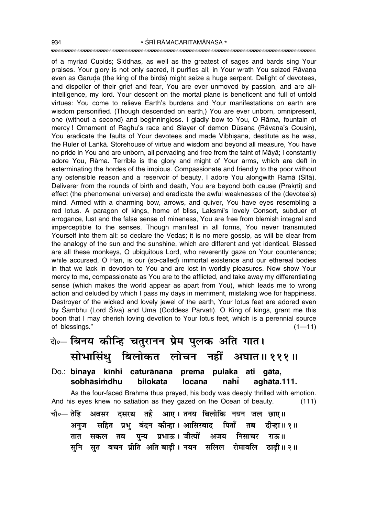#### """"""""""""""""""""""""""""""""""""""""""""""""""""""""""""""""""""""""""""""""""" 934 SRĪ RĀMACARITAMĀNASA \*

of a myriad Cupids; Siddhas, as well as the greatest of sages and bards sing Your praises. Your glory is not only sacred, it purifies all; in Your wrath You seized Rāvana even as Garuda (the king of the birds) might seize a huge serpent. Delight of devotees, and dispeller of their grief and fear, You are ever unmoved by passion, and are allintelligence, my lord. Your descent on the mortal plane is beneficent and full of untold virtues: You come to relieve Earth's burdens and Your manifestations on earth are wisdom personified. (Though descended on earth,) You are ever unborn, omnipresent, one (without a second) and beginningless. I gladly bow to You, O Råma, fountain of mercy ! Ornament of Raghu's race and Slayer of demon Dūsana (Rāvana's Cousin), You eradicate the faults of Your devotees and made Vibhīsana, destitute as he was, the Ruler of Lankā. Storehouse of virtue and wisdom and beyond all measure, You have no pride in You and are unborn, all pervading and free from the taint of Måyå; I constantly adore You, Råma. Terrible is the glory and might of Your arms, which are deft in exterminating the hordes of the impious. Compassionate and friendly to the poor without any ostensible reason and a reservoir of beauty, I adore You alongwith Ramā (Sītā). Deliverer from the rounds of birth and death, You are beyond both cause (Prakrti) and effect (the phenomenal universe) and eradicate the awful weaknesses of the (devotee's) mind. Armed with a charming bow, arrows, and quiver, You have eyes resembling a red lotus. A paragon of kings, home of bliss, Laksmī's lovely Consort, subduer of arrogance, lust and the false sense of mineness, You are free from blemish integral and imperceptible to the senses. Though manifest in all forms, You never transmuted Yourself into them all: so declare the Vedas; it is no mere gossip, as will be clear from the analogy of the sun and the sunshine, which are different and yet identical. Blessed are all these monkeys, O ubiquitous Lord, who reverently gaze on Your countenance; while accursed, O Hari, is our (so-called) immortal existence and our ethereal bodies in that we lack in devotion to You and are lost in worldly pleasures. Now show Your mercy to me, compassionate as You are to the afflicted, and take away my differentiating sense (which makes the world appear as apart from You), which leads me to wrong action and deluded by which I pass my days in merriment, mistaking woe for happiness. Destroyer of the wicked and lovely jewel of the earth, Your lotus feet are adored even by Śambhu (Lord Śiva) and Umā (Goddess Pārvatī). O King of kings, grant me this boon that I may cherish loving devotion to Your lotus feet, which is a perennial source of blessings."  $(1-11)$ 

- दो∘– **बिनय कीन्हि चतुरानन प्रेम पुलक अति गात।** सोभासिंध् बिलोकत लोचन नहीं अघात॥१११॥ Do.: **binaya k∂nhi caturånana prema pulaka ati gåta,**
- **sobhåsi≈dhu bilokata locana nah∂° aghåta.111.**

As the four-faced Brahmå thus prayed, his body was deeply thrilled with emotion. And his eyes knew no satiation as they gazed on the Ocean of beauty. (111)

<sub>.चौ०</sub>— तेहि अवसर दसरथ तहँ आए। तनय बिलोकि नयन जल छाए॥ <mark>अनुज सहित प्रभु बंदन कीन्हा ।आसिरबाद पिताँ तब दीन्हा ॥१ ॥</mark> तात सकल तव पुन्य प्रभाऊ।जजीत्यों अजय निसाचर राऊ॥ सुनि सुत बचन प्रीति अति**बाढी। नयन सलिल रोमावलि ठाढी॥२॥**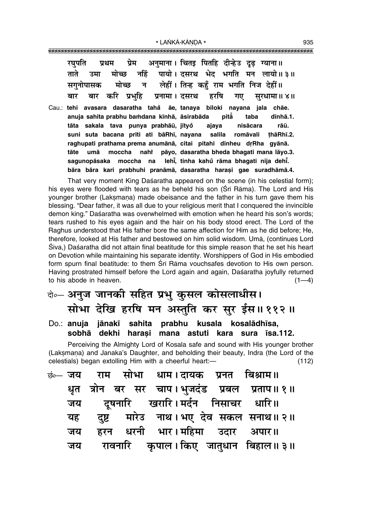| प्रथम प्रेम अनुमाना। चितइ पितहि दीन्हेउ दृढ़ ग्याना॥<br>रघुपात        |
|-----------------------------------------------------------------------|
| ताते उमा मोच्छ नहिं पायो।दसरथ भेद भगति मन लायो॥३॥                     |
| सगुनोपासक मोच्छ न लेहीं। तिन्ह कहुँ राम भगति निज देहीं॥               |
| बार बार करि प्रभुहि प्रनामा। दसरथ हरषि गए सुरधामा॥४॥                  |
| Cau.: tehi avasara dasaratha tahă āe, tanaya biloki nayana jala chāe. |
| anuja sahita prabhu bamdana kīnhā, āsirabāda pitā taba<br>dīnhā.1.    |
| tāta sakala tava punya prabhāū, jītyo ajaya nisācara<br>rāū.          |
| suni suta bacana prīti ati bāRhī, nayana salila romāvali thāRhī.2.    |
| raghupati prathama prema anumānā, citai pitahi dīnheu drRha gyānā.    |
| moccha nahi pāyo, dasaratha bheda bhagati mana lāyo.3.<br>tāte umā    |
| sagunopāsaka moccha na lehī, tinha kahŭ rāma bhagati nija dehī.       |
| bāra bāra kari prabhuhi pranāmā, dasaratha harasi gae suradhāmā.4.    |

That very moment King Dasaratha appeared on the scene (in his celestial form); his eyes were flooded with tears as he beheld his son (Srī Rāma). The Lord and His younger brother (Laksmana) made obeisance and the father in his turn gave them his blessing. "Dear father, it was all due to your religious merit that I conquered the invincible demon king." Dasaratha was overwhelmed with emotion when he heard his son's words; tears rushed to his eyes again and the hair on his body stood erect. The Lord of the Raghus understood that His father bore the same affection for Him as he did before; He, therefore, looked at His father and bestowed on him solid wisdom. Umå, (continues Lord Siva,) Dasaratha did not attain final beatitude for this simple reason that he set his heart on Devotion while maintaining his separate identity. Worshippers of God in His embodied form spurn final beatitude: to them Śrī Rāma vouchsafes devotion to His own person. Having prostrated himself before the Lord again and again, Dasaratha joyfully returned to his abode in heaven.  $(1-4)$ 

## बे**०– अनुज जानकी सहित प्रभु कुसल कोसलाधीस।** सोभा देखि हरषि मन अस्तुति कर सुर ईस ॥ ११२ ॥

Do.: **anuja jånak∂ sahita prabhu kusala kosalådh∂sa, sobhå dekhi hara¶i mana astuti kara sura ∂sa.112.**

Perceiving the Almighty Lord of Kosala safe and sound with His younger brother (Laksmana) and Janaka's Daughter, and beholding their beauty, Indra (the Lord of the  $c$ elestials) began extolling Him with a cheerful heart: $\left(112\right)$ 

|    | <sub>छं0—</sub> जय  राम सोभा धाम।दायक प्रनत बिश्राम॥ |  |  |
|----|------------------------------------------------------|--|--|
|    | धृत त्रोन बर सर चाप।भुजदंड प्रबल प्रताप॥१॥           |  |  |
|    | जय दूषनारि खरारि।मर्दन निसाचर धारि॥                  |  |  |
|    | यह दुष्ट मारेड नाथ। भए देव सकल सनाथ॥ २॥              |  |  |
| जय | हरन धरनी भार।महिमा उदार अपार॥                        |  |  |
|    | जय रावनारि कृपाल।किए जातुधान बिहाल॥३॥                |  |  |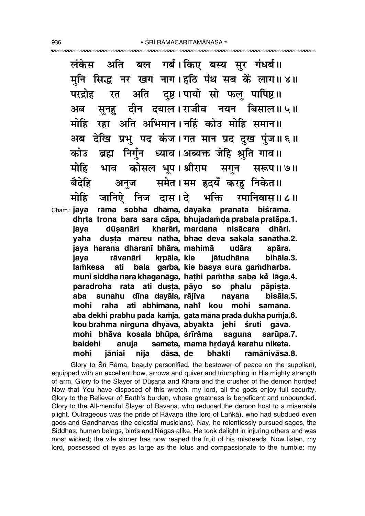गर्ब। किए बस्य सुर गंधर्ब॥ अति लंकेस बल मूनि सिद्ध नर खग नाग। हठि पंथ सब कें लाग॥ ४॥ अति दुष्ट। पायो सो फलु पापिष्ट।। परद्रोह रत सूनहु दीन दयाल।राजीव नयन बिसाल॥५॥ अब मोहि रहा अति अभिमान।नहिं कोउ मोहि समान॥ अब देखि प्रभु पद कंज।गत मान प्रद दुख पुंज॥६॥ कोउ ब्रह्म निर्गुन ध्याव।अब्यक्त जेहि श्रुति गाव॥ कोसल भूप। श्रीराम सगुन भाव सरूप॥ ७॥ समेत। मम हृदयँ करहु निकेत॥ बैदेहि अनुज मोहि जानिऐ निज दास।दे भक्ति रमानिवास॥ ८॥ jaya dūsanāri yaha jaya harana dharanī bhāra, mahimā udāra

rāma sobhā dhāma dāvaka pranata biśrāma. Cham.: **java** dhrta trona bara sara cāpa, bhujadamda prabala pratāpa.1. kharāri, mardana nisācara dhāri. dusta māreu nātha, bhae deva sakala sanātha.2. apāra. jātudhāna iava rāvanāri krpāla, kie bihāla.3. bala garba, kie basya sura gamdharba. lamkesa ati muni siddha nara khaganāga, hathi pamtha saba ke lāga.4. paradroha rata ati dusta, pāyo so phalu pāpista. sunahu dīna dayāla, rājīva aba navana bisāla.5. rahā ati abhimāna, nahi kou mohi samāna. mohi aba dekhi prabhu pada kamja, gata māna prada dukha pumja.6. kou brahma nirguna dhyāva, abyakta jehi śruti gāva. mohi bhāva kosala bhūpa, śrīrāma saguna sarūpa.7. anuja sameta, mama hrdayå karahu niketa. baidehi dāsa, de bhakti mohi jāniai nija ramānivāsa.8.

Glory to Sri Rama, beauty personified, the bestower of peace on the suppliant, equipped with an excellent bow, arrows and quiver and triumphing in His mighty strength of arm. Glory to the Slaver of Dūsana and Khara and the crusher of the demon hordes! Now that You have disposed of this wretch, my lord, all the gods enjoy full security. Glory to the Reliever of Earth's burden, whose greatness is beneficent and unbounded. Glory to the All-merciful Slayer of Rāvana, who reduced the demon host to a miserable plight. Outrageous was the pride of Rāvana (the lord of Lanka), who had subdued even gods and Gandharvas (the celestial musicians). Nay, he relentlessly pursued sages, the Siddhas, human beings, birds and Nāgas alike. He took delight in injuring others and was most wicked; the vile sinner has now reaped the fruit of his misdeeds. Now listen, my lord, possessed of eves as large as the lotus and compassionate to the humble: my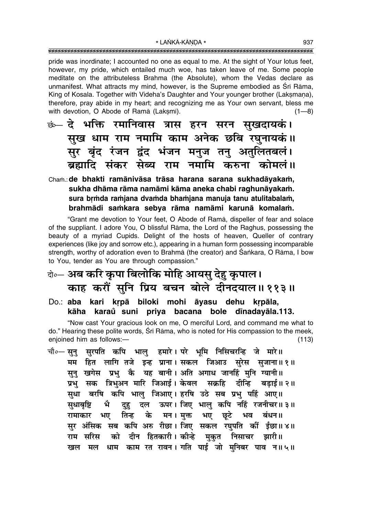pride was inordinate; I accounted no one as equal to me. At the sight of Your lotus feet, however, my pride, which entailed much woe, has taken leave of me. Some people meditate on the attributeless Brahma (the Absolute), whom the Vedas declare as unmanifest. What attracts my mind, however, is the Supreme embodied as Srī Rāma, King of Kosala. Together with Videha's Daughter and Your younger brother (Laksmana), therefore, pray abide in my heart; and recognizing me as Your own servant, bless me with devotion, O Abode of Ramā (Laksmī).  $(1 - 8)$ 

<u>छं—</u> दे भक्ति रमानिवास त्रास हरन सरन सुखदायकं। सुख धाम राम नमामि काम अनेक छबि रघुनायकं॥ सुर बृंद रंजन द्वंद भंजन मनुज तनु अतुलितबलं। ब्रह्मादि संकर सेब्य राम नमामि करुना कोमलं॥

## Cham.: de bhakti ramānivāsa trāsa harana sarana sukhadāyakam, sukha dhāma rāma namāmi kāma aneka chabi raghunāyakam. sura brmda ramjana dvamda bhamjana manuja tanu atulitabalam, brahmādi samkara sebya rāma namāmi karunā komalam.

"Grant me devotion to Your feet, O Abode of Rama, dispeller of fear and solace of the suppliant. I adore You, O blissful Rama, the Lord of the Raghus, possessing the beauty of a myriad Cupids. Delight of the hosts of heaven, Queller of contrary experiences (like joy and sorrow etc.), appearing in a human form possessing incomparable strength, worthy of adoration even to Brahmā (the creator) and Sankara, O Rāma, I bow to You, tender as You are through compassion."

## केन्ट अब करि कृपा बिलोकि मोहि आयस् देह कृपाल। काह करौं सुनि प्रिय बचन बोले दीनदयाल॥११३॥

Do.: aba kari krpā biloki mohi āyasu dehu krpāla, karaŭ suni priya bacana bole dīnadayāla.113. kāha

"Now cast Your gracious look on me, O merciful Lord, and command me what to do." Hearing these polite words, Srī Rāma, who is noted for His compassion to the meek, enjoined him as follows:- $(113)$ 

चौ०— सुनु सुरपति कपि भालु हमारे। परे भूमि निसिचरन्हि जे मारे॥ मम हित लागि तजे इन्ह प्राना। सकल जिआउ सुरेस सुजाना॥१॥ सुनु खगेस प्रभु कै यह बानी। अति अगाध जानहिं मुनि ग्यानी॥ प्रभु सक त्रिभुअन मारि जिआई। केवल सक्रहि दीन्हि बडाई॥ २॥ सुधा बरषि कपि भालु जिआए। हरषि उठे सब प्रभु पहिं आए॥ भै दुहु दल ऊपर। जिए भालु कपि नहिं रजनीचर॥३॥ सुधाबृष्टि तिन्ह के मन।मुक्त भए छूटे भव बंधन॥ रामाकार भए सुर अंसिक सब कपि अरु रीछा। जिए सकल रघुपति कीं ईछा॥४॥ को दीन हितकारी।कीन्हे मकत निसाचर झारी॥ राम सरिस खल मल धाम काम रत रावन। गति पाई जो मनिबर पाव न॥५॥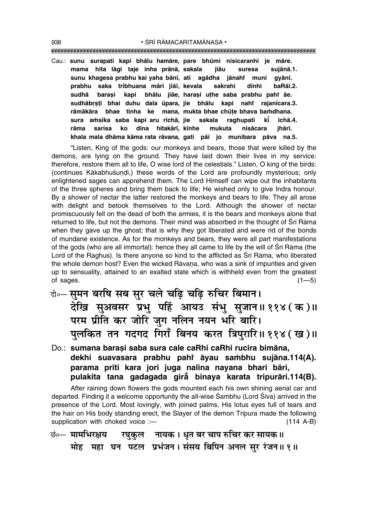""""""""""""""""""""""""""""""""""""""""""""""""""""""""""""""""""""""""""""""""""" 938 \* SRĪ RĀMACARITAMĀNASA \*

Cau.: **sunu surapati kapi bhålu hamåre, pare bhµumi nisicaranhi je måre. mama hita lågi taje inha prånå, sakala jiåu suresa sujånå.1. sunu khagesa prabhu kai yaha bån∂, ati agådha jånahiÚ muni gyån∂. prabhu saka tribhuana måri jiå∂, kevala sakrahi d∂nhi baRå∂.2. sudhå bara¶i kapi bhålu jiåe, hara¶i u¢he saba prabhu pahiÚ åe. sudhåbæ¶¢i bhai duhu dala µupara, jie bhålu kapi nahiÚ rajan∂cara.3. råmåkåra bhae tinha ke mana, mukta bhae chµu¢e bhava ba≈dhana. sura a≈sika saba kapi aru r∂chå, jie sakala raghupati k∂° ∂chå.4. råma sarisa ko d∂na hitakår∂, k∂nhe mukuta nisåcara jhår∂. khala mala dhåma kåma rata råvana, gati på∂ jo munibara påva na.5.**

"Listen, King of the gods: our monkeys and bears, those that were killed by the demons, are lying on the ground. They have laid down their lives in my service: therefore, restore them all to life, O wise lord of the celestials.î Listen, O king of the birds: (continues Kākabhuśundi,) these words of the Lord are profoundly mysterious; only enlightened sages can apprehend them. The Lord Himself can wipe out the inhabitants of the three spheres and bring them back to life; He wished only to give Indra honour. By a shower of nectar the latter restored the monkeys and bears to life. They all arose with delight and betook themselves to the Lord. Although the shower of nectar promiscuously fell on the dead of both the armies, it is the bears and monkeys alone that returned to life, but not the demons. Their mind was absorbed in the thought of Śrī Rāma when they gave up the ghost; that is why they got liberated and were rid of the bonds of mundane existence. As for the monkeys and bears, they were all part manifestations of the gods (who are all immortal): hence they all came to life by the will of Srī Rāma (the Lord of the Raghus). Is there anyone so kind to the afflicted as Śrī Rāma, who liberated the whole demon host? Even the wicked Rāvana, who was a sink of impurities and given up to sensuality, attained to an exalted state which is withheld even from the greatest of sages.  $(1-5)$ 

- दो**०– समन बरषि सब सुर चले चढि चढि रुचिर बिमान।** देखि सुअवसर प्रभु पहिं आयउ संभु सुजान॥११४(क)॥ परम प्रीति कर जोरि जुग नलिन नयन **भरि बारि**। पुलकित तन गदगद गिराँ बिनय करत त्रिपुरारि॥११४*(ख)*॥
- Do.: **sumana bara¶i saba sura cale caRhi caRhi rucira bimåna, dekhi suavasara prabhu pahiÚ åyau sa≈bhu sujåna.114(A). parama pr∂ti kara jori juga nalina nayana bhari båri, pulakita tana gadagada girå° binaya karata tripuråri.114(B).**

After raining down flowers the gods mounted each his own shining aerial car and departed. Finding it a welcome opportunity the all-wise Sambhu (Lord Siva) arrived in the presence of the Lord. Most lovingly, with joined palms, His lotus eyes full of tears and the hair on His body standing erect, the Slayer of the demon Tripura made the following supplication with choked voice :- (114 A-B)

**छं०— मामभिरक्षय रघुकुल नायक । धुत बर चाप रुचिर कर सायक ॥** <u>मोह</u> महा घन पटल प्रभंजन। संसय बिपिन अनल सुर रंजन॥ १॥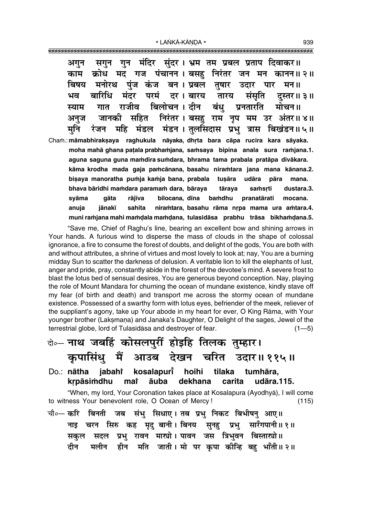गन मंदिर संदर। भ्रम तम प्रबल प्रताप दिवाकर॥ अगन सगन क्रोध मद गज पंचानन।बसह निरंतर जन मन कानन॥२॥ काम बिषय मनोरथ पंज कंज बन। प्रबल तुषार उदार पार मन ॥ बारिधि मंदर परमं दर । बारय तारय संसति ਮਰ दस्तर॥ ३॥ बिलोचन । दीन बंध राजीव प्रनतारति स्याम गात मोचन॥ सहित निरंतर। बसहु राम नृप मम उर अंतर॥४॥ जानकी अनज मंडल मंडन। तुलसिदास प्रभु त्रास बिखंडन॥५॥ महि मनि रंजन Cham.: māmabhirakṣaya raghukula nāyaka, dhṛta bara cāpa rucira kara sāyaka. moha mahā ghana paṭala prabhaṁjana, saṁsaya bipina anala sura raṁjana.1. aguna saguna guna mamdira sumdara, bhrama tama prabala pratāpa divākara. kāma krodha mada gaja pamcānana, basahu niramtara jana mana kānana.2. bisaya manoratha pumja kamja bana, prabala tusāra udāra pāra mana. bhava bāridhi mamdara paramam dara, bāraya tāraya samsrti dustara.3. bamdhu svāma aāta rāiīva bilocana, dīna pranatārati mocana anuia iānakī sahita niramtara, basahu rāma nrpa mama ura amtara.4. muni ramjana mahi mamdala mamdana, tulasidāsa prabhu trāsa bikhamdana.5.

"Save me, Chief of Raghu's line, bearing an excellent bow and shining arrows in Your hands. A furious wind to disperse the mass of clouds in the shape of colossal ignorance, a fire to consume the forest of doubts, and delight of the gods, You are both with and without attributes, a shrine of virtues and most lovely to look at; nay, You are a burning midday Sun to scatter the darkness of delusion. A veritable lion to kill the elephants of lust, anger and pride, pray, constantly abide in the forest of the devotee's mind. A severe frost to blast the lotus bed of sensual desires, You are generous beyond conception. Nay, playing the role of Mount Mandara for churning the ocean of mundane existence, kindly stave off my fear (of birth and death) and transport me across the stormy ocean of mundane existence. Possessed of a swarthy form with lotus eyes, befriender of the meek, reliever of the suppliant's agony, take up Your abode in my heart for ever, O King Rāma, with Your younger brother (Laksmana) and Janaka's Daughter, O Delight of the sages, Jewel of the terrestrial globe, lord of Tulasīdāsa and destrover of fear.  $(1 - 5)$ 

# बेन्नाथ जबहिं कोसलपुरीं होइहि तिलक तुम्हार। कुपासिंधु मैं आउब देखन चरित उदार॥११५॥

kosalapurt hoihi Do.: nātha jabahi tilaka tumhāra, krpāsimdhu mat **auba** dekhana carita udāra.115.

"When, my lord, Your Coronation takes place at Kosalapura (Ayodhyā), I will come to witness Your benevolent role, O Ocean of Mercy!  $(115)$ 

चौ∘— करि बिनती जब संभु सिधाए । तब प्रभु निकट बिभीषन् आए॥ नाइ चरन सिरु कह मृदु बानी।।बिनय सुनहु प्रभु सारँगपानी॥१॥ सकुल सदल प्रभु रावन मार्च्यो। पावन जस त्रिभुवन बिस्तार्त्यो॥ दीन मलीन हीन मति जाती।।मो पर कपा कीन्हि बहु भाँती॥२॥ 939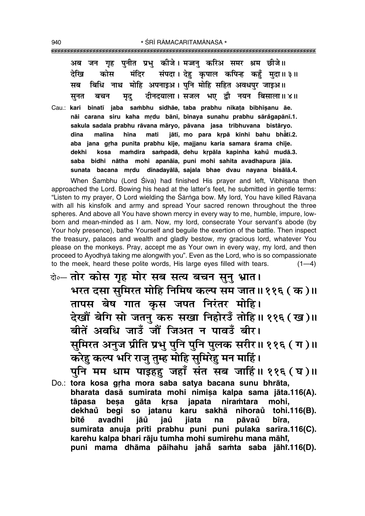| जन गृह पुनीत प्रभु कीजे।मज्जनु करिअ समर श्रम छीजे॥<br>अब<br>देखि<br>कोस मंदिर संपदा। देहु कृपाल कपिन्ह कहुँ मुदा॥ ३॥<br>सब बिधि नाथ मोहि अपनाइअ। पुनि मोहि सहित अवधपुर जाइअ॥<br>बचन मृदु दीनदयाला।सजल भए द्वौ नयन बिसाला॥४॥<br>सूनत                                                                                                                                                                                                                                                                                                                                      |
|--------------------------------------------------------------------------------------------------------------------------------------------------------------------------------------------------------------------------------------------------------------------------------------------------------------------------------------------------------------------------------------------------------------------------------------------------------------------------------------------------------------------------------------------------------------------------|
| Cau.: kari binatī jaba sambhu sidhāe, taba prabhu nikata bibhīsanu āe.<br>nāi carana siru kaha mrdu bānī, binaya sunahu prabhu sārågapānī.1.<br>sakula sadala prabhu rāvana māryo, pāvana jasa tribhuvana bistāryo.<br>malīna hīna mati jātī, mo para krpā kīnhi bahu bhātī.2.<br>dīna<br>aba jana grha punīta prabhu kīje, majjanu karia samara śrama chīje.<br>kosa mamdira sampadā, dehu krpāla kapinha kahů mudā.3.<br>dekhi<br>saba bidhi nātha mohi apanāia, puni mohi sahita avadhapura jāia.<br>sunata bacana mrdu dīnadayālā, sajala bhae dvau nayana bisālā.4. |

When Sambhu (Lord Siva) had finished His prayer and left, Vibhisana then approached the Lord. Bowing his head at the latter's feet, he submitted in gentle terms: "Listen to my prayer, O Lord wielding the Śārṅga bow. My lord, You have killed Rāyana with all his kinsfolk and army and spread Your sacred renown throughout the three spheres. And above all You have shown mercy in every way to me, humble, impure, lowborn and mean-minded as I am. Now, my lord, consecrate Your servant's abode (by Your holy presence), bathe Yourself and beguile the exertion of the battle. Then inspect the treasury, palaces and wealth and gladly bestow, my gracious lord, whatever You please on the monkeys. Pray, accept me as Your own in every way, my lord, and then proceed to Ayodhya taking me alongwith you". Even as the Lord, who is so compassionate to the meek, heard these polite words, His large eyes filled with tears.  $(1-4)$ 

- के-तोर कोस गृह मोर सब सत्य बचन सुनु भ्रात। भरत दसा सुमिरत मोहि निमिष कल्प सम जात॥११६ ( क )॥ तापस बेष गात कृस जपत निरंतर मोहि। देखौं बेगि सो जतनु करु सखा निहोरउँ तोहि॥११६ (ख)॥ बीतें अवधि जाउँ जौं जिअत न पावउँ बीर। सुमिरत अनुज प्रीति प्रभु पुनि पुनि पुलक सरीर॥ ११६ ( ग )॥ करेहु कल्प भरि राजु तुम्ह मोहि सुमिरेहु मन माहिं। पुनि मम धाम पाइहहु जहाँ संत सब जाहिं॥ ११६ (घ)॥
- Do.: tora kosa grha mora saba satya bacana sunu bhrāta, bharata dasā sumirata mohi nimisa kalpa sama jāta.116(A). tāpasa besa gāta krsa japata niramtara mohi. dekhaů begi so jatanu karu sakhā nihoraů tohi.116(B). jaů bītě avadhi jāů jiata pāvaů bīra, na sumirata anuja prīti prabhu puni puni pulaka sarīra.116(C). karehu kalpa bhari rāju tumha mohi sumirehu mana māhi, puni mama dhāma pāihahu jahā samta saba jāhi.116(D).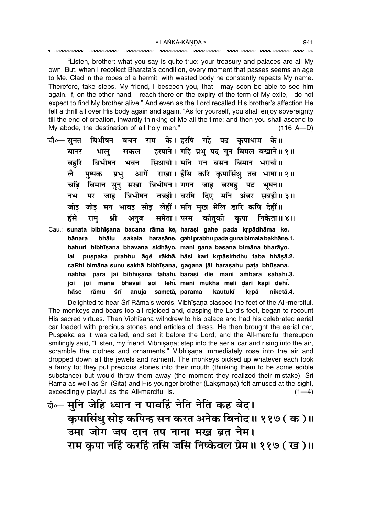"Listen, brother: what you say is quite true: your treasury and palaces are all My own. But, when I recollect Bharata's condition, every moment that passes seems an age to Me. Clad in the robes of a hermit, with wasted body he constantly repeats My name. Therefore, take steps, My friend, I beseech you, that I may soon be able to see him again. If, on the other hand, I reach there on the expiry of the term of My exile, I do not expect to find My brother alive." And even as the Lord recalled His brother's affection He felt a thrill all over His body again and again. "As for yourself, you shall enjoy sovereignty till the end of creation, inwardly thinking of Me all the time; and then you shall ascend to My abode, the destination of all holy men."  $(116 A-D)$ 

- राम के।हरषि गहे पद कृपाधाम के॥ चौ०— सनत बिभीषन बचन हरषाने। गहि प्रभु पद गुन बिमल बखाने॥ १॥ बानर भाल् सकल सिधायो। मनि गन बसन बिमान भरायो॥ बिभीषन भवन बहरि आगें राखा। हँसि करि कृपासिंधु तब भाषा॥२॥ पष्पक लै प्रभ बिमान सुनु सखा बिभीषन। गगन जाइ बरषह पट भूषन॥ चढि बिभीषन तबही। बरषि दिए मनि अंबर सबही॥३॥ नभ पर जाड जोइ जोइ मन भावइ सोइ लेहीं। मनि मुख मेलि डारि कपि देहीं॥ कौतकी समेता । परम हँसे श्री अनुज कृपा निकेता॥४॥ राम्
- Cau.: sunata bibhīșana bacana rāma ke, harași gahe pada krpādhāma ke. sakala haraşāne, gahi prabhu pada guna bimala bakhāne.1. bānara bhālu bahuri bibhīṣana bhavana sidhāyo, mani gana basana bimāna bharāyo. puspaka prabhu āge rākhā, hasi kari krpāsimdhu taba bhāsā.2. lai caRhi bimāna sunu sakhā bibhīṣana, gagana jāi baraṣahu paṭa bhūṣana. nabha para jāi bibhīṣana tabahī, baraṣi die mani ambara sabahī.3. joi mana bhāvai soi lehi, mani mukha meli dāri kapi dehi. ioi anuja sametā, parama håse rāmu śrī kautukī krpā niketā.4.

Delighted to hear Srī Rāma's words, Vibhīsaṇa clasped the feet of the All-merciful. The monkeys and bears too all rejoiced and, clasping the Lord's feet, began to recount His sacred virtues. Then Vibhisana withdrew to his palace and had his celebrated aerial car loaded with precious stones and articles of dress. He then brought the aerial car, Puspaka as it was called, and set it before the Lord; and the All-merciful thereupon smilingly said, "Listen, my friend, Vibhisana; step into the aerial car and rising into the air, scramble the clothes and ornaments." Vibhisana immediately rose into the air and dropped down all the jewels and raiment. The monkeys picked up whatever each took a fancy to; they put precious stones into their mouth (thinking them to be some edible substance) but would throw them away (the moment they realized their mistake). Sri Rāma as well as Śrī (Sītā) and His younger brother (Lakṣmaṇa) felt amused at the sight, exceedingly playful as the All-merciful is.  $(1-4)$ 

बे॰- मुनि जेहि ध्यान न पावहिं नेति नेति कह बेद। कुपासिंधु सोइ कपिन्ह सन करत अनेक बिनोद॥ ११७ ( क )॥ उमा जोग जप दान तप नाना मख ब्रत नेम। राम कृपा नहिं करहिं तसि जसि निष्केवल प्रेम॥ ११७ (ख)॥

941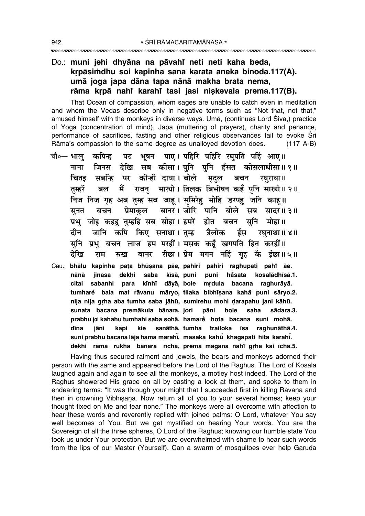## Do.: muni jehi dhyāna na pāvahi neti neti kaha beda, krpāsimdhu soi kapinha sana karata aneka binoda.117(A). umā joga japa dāna tapa nānā makha brata nema, rāma krpā nahi karahi tasi jasi niskevala prema.117(B).

That Ocean of compassion, whom sages are unable to catch even in meditation and whom the Vedas describe only in negative terms such as "Not that, not that," amused himself with the monkeys in diverse ways. Uma, (continues Lord Śiya.) practice of Yoga (concentration of mind), Japa (muttering of prayers), charity and penance, performance of sacrifices, fasting and other religious observances fail to evoke Sri Rāma's compassion to the same degree as unalloyed devotion does.  $(117 A-B)$ 

- पाए। पहिरि पहिरि रघुपति पहिं आए॥ चौ०— भाल कपिन्ह भषन पट जिनस देखि सब कीसा। पुनि पुनि हँसत कोसलाधीसा॥१॥ नाना चितड सबन्धि पर कीन्ही दाया। बोले मदल बचन रघराया ॥ मैं रावन माखो। तिलक बिभीषन कहँ पनि साखो॥२॥ तम्हरें बल निज निज गृह अब तुम्ह सब जाहू। सुमिरेहु मोहि डरपहु जनि काहू॥ बानर। जोरि पानि बोले सब सादर॥३॥ सनत प्रेमाकल बचन प्रभ जोड कहह तम्हहि सब सोहा। हमरें होत बचन सनि मोहा॥ जानि कपि किए सनाथा।तम्ह टीन त्रैलोक ईस रघनाथा॥४॥ सुनि प्रभु बचन लाज हम मरहीं। मसक कहूँ खगपति हित करहीं॥ बानर रीछा। प्रेम मगन नहिं गृह कै ईछा॥५॥ देखि राम रुख
- Cau.: bhālu kapinha pata bhūṣana pāe, pahiri pahiri raghupati pahr āe. dekhi saba kīsā, puni puni håsata kosalādhīsā.1. nānā jinasa sabanhi para kinhi dāyā, bole citai mrdula bacana raghurāyā. tumharė bala mai rāvanu māryo, tilaka bibhīṣana kahǎ puni sāryo.2. nija nija grha aba tumha saba jāhū, sumirehu mohi darapahu jani kāhū. sunata bacana premākula bānara, jori pāni bole saba sādara.3. prabhu joi kahahu tumhahi saba sohā, hamare hota bacana suni mohā. sanāthā, tumha trailoka īsa dīna jāni kapi kie raghunāthā.4. suni prabhu bacana lāja hama marahi, masaka kahū khagapati hita karahi. dekhi rāma rukha bānara rīchā, prema magana nahi grha kai īchā.5.

Having thus secured raiment and jewels, the bears and monkeys adorned their person with the same and appeared before the Lord of the Raghus. The Lord of Kosala laughed again and again to see all the monkeys, a motley host indeed. The Lord of the Raghus showered His grace on all by casting a look at them, and spoke to them in endearing terms: "It was through your might that I succeeded first in killing Rāvana and then in crowning Vibhisana. Now return all of you to your several homes; keep your thought fixed on Me and fear none." The monkeys were all overcome with affection to hear these words and reverently replied with joined palms: O Lord, whatever You say well becomes of You. But we get mystified on hearing Your words. You are the Sovereign of all the three spheres, O Lord of the Raghus; knowing our humble state You took us under Your protection. But we are overwhelmed with shame to hear such words from the lips of our Master (Yourself). Can a swarm of mosquitoes ever help Garuda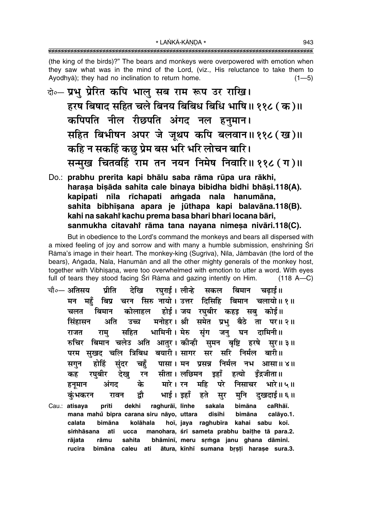(the king of the birds)?" The bears and monkeys were overpowered with emotion when they saw what was in the mind of the Lord, (viz., His reluctance to take them to Ayodhya); they had no inclination to return home.  $(1 - 5)$ 

- के-प्रभु प्रेरित कपि भालु सब राम रूप उर राखि। हरष बिषाद सहित चले बिनय बिबिध बिधि भाषि॥ ११८ (क)॥ कपिपति नील रीछपति अंगद नल हनुमान। सहित बिभीषन अपर जे जूथप कपि बलवान॥११८ (ख)॥ कहि न सकहिं कछ प्रेम बस भरि भरि लोचन बारि। सन्मुख चितवहिं राम तन नयन निमेष निवारि॥ ११८ (ग)॥
- Do.: prabhu prerita kapi bhālu saba rāma rūpa ura rākhi, harașa bișāda sahita cale binaya bibidha bidhi bhāși.118(A). kapipati nīla rīchapati amgada nala hanumāna, sahita bibhīsana apara je jūthapa kapi balavāna.118(B). kahi na sakahi kachu prema basa bhari bhari locana bāri, sanmukha citavahi rāma tana nayana nimesa nivāri.118(C).

But in obedience to the Lord's command the monkeys and bears all dispersed with a mixed feeling of joy and sorrow and with many a humble submission, enshrining Sri Rāma's image in their heart. The monkey-king (Sugrīva), Nīla, Jāmbavān (the lord of the bears), Angada, Nala, Hanumān and all the other mighty generals of the monkey host, together with Vibhisana, were too overwhelmed with emotion to utter a word. With eves full of tears they stood facing Srī Rāma and gazing intently on Him.  $(118 A - C)$ 

- रघुराई। लीन्हे सकल बिमान चढ़ाई॥ चौ०— अतिसय प्रीति देखि बिप्र चरन सिरु नायो। उत्तर दिसिहि बिमान चलायो॥१॥ मन महँ होई। जय रघुबीर कहड़ सबु कोई॥ बिमान कोलाहल चलत मनोहर। श्री समेत प्रभु बैठे ता पर॥ २॥ अति सिंहासन उच्च भामिनी। मेरु सुंग जनु घन दामिनी॥ राम् सहित राजत **्बिमान चलेउ अति आतुर। कीन्ही सुमन बृष्टि** हरषे रुचिर सर॥३॥ परम सुखद चलि त्रिबिध बयारी।सागर सर सरि निर्मल बारी॥ होहिं संदर चहुँ पासा। मन प्रसन्न निर्मल नभ आसा॥४॥ सगुन रघबीर देख रन सीता। लछिमन इहाँ हत्यो डँद्रजीता॥ कह के हनूमान अंगद मारे । रन महि परे निसाचर भारे॥५॥ भाई। इहाँ द्रौ मनि दखदाई॥ ६ ॥ हते सूर कंभकरन रावन bimāna Cau.: atisava prīti dekhi raghurāī, līnhe sakala caRhāī. mana mahů bipra carana siru nāyo, uttara disihi bimāna calāvo.1.
- calata bimāna kolāhala hoi, jaya raghubira kahai sabu koi. manohara, śrī sameta prabhu baițhe tā para.2. simhāsana ati ucca sahita bhāminī, meru srmga janu ghana dāminī. rājata rāmu bimāna caleu ati ātura, kīnhī sumana brsti harase sura.3. rucira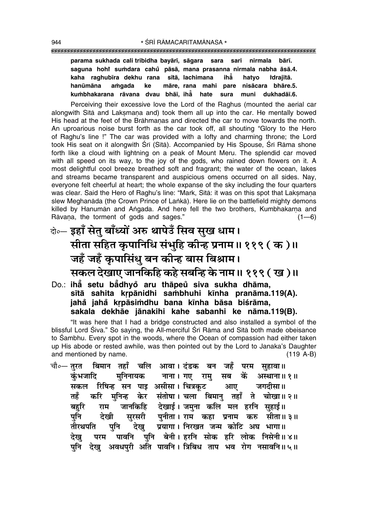#### 

parama sukhada cali tribidha bayārī, sāgara sara sari nirmala bārī. saguna hohi sumdara cahů pāsā, mana prasanna nirmala nabha āsā.4. kaha raghubīra dekhu rana sītā lachimana ihẳ hatvo idraiītā. hanūmāna amqada ke māre. rana mahi nisācara bhāre.5. pare muni dukhadāī.6. kumbhakarana rāvana dvau bhāī, ihā hate sura

Perceiving their excessive love the Lord of the Raghus (mounted the aerial car alongwith Sita and Laksmana and) took them all up into the car. He mentally bowed His head at the feet of the Brāhmanas and directed the car to move towards the north. An uproarious noise burst forth as the car took off, all shouting "Glory to the Hero of Raghu's line !" The car was provided with a lofty and charming throne; the Lord took His seat on it alongwith Srī (Sītā). Accompanied by His Spouse, Srī Rāma shone forth like a cloud with lightning on a peak of Mount Meru. The splendid car moved with all speed on its way, to the joy of the gods, who rained down flowers on it. A most delightful cool breeze breathed soft and fragrant; the water of the ocean, lakes and streams became transparent and auspicious omens occurred on all sides. Nay, everyone felt cheerful at heart; the whole expanse of the sky including the four quarters was clear. Said the Hero of Raghu's line: "Mark, Sita: it was on this spot that Laksmana slew Meghanāda (the Crown Prince of Lanka). Here lie on the battlefield mighty demons killed by Hanuman and Angada. And here fell the two brothers, Kumbhakarna and Rāvana, the torment of gods and sages."  $(1-6)$ 

- वे॰– इहाँ सेतु बाँध्यों अरु थापेउँ सिव सुख धाम। सीता सहित कृपानिधि संभुहि कीन्ह प्रनाम॥११९ ( क )॥ जहँ जहँ कृपासिंधु बन कीन्ह बास बिश्राम। सकल देखाए जानकिहि कहे सबन्हि के नाम॥ ११९ ( ख )॥
- Do.: iha setu badhyo aru thāpeu siva sukha dhāma, sītā sahita krpānidhi sambhuhi kīnha pranāma.119(A). jahå jahå krpāsimdhu bana kīnha bāsa biśrāma, sakala dekhāe jānakihi kahe sabanhi ke nāma.119(B).

"It was here that I had a bridge constructed and also installed a symbol of the blissful Lord Śiva." So saying, the All-merciful Śrī Rāma and Sītā both made obeisance to Sambhu. Every spot in the woods, where the Ocean of compassion had either taken up His abode or rested awhile, was then pointed out by the Lord to Janaka's Daughter and mentioned by name.  $(119 A-B)$ 

बिमान तहाँ चलि आवा। दंडक बन जहँ परम सहावा॥ चौ०— तुरत कें मनिनायक नाना। गए रामु सब कंभजादि अस्थाना॥ १॥ रिषिन्ह सन पाइ असीसा। चित्रकूट जगदीसा॥ सकल आए केर संतोषा। चला बिमान तहाँ ते चोखा॥२॥ तहँ करि मनिन्ह जानकिहि देखाई। जमना कलि मल हरनि सहाई॥ बहरि राम सुरसरी पुनीता। राम कहा प्रनाम करु सीता॥३॥ पनि देखी प्रयागा। निरखत जन्म कोटि अघ भागा॥ तीरथपति देख पनि परम पावनि पनि बेनी।इरनि सोक हरि लोक निसेनी॥४॥ देख देख अवधपरी अति पावनि। त्रिबिध ताप भव रोग नसावनि॥५॥ पनि

944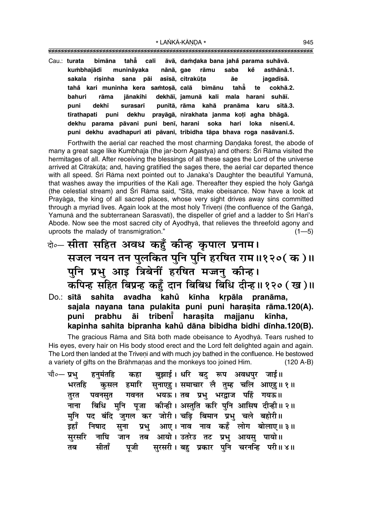tahẵ cali Cau.: turata bimāna āvā, damdaka bana jahå parama suhāvā. kumbhajādi munināvaka nānā, gae rāmu saba kě asthānā.1. asīsā, citrakūta āe sakala risinha sana pāi iagadīsā. tahẵ cokhā.2. tahå kari muninha kera samtosā, calā bimānu te bahuri rāma iānakihi dekhāī, jamunā kali mala harani suhāī. puni dekhī surasarī punītā, rāma kahā pranāma karu sītā.3. tīrathapati puni dekhu prayāgā, nirakhata janma koți agha bhāgā. dekhu parama pāvani puni benī, harani soka hari loka nisenī.4. puni dekhu avadhapurī ati pāvani, tribidha tāpa bhava roga nasāvani.5.

Forthwith the aerial car reached the most charming Dandaka forest, the abode of many a great sage like Kumbhaja (the jar-born Agastya) and others: Srī Rāma visited the hermitages of all. After receiving the blessings of all these sages the Lord of the universe arrived at Citrakūta; and, having gratified the sages there, the aerial car departed thence with all speed. Srī Rāma next pointed out to Janaka's Daughter the beautiful Yamunā, that washes away the impurities of the Kali age. Thereafter they espied the holy Ganga (the celestial stream) and Srī Rāma said, "Sītā, make obeisance. Now have a look at Prayāga, the king of all sacred places, whose very sight drives away sins committed through a myriad lives. Again look at the most holy Triveni (the confluence of the Ganga, Yamuna and the subterranean Sarasvati), the dispeller of grief and a ladder to Sri Hari's Abode. Now see the most sacred city of Ayodhya, that relieves the threefold agony and uproots the malady of transmigration."  $(1 - 5)$ 

- केन् सीता सहित अवध कहँ कीन्ह कृपाल प्रनाम। सजल नयन तन पुलकित पुनि पुनि हरषित राम॥१२०( क )॥ पुनि प्रभु आइ त्रिबेनीं हरषित मज्जनु कीन्ह। कपिन्ह सहित बिप्रन्ह कहुँ दान बिबिध बिधि दीन्ह।। १२० (ख)॥
- avadha kahů kīnha krpāla pranāma, Do.: sītā sahita sajala nayana tana pulakita puni puni harasita rāma.120(A). tribenĭ harasita puni prabhu āi majjanu kīnha. kapinha sahita bipranha kahů dāna bibidha bidhi dīnha.120(B).

The gracious Rama and Sita both made obeisance to Ayodhya. Tears rushed to His eyes, every hair on His body stood erect and the Lord felt delighted again and again. The Lord then landed at the Triveni and with much joy bathed in the confluence. He bestowed a variety of gifts on the Brāhmanas and the monkeys too joined Him.  $(120 A-B)$ 

|     | चौ०— प्रभु     हनुमंतहि     कहा      बुझाई । धरि  बटु   रूप   अवधपुर   जाई॥ |  |  |  |  |
|-----|-----------------------------------------------------------------------------|--|--|--|--|
|     | भरतहि कुसल हमारि सुनाएहु। समाचार लै तुम्ह चलि आएहु॥१॥                       |  |  |  |  |
| तरत | पवनसुत गवनत भयऊ।तब प्रभु भरद्वाज पहिं गयऊ॥                                  |  |  |  |  |
|     | नाना   बिधि   मुनि   पूजा   कीन्ही । अस्तुति  करि  पुनि  आसिष  दीन्ही ॥ २ ॥ |  |  |  |  |
|     | मुनि पद बंदि जुगल कर जोरी। चढ़ि बिमान प्रभु चले बहोरी॥                      |  |  |  |  |
|     | इहाँ निषाद सुना प्रभु आए। नाव नाव कहँ लोग बोलाए॥ ३॥                         |  |  |  |  |
|     | सुरसरि नाघि जान तब आयो। उतरेउ तट प्रभु आयसु पायो॥                           |  |  |  |  |
| तब  | सीताँ पूजी सुरसरी।बहु प्रकार पुनि चरनन्हि परी॥४॥                            |  |  |  |  |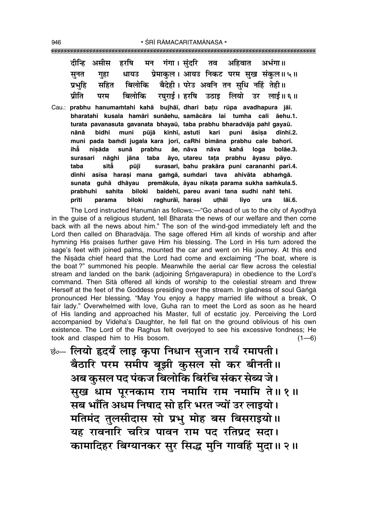|  | दीन्हि असीस हरषि मन गंगा।संदरि तव अहिवात अभंगा॥          |  |  |
|--|----------------------------------------------------------|--|--|
|  | सूनत गुहा धायउ प्रेमाकुल। आयउ निकट परम सुख संकुल॥५॥      |  |  |
|  | प्रभुहि सहित बिलोकि बैदेही। परेउ अवनि तन सुधि नहिं तेही॥ |  |  |
|  | प्रीति परम बिलोकि रघुराई। हरषि उठाइ लियो उर लाई॥ ६॥      |  |  |

Cau.: prabhu hanumamtahi kahā bujhāī, dhari batu rūpa avadhapura jāī. bharatahi kusala hamāri sunāehu, samācāra lai tumha cali āehu.1. turata pavanasuta gavanata bhayaū, taba prabhu bharadvāja pahi gayaū. muni pūjā kīnhī, astuti nānā bidhi kari puni āsisa dīnhī.2. muni pada bamdi jugala kara jori, caRhi bimāna prabhu cale bahorī. ihă nisāda sunā prabhu āe. nāva nāva kahå loga bolāe.3. nāghi jāna taba āvo, utareu tata prabhu surasari āvasu pāvo. sītằ surasarī, bahu prakāra puni carananhi parī.4. taba pūjī dīnhi asīsa harași mana gamgā, sumdari tava ahivāta abhamgā. premākula, āyau nikata parama sukha samkula.5. sunata guhā dhāyau prabhuhi sahita biloki baidehī, pareu avani tana sudhi nahi tehī. prīti parama biloki raghurāī, harasi uthāi liyo ura lāī.6.

The Lord instructed Hanuman as follows:-"Go ahead of us to the city of Ayodhya in the quise of a religious student, tell Bharata the news of our welfare and then come back with all the news about him." The son of the wind-god immediately left and the Lord then called on Bharadvaja. The sage offered Him all kinds of worship and after hymning His praises further gave Him his blessing. The Lord in His turn adored the sage's feet with joined palms, mounted the car and went on His journey. At this end the Niṣāda chief heard that the Lord had come and exclaiming "The boat, where is the boat?" summoned his people. Meanwhile the aerial car flew across the celestial stream and landed on the bank (adjoining Srngaverapura) in obedience to the Lord's command. Then Sita offered all kinds of worship to the celestial stream and threw Herself at the feet of the Goddess presiding over the stream. In gladness of soul Ganga pronounced Her blessing. "May You enjoy a happy married life without a break, O fair lady." Overwhelmed with love, Guha ran to meet the Lord as soon as he heard of His landing and approached his Master, full of ecstatic joy. Perceiving the Lord accompanied by Videha's Daughter, he fell flat on the ground oblivious of his own existence. The Lord of the Raghus felt overjoved to see his excessive fondness; He took and clasped him to His bosom.  $(1-6)$ 

छं… लियो हृदयँ लाइ कृपा निधान सुजान रायँ रमापती। बैठारि परम समीप बूझी कुसल सो कर बीनती ।। अब कुसल पद पंकज बिलोकि बिरंचि संकर सेब्य जे। सुख धाम पूरनकाम राम नमामि राम नमामि ते॥१॥ सब भाँति अधम निषाद सो हरि भरत ज्यों उर लाइयो। मतिमंद तुलसीदास सो प्रभु मोह बस बिसराइयो।। यह रावनारि चरित्र पावन राम पद रतिप्रद सदा। कामादिहर बिग्यानकर सुर सिद्ध मुनि गावहिं मुदा॥ २॥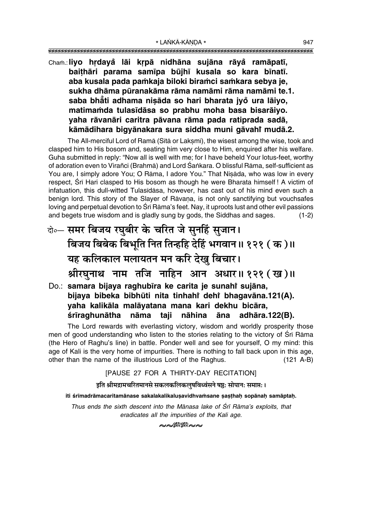## Cham.: liyo hrdayå lāi krpā nidhāna sujāna rāyå ramāpatī, baithāri parama samīpa būjhī kusala so kara bīnatī. aba kusala pada pamkaja biloki biramci samkara sebya je, sukha dhāma pūranakāma rāma namāmi rāma namāmi te.1. saba bhāti adhama nisāda so hari bharata jyo ura lāiyo, matimamda tulasīdāsa so prabhu moha basa bisarāiyo. vaha rāvanāri caritra pāvana rāma pada ratiprada sadā, kāmādihara bigvānakara sura siddha muni gāvahi mudā.2.

The All-merciful Lord of Ramā (Sītā or Laksmī), the wisest among the wise, took and clasped him to His bosom and, seating him very close to Him, enguired after his welfare. Guha submitted in reply: "Now all is well with me; for I have beheld Your lotus-feet, worthy of adoration even to Virañci (Brahmā) and Lord Śankara. O blissful Rāma, self-sufficient as You are, I simply adore You; O Rāma, I adore You." That Nisāda, who was low in every respect, Srī Hari clasped to His bosom as though he were Bharata himself! A victim of infatuation, this dull-witted Tulasidasa, however, has cast out of his mind even such a benign lord. This story of the Slayer of Rāvana, is not only sanctifying but vouchsafes loving and perpetual devotion to Śrī Rāma's feet. Nay, it uproots lust and other evil passions and begets true wisdom and is gladly sung by gods, the Siddhas and sages.  $(1-2)$ 

## वे∘— समर बिजय रघुबीर के चरित जे सुनहिं सुजान। बिजय बिबेक बिभुति नित तिन्हहि देहिं भगवान॥ १२१ ( क )॥ यह कलिकाल मलायतन मन करि देखु बिचार। श्रीरघुनाथ नाम तजि नाहिन आन अधार॥१२१ (ख)॥ Do.: samara bijaya raghubīra ke carita je sunahi sujāna, bijava bibeka bibhūti nita tinhahi dehi bhaqavāna.121(A).

yaha kalikāla malāyatana mana kari dekhu bicāra, śrīraghunātha nāma taji nāhina āna adhāra.122(B).

The Lord rewards with everlasting victory, wisdom and worldly prosperity those men of good understanding who listen to the stories relating to the victory of Srī Rāma (the Hero of Raghu's line) in battle. Ponder well and see for yourself, O my mind: this age of Kali is the very home of impurities. There is nothing to fall back upon in this age, other than the name of the illustrious Lord of the Raghus.  $(121 A-B)$ 

#### [PAUSE 27 FOR A THIRTY-DAY RECITATION]

#### इति श्रीमद्रामचरितमानसे सकलकलिकलषविध्वंसने षष्ठः सोपानः समाप्तः ।

iti śrīmadrāmacaritamānase sakalakalikalusavidhvamsane sasthah sopānah samāptah.

Thus ends the sixth descent into the Mānasa lake of Śrī Rāma's exploits, that eradicates all the impurities of the Kali age.

**൞**Ŵ▒≈∾